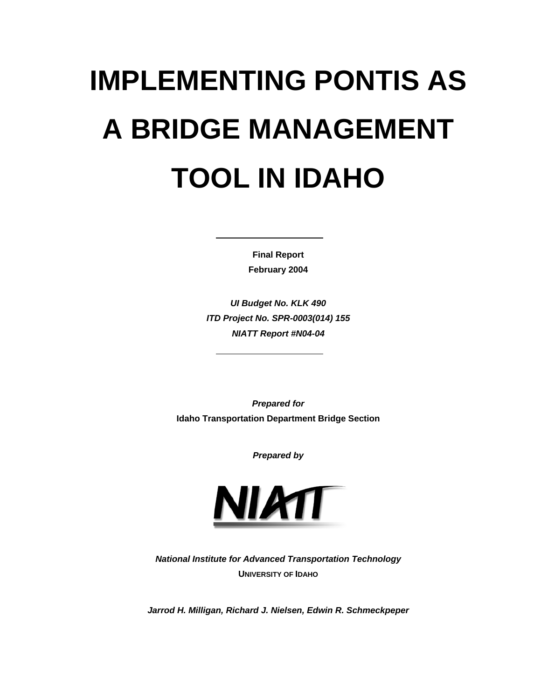# **IMPLEMENTING PONTIS AS A BRIDGE MANAGEMENT TOOL IN IDAHO**

**Final Report February 2004**

*UI Budget No. KLK 490 ITD Project No. SPR-0003(014) 155 NIATT Report #N04-04*

*Prepared for* **Idaho Transportation Department Bridge Section**

*Prepared by*



*National Institute for Advanced Transportation Technology* **UNIVERSITY OF IDAHO**

*Jarrod H. Milligan, Richard J. Nielsen, Edwin R. Schmeckpeper*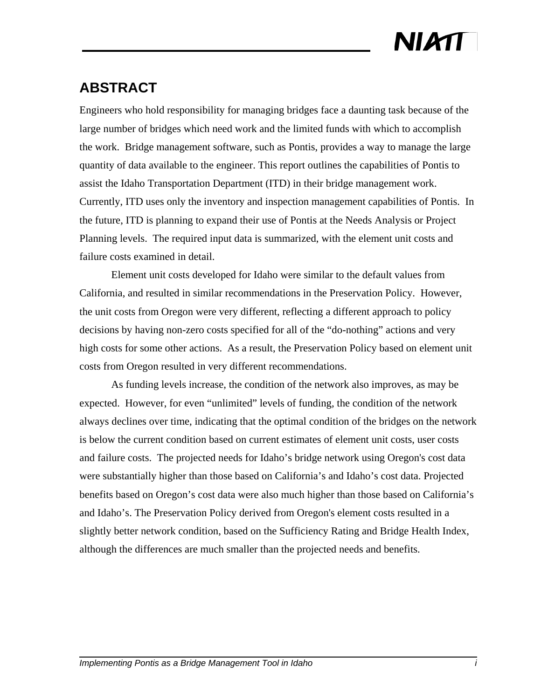### **ABSTRACT**

Engineers who hold responsibility for managing bridges face a daunting task because of the large number of bridges which need work and the limited funds with which to accomplish the work. Bridge management software, such as Pontis, provides a way to manage the large quantity of data available to the engineer. This report outlines the capabilities of Pontis to assist the Idaho Transportation Department (ITD) in their bridge management work. Currently, ITD uses only the inventory and inspection management capabilities of Pontis. In the future, ITD is planning to expand their use of Pontis at the Needs Analysis or Project Planning levels. The required input data is summarized, with the element unit costs and failure costs examined in detail.

Element unit costs developed for Idaho were similar to the default values from California, and resulted in similar recommendations in the Preservation Policy. However, the unit costs from Oregon were very different, reflecting a different approach to policy decisions by having non-zero costs specified for all of the "do-nothing" actions and very high costs for some other actions. As a result, the Preservation Policy based on element unit costs from Oregon resulted in very different recommendations.

As funding levels increase, the condition of the network also improves, as may be expected. However, for even "unlimited" levels of funding, the condition of the network always declines over time, indicating that the optimal condition of the bridges on the network is below the current condition based on current estimates of element unit costs, user costs and failure costs. The projected needs for Idaho's bridge network using Oregon's cost data were substantially higher than those based on California's and Idaho's cost data. Projected benefits based on Oregon's cost data were also much higher than those based on California's and Idaho's. The Preservation Policy derived from Oregon's element costs resulted in a slightly better network condition, based on the Sufficiency Rating and Bridge Health Index, although the differences are much smaller than the projected needs and benefits.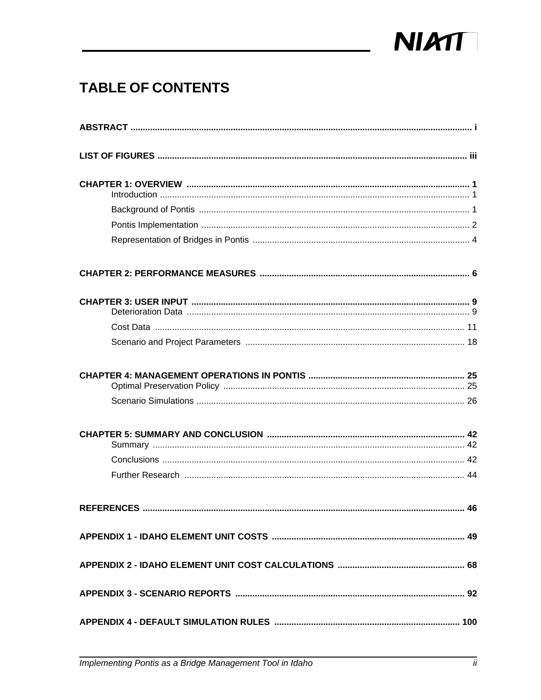

### **TABLE OF CONTENTS**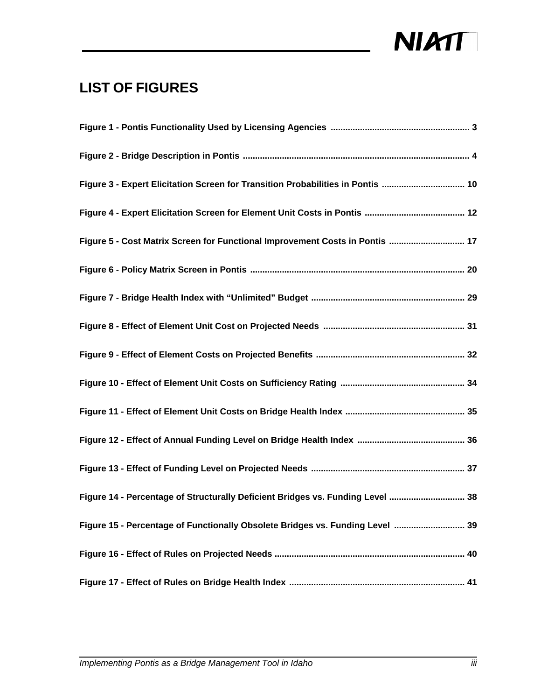

### **LIST OF FIGURES**

| Figure 3 - Expert Elicitation Screen for Transition Probabilities in Pontis  10 |
|---------------------------------------------------------------------------------|
|                                                                                 |
| Figure 5 - Cost Matrix Screen for Functional Improvement Costs in Pontis  17    |
|                                                                                 |
|                                                                                 |
|                                                                                 |
|                                                                                 |
|                                                                                 |
|                                                                                 |
|                                                                                 |
|                                                                                 |
| Figure 14 - Percentage of Structurally Deficient Bridges vs. Funding Level  38  |
| Figure 15 - Percentage of Functionally Obsolete Bridges vs. Funding Level  39   |
|                                                                                 |
|                                                                                 |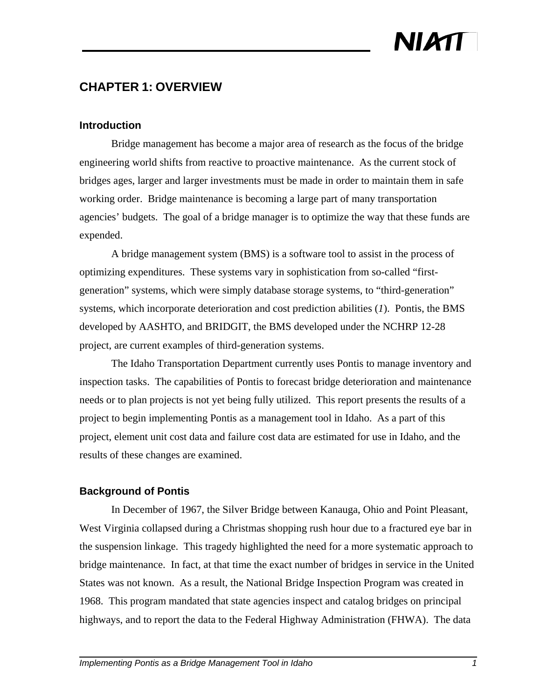### **CHAPTER 1: OVERVIEW**

#### **Introduction**

Bridge management has become a major area of research as the focus of the bridge engineering world shifts from reactive to proactive maintenance. As the current stock of bridges ages, larger and larger investments must be made in order to maintain them in safe working order. Bridge maintenance is becoming a large part of many transportation agencies' budgets. The goal of a bridge manager is to optimize the way that these funds are expended.

A bridge management system (BMS) is a software tool to assist in the process of optimizing expenditures. These systems vary in sophistication from so-called "firstgeneration" systems, which were simply database storage systems, to "third-generation" systems, which incorporate deterioration and cost prediction abilities (*1*). Pontis, the BMS developed by AASHTO, and BRIDGIT, the BMS developed under the NCHRP 12-28 project, are current examples of third-generation systems.

The Idaho Transportation Department currently uses Pontis to manage inventory and inspection tasks. The capabilities of Pontis to forecast bridge deterioration and maintenance needs or to plan projects is not yet being fully utilized. This report presents the results of a project to begin implementing Pontis as a management tool in Idaho. As a part of this project, element unit cost data and failure cost data are estimated for use in Idaho, and the results of these changes are examined.

#### **Background of Pontis**

In December of 1967, the Silver Bridge between Kanauga, Ohio and Point Pleasant, West Virginia collapsed during a Christmas shopping rush hour due to a fractured eye bar in the suspension linkage. This tragedy highlighted the need for a more systematic approach to bridge maintenance. In fact, at that time the exact number of bridges in service in the United States was not known. As a result, the National Bridge Inspection Program was created in 1968. This program mandated that state agencies inspect and catalog bridges on principal highways, and to report the data to the Federal Highway Administration (FHWA). The data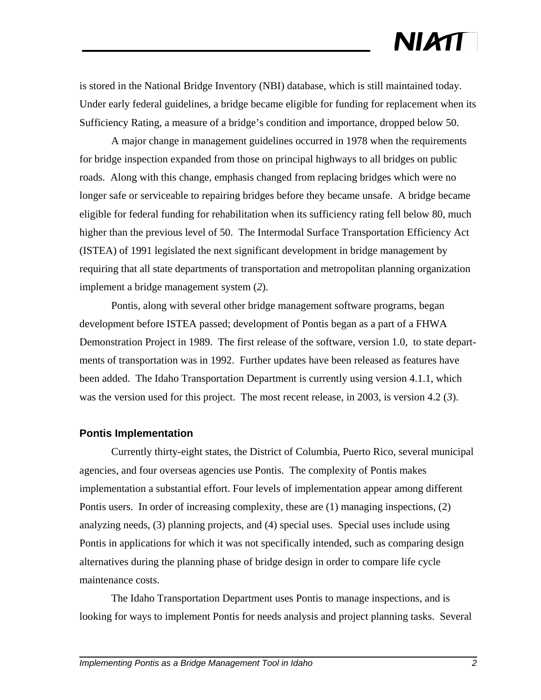is stored in the National Bridge Inventory (NBI) database, which is still maintained today. Under early federal guidelines, a bridge became eligible for funding for replacement when its Sufficiency Rating, a measure of a bridge's condition and importance, dropped below 50.

A major change in management guidelines occurred in 1978 when the requirements for bridge inspection expanded from those on principal highways to all bridges on public roads. Along with this change, emphasis changed from replacing bridges which were no longer safe or serviceable to repairing bridges before they became unsafe. A bridge became eligible for federal funding for rehabilitation when its sufficiency rating fell below 80, much higher than the previous level of 50. The Intermodal Surface Transportation Efficiency Act (ISTEA) of 1991 legislated the next significant development in bridge management by requiring that all state departments of transportation and metropolitan planning organization implement a bridge management system (*2*).

Pontis, along with several other bridge management software programs, began development before ISTEA passed; development of Pontis began as a part of a FHWA Demonstration Project in 1989. The first release of the software, version 1.0, to state departments of transportation was in 1992. Further updates have been released as features have been added. The Idaho Transportation Department is currently using version 4.1.1, which was the version used for this project. The most recent release, in 2003, is version 4.2 (*3*).

#### **Pontis Implementation**

Currently thirty-eight states, the District of Columbia, Puerto Rico, several municipal agencies, and four overseas agencies use Pontis. The complexity of Pontis makes implementation a substantial effort. Four levels of implementation appear among different Pontis users. In order of increasing complexity, these are (1) managing inspections, (2) analyzing needs, (3) planning projects, and (4) special uses. Special uses include using Pontis in applications for which it was not specifically intended, such as comparing design alternatives during the planning phase of bridge design in order to compare life cycle maintenance costs.

The Idaho Transportation Department uses Pontis to manage inspections, and is looking for ways to implement Pontis for needs analysis and project planning tasks. Several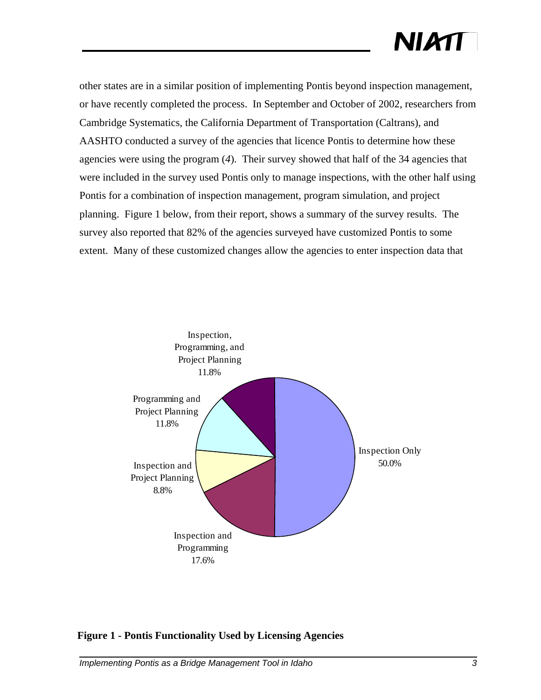other states are in a similar position of implementing Pontis beyond inspection management, or have recently completed the process. In September and October of 2002, researchers from Cambridge Systematics, the California Department of Transportation (Caltrans), and AASHTO conducted a survey of the agencies that licence Pontis to determine how these agencies were using the program (*4*). Their survey showed that half of the 34 agencies that were included in the survey used Pontis only to manage inspections, with the other half using Pontis for a combination of inspection management, program simulation, and project planning. Figure 1 below, from their report, shows a summary of the survey results. The survey also reported that 82% of the agencies surveyed have customized Pontis to some extent. Many of these customized changes allow the agencies to enter inspection data that



#### **Figure 1 - Pontis Functionality Used by Licensing Agencies**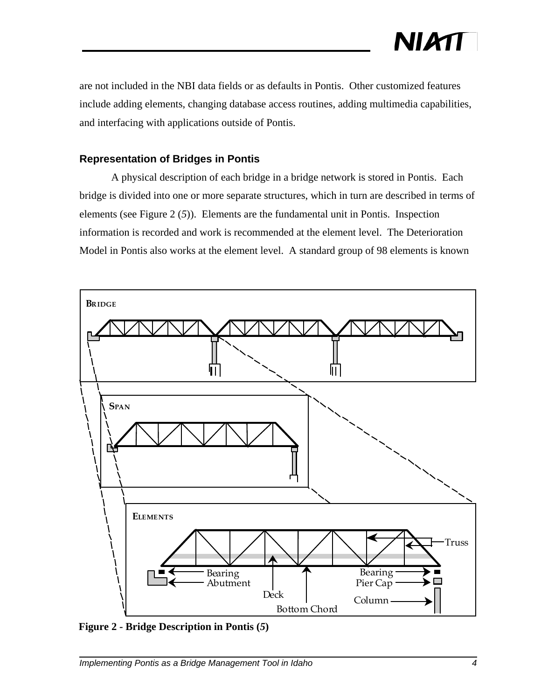

are not included in the NBI data fields or as defaults in Pontis. Other customized features include adding elements, changing database access routines, adding multimedia capabilities, and interfacing with applications outside of Pontis.

#### **Representation of Bridges in Pontis**

A physical description of each bridge in a bridge network is stored in Pontis. Each bridge is divided into one or more separate structures, which in turn are described in terms of elements (see Figure 2 (*5*)). Elements are the fundamental unit in Pontis. Inspection information is recorded and work is recommended at the element level. The Deterioration Model in Pontis also works at the element level. A standard group of 98 elements is known



**Figure 2 - Bridge Description in Pontis (***5***)**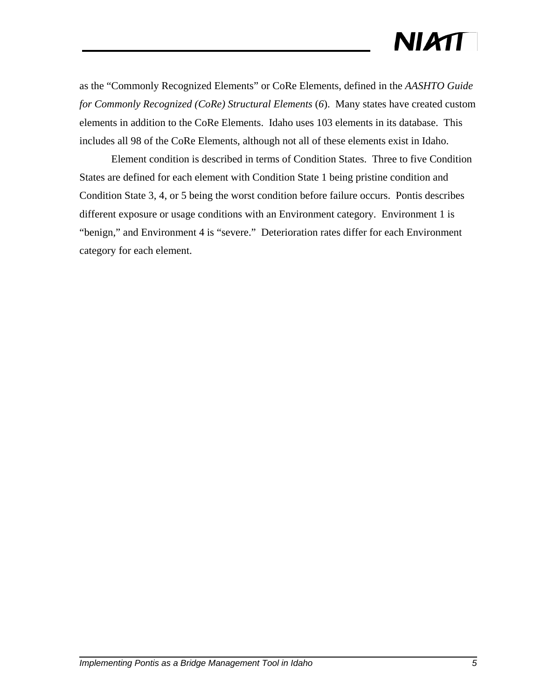as the "Commonly Recognized Elements" or CoRe Elements, defined in the *AASHTO Guide for Commonly Recognized (CoRe) Structural Elements* (*6*). Many states have created custom elements in addition to the CoRe Elements. Idaho uses 103 elements in its database. This includes all 98 of the CoRe Elements, although not all of these elements exist in Idaho.

Element condition is described in terms of Condition States. Three to five Condition States are defined for each element with Condition State 1 being pristine condition and Condition State 3, 4, or 5 being the worst condition before failure occurs. Pontis describes different exposure or usage conditions with an Environment category. Environment 1 is "benign," and Environment 4 is "severe." Deterioration rates differ for each Environment category for each element.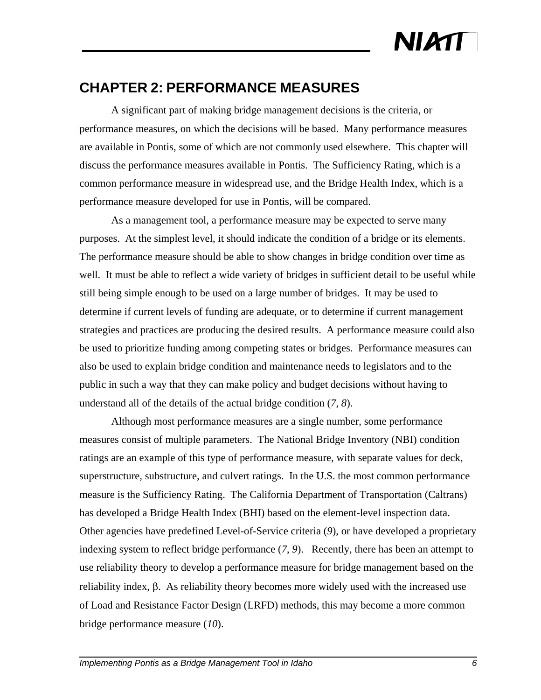### **CHAPTER 2: PERFORMANCE MEASURES**

A significant part of making bridge management decisions is the criteria, or performance measures, on which the decisions will be based. Many performance measures are available in Pontis, some of which are not commonly used elsewhere. This chapter will discuss the performance measures available in Pontis. The Sufficiency Rating, which is a common performance measure in widespread use, and the Bridge Health Index, which is a performance measure developed for use in Pontis, will be compared.

As a management tool, a performance measure may be expected to serve many purposes. At the simplest level, it should indicate the condition of a bridge or its elements. The performance measure should be able to show changes in bridge condition over time as well. It must be able to reflect a wide variety of bridges in sufficient detail to be useful while still being simple enough to be used on a large number of bridges. It may be used to determine if current levels of funding are adequate, or to determine if current management strategies and practices are producing the desired results. A performance measure could also be used to prioritize funding among competing states or bridges. Performance measures can also be used to explain bridge condition and maintenance needs to legislators and to the public in such a way that they can make policy and budget decisions without having to understand all of the details of the actual bridge condition (*7*, *8*).

Although most performance measures are a single number, some performance measures consist of multiple parameters. The National Bridge Inventory (NBI) condition ratings are an example of this type of performance measure, with separate values for deck, superstructure, substructure, and culvert ratings. In the U.S. the most common performance measure is the Sufficiency Rating. The California Department of Transportation (Caltrans) has developed a Bridge Health Index (BHI) based on the element-level inspection data. Other agencies have predefined Level-of-Service criteria (*9*), or have developed a proprietary indexing system to reflect bridge performance (*7*, *9*). Recently, there has been an attempt to use reliability theory to develop a performance measure for bridge management based on the reliability index, β. As reliability theory becomes more widely used with the increased use of Load and Resistance Factor Design (LRFD) methods, this may become a more common bridge performance measure (*10*).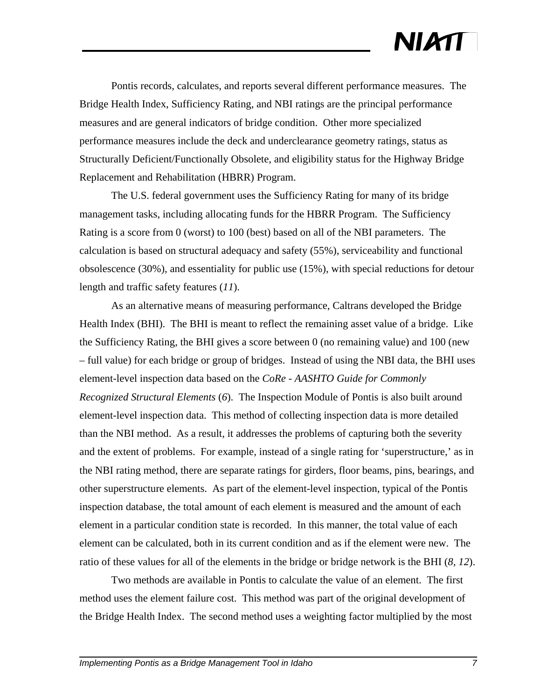Pontis records, calculates, and reports several different performance measures. The Bridge Health Index, Sufficiency Rating, and NBI ratings are the principal performance measures and are general indicators of bridge condition. Other more specialized performance measures include the deck and underclearance geometry ratings, status as Structurally Deficient/Functionally Obsolete, and eligibility status for the Highway Bridge Replacement and Rehabilitation (HBRR) Program.

The U.S. federal government uses the Sufficiency Rating for many of its bridge management tasks, including allocating funds for the HBRR Program. The Sufficiency Rating is a score from 0 (worst) to 100 (best) based on all of the NBI parameters. The calculation is based on structural adequacy and safety (55%), serviceability and functional obsolescence (30%), and essentiality for public use (15%), with special reductions for detour length and traffic safety features (*11*).

As an alternative means of measuring performance, Caltrans developed the Bridge Health Index (BHI). The BHI is meant to reflect the remaining asset value of a bridge. Like the Sufficiency Rating, the BHI gives a score between 0 (no remaining value) and 100 (new – full value) for each bridge or group of bridges. Instead of using the NBI data, the BHI uses element-level inspection data based on the *CoRe - AASHTO Guide for Commonly Recognized Structural Elements* (*6*). The Inspection Module of Pontis is also built around element-level inspection data. This method of collecting inspection data is more detailed than the NBI method. As a result, it addresses the problems of capturing both the severity and the extent of problems. For example, instead of a single rating for 'superstructure,' as in the NBI rating method, there are separate ratings for girders, floor beams, pins, bearings, and other superstructure elements. As part of the element-level inspection, typical of the Pontis inspection database, the total amount of each element is measured and the amount of each element in a particular condition state is recorded. In this manner, the total value of each element can be calculated, both in its current condition and as if the element were new. The ratio of these values for all of the elements in the bridge or bridge network is the BHI (*8*, *12*).

Two methods are available in Pontis to calculate the value of an element. The first method uses the element failure cost. This method was part of the original development of the Bridge Health Index. The second method uses a weighting factor multiplied by the most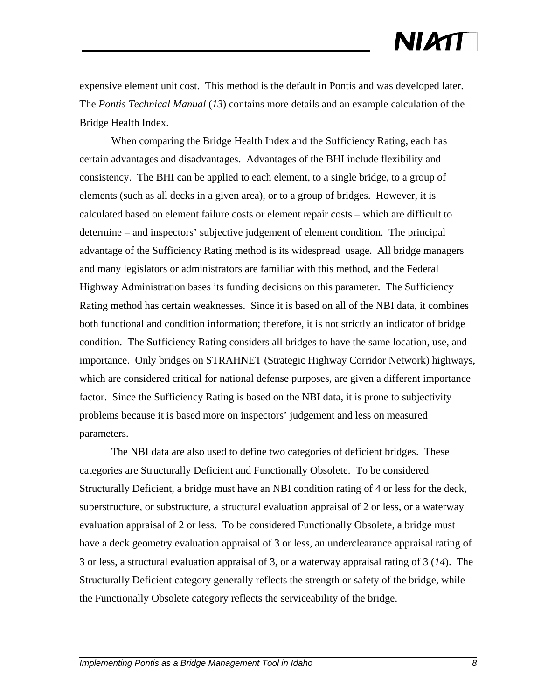expensive element unit cost. This method is the default in Pontis and was developed later. The *Pontis Technical Manual* (*13*) contains more details and an example calculation of the Bridge Health Index.

When comparing the Bridge Health Index and the Sufficiency Rating, each has certain advantages and disadvantages. Advantages of the BHI include flexibility and consistency. The BHI can be applied to each element, to a single bridge, to a group of elements (such as all decks in a given area), or to a group of bridges. However, it is calculated based on element failure costs or element repair costs – which are difficult to determine – and inspectors' subjective judgement of element condition. The principal advantage of the Sufficiency Rating method is its widespread usage. All bridge managers and many legislators or administrators are familiar with this method, and the Federal Highway Administration bases its funding decisions on this parameter. The Sufficiency Rating method has certain weaknesses. Since it is based on all of the NBI data, it combines both functional and condition information; therefore, it is not strictly an indicator of bridge condition. The Sufficiency Rating considers all bridges to have the same location, use, and importance. Only bridges on STRAHNET (Strategic Highway Corridor Network) highways, which are considered critical for national defense purposes, are given a different importance factor. Since the Sufficiency Rating is based on the NBI data, it is prone to subjectivity problems because it is based more on inspectors' judgement and less on measured parameters.

The NBI data are also used to define two categories of deficient bridges. These categories are Structurally Deficient and Functionally Obsolete. To be considered Structurally Deficient, a bridge must have an NBI condition rating of 4 or less for the deck, superstructure, or substructure, a structural evaluation appraisal of 2 or less, or a waterway evaluation appraisal of 2 or less. To be considered Functionally Obsolete, a bridge must have a deck geometry evaluation appraisal of 3 or less, an underclearance appraisal rating of 3 or less, a structural evaluation appraisal of 3, or a waterway appraisal rating of 3 (*14*). The Structurally Deficient category generally reflects the strength or safety of the bridge, while the Functionally Obsolete category reflects the serviceability of the bridge.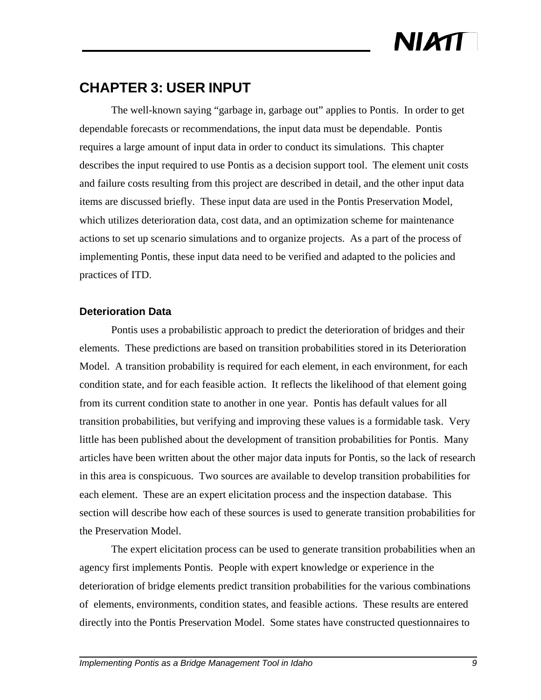### **CHAPTER 3: USER INPUT**

The well-known saying "garbage in, garbage out" applies to Pontis. In order to get dependable forecasts or recommendations, the input data must be dependable. Pontis requires a large amount of input data in order to conduct its simulations. This chapter describes the input required to use Pontis as a decision support tool. The element unit costs and failure costs resulting from this project are described in detail, and the other input data items are discussed briefly. These input data are used in the Pontis Preservation Model, which utilizes deterioration data, cost data, and an optimization scheme for maintenance actions to set up scenario simulations and to organize projects. As a part of the process of implementing Pontis, these input data need to be verified and adapted to the policies and practices of ITD.

#### **Deterioration Data**

Pontis uses a probabilistic approach to predict the deterioration of bridges and their elements. These predictions are based on transition probabilities stored in its Deterioration Model. A transition probability is required for each element, in each environment, for each condition state, and for each feasible action. It reflects the likelihood of that element going from its current condition state to another in one year. Pontis has default values for all transition probabilities, but verifying and improving these values is a formidable task. Very little has been published about the development of transition probabilities for Pontis. Many articles have been written about the other major data inputs for Pontis, so the lack of research in this area is conspicuous. Two sources are available to develop transition probabilities for each element. These are an expert elicitation process and the inspection database. This section will describe how each of these sources is used to generate transition probabilities for the Preservation Model.

The expert elicitation process can be used to generate transition probabilities when an agency first implements Pontis. People with expert knowledge or experience in the deterioration of bridge elements predict transition probabilities for the various combinations of elements, environments, condition states, and feasible actions. These results are entered directly into the Pontis Preservation Model. Some states have constructed questionnaires to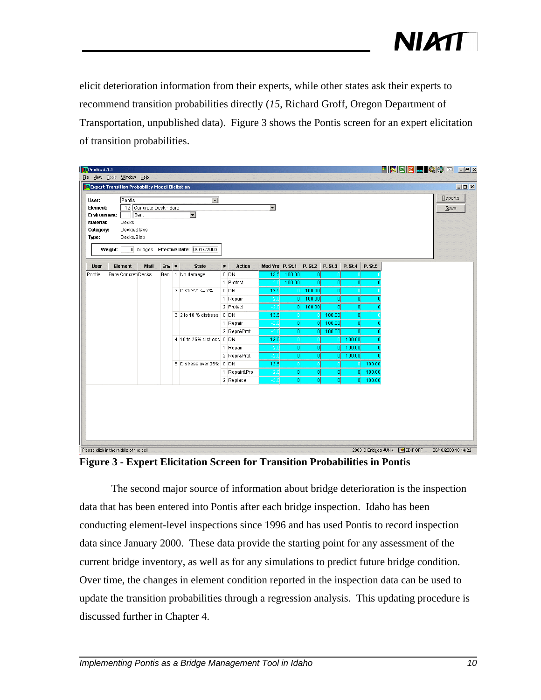

elicit deterioration information from their experts, while other states ask their experts to recommend transition probabilities directly (*15*, Richard Groff, Oregon Department of Transportation, unpublished data). Figure 3 shows the Pontis screen for an expert elicitation of transition probabilities.

| File View Tools Window Help<br><b>P4</b> Expert Transition Probability Model Elicitation<br>User: |                    |                         |         |                                      |                                                      |               |                          |                                                                                                              |        |                         |              | HXXIII QQD JJX |  |         |
|---------------------------------------------------------------------------------------------------|--------------------|-------------------------|---------|--------------------------------------|------------------------------------------------------|---------------|--------------------------|--------------------------------------------------------------------------------------------------------------|--------|-------------------------|--------------|----------------|--|---------|
|                                                                                                   |                    |                         |         |                                      |                                                      |               |                          |                                                                                                              |        |                         |              |                |  | $-12x$  |
|                                                                                                   |                    |                         |         |                                      |                                                      |               |                          |                                                                                                              |        |                         |              |                |  |         |
|                                                                                                   | Pontis             |                         |         | $\blacksquare$                       |                                                      |               |                          |                                                                                                              |        |                         |              |                |  | Reports |
| Element:                                                                                          |                    | 12 Concrete Deck - Bare |         |                                      |                                                      |               | $\overline{\phantom{0}}$ |                                                                                                              |        |                         |              |                |  | $S$ ave |
| <b>Environment:</b><br>Material:                                                                  | 1 Ben.<br>Decks    |                         |         | $\overline{\phantom{0}}$             |                                                      |               |                          |                                                                                                              |        |                         |              |                |  |         |
| Category:                                                                                         | Decks/Slabs        |                         |         |                                      |                                                      |               |                          |                                                                                                              |        |                         |              |                |  |         |
| Type:                                                                                             | Decks/Slab         |                         |         |                                      |                                                      |               |                          |                                                                                                              |        |                         |              |                |  |         |
| Weight:                                                                                           |                    |                         |         | 0 bridges Effective Date: 05/16/2003 |                                                      |               |                          |                                                                                                              |        |                         |              |                |  |         |
| <b>User</b>                                                                                       | <b>Element</b>     | Matl                    | $Emv$ # | <b>State</b>                         | #                                                    | <b>Action</b> | Med Yrs P. St.1          |                                                                                                              |        | P. St.2 P. St.3 P. St.4 |              | <b>P.St.5</b>  |  |         |
| Pontis                                                                                            | Bare ConcretiDecks |                         |         | Ben. 1 No damage                     |                                                      | $0$ DN        | 13.5                     | 100.00                                                                                                       | 0      |                         |              |                |  |         |
|                                                                                                   |                    |                         |         |                                      |                                                      | 1 Protect     |                          | 100.00                                                                                                       | ΩI     | -ol                     | 0            |                |  |         |
|                                                                                                   |                    | 2 Distress <= $2\%$     |         | $0$ DN                               | 13.5                                                 |               | 100.00                   | <sub>0</sub>                                                                                                 |        |                         |              |                |  |         |
|                                                                                                   |                    |                         |         |                                      |                                                      | 1 Repair      |                          | 아                                                                                                            | 100.00 | 0                       | 0            |                |  |         |
|                                                                                                   |                    |                         |         |                                      |                                                      | 2 Protect     |                          | 0                                                                                                            | 100.00 | 0                       | 0            |                |  |         |
|                                                                                                   |                    |                         |         |                                      |                                                      |               |                          |                                                                                                              |        |                         |              |                |  |         |
|                                                                                                   |                    |                         |         |                                      | 3 2 to 10 % distress 0 DN<br>1 Repair<br>2 Repr&Prot |               |                          |                                                                                                              |        |                         |              |                |  |         |
|                                                                                                   |                    |                         |         | 4 10 to 25% distress 0 DN            |                                                      |               |                          | 100.00<br>13.5<br> 0 <br>100.00<br>0l<br> 0 <br><sub>0</sub><br>100.00<br> 0 <br>O.<br> 0 <br>13.5<br>100.00 |        |                         |              |                |  |         |
|                                                                                                   |                    |                         |         |                                      |                                                      | 1 Repair      |                          | <sub>0</sub>                                                                                                 | οl     | 0l                      | 100.00       |                |  |         |
|                                                                                                   |                    |                         |         |                                      |                                                      | 2 Repr&Prot   |                          | o                                                                                                            | 0l     | 0l                      | 100.00       |                |  |         |
|                                                                                                   |                    |                         |         | 5 Distress over 25% 0 DN             |                                                      |               | 13.5                     |                                                                                                              |        |                         |              | 100.00         |  |         |
|                                                                                                   |                    |                         |         |                                      |                                                      | 1 Repair&Pro  |                          | o                                                                                                            | nı     | 0                       | <sup>0</sup> | 100.00         |  |         |
|                                                                                                   |                    |                         |         |                                      |                                                      | 2 Replace     |                          | $\overline{0}$                                                                                               | ۵l     | o                       | 0I           | 100.00         |  |         |

**Figure 3 - Expert Elicitation Screen for Transition Probabilities in Pontis**

The second major source of information about bridge deterioration is the inspection data that has been entered into Pontis after each bridge inspection. Idaho has been conducting element-level inspections since 1996 and has used Pontis to record inspection data since January 2000. These data provide the starting point for any assessment of the current bridge inventory, as well as for any simulations to predict future bridge condition. Over time, the changes in element condition reported in the inspection data can be used to update the transition probabilities through a regression analysis. This updating procedure is discussed further in Chapter 4.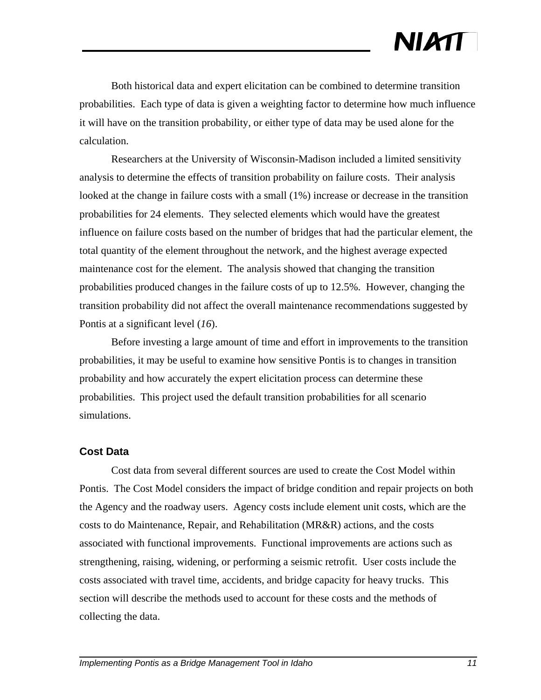Both historical data and expert elicitation can be combined to determine transition probabilities. Each type of data is given a weighting factor to determine how much influence it will have on the transition probability, or either type of data may be used alone for the calculation.

Researchers at the University of Wisconsin-Madison included a limited sensitivity analysis to determine the effects of transition probability on failure costs. Their analysis looked at the change in failure costs with a small (1%) increase or decrease in the transition probabilities for 24 elements. They selected elements which would have the greatest influence on failure costs based on the number of bridges that had the particular element, the total quantity of the element throughout the network, and the highest average expected maintenance cost for the element. The analysis showed that changing the transition probabilities produced changes in the failure costs of up to 12.5%. However, changing the transition probability did not affect the overall maintenance recommendations suggested by Pontis at a significant level (*16*).

Before investing a large amount of time and effort in improvements to the transition probabilities, it may be useful to examine how sensitive Pontis is to changes in transition probability and how accurately the expert elicitation process can determine these probabilities. This project used the default transition probabilities for all scenario simulations.

#### **Cost Data**

Cost data from several different sources are used to create the Cost Model within Pontis. The Cost Model considers the impact of bridge condition and repair projects on both the Agency and the roadway users. Agency costs include element unit costs, which are the costs to do Maintenance, Repair, and Rehabilitation (MR&R) actions, and the costs associated with functional improvements. Functional improvements are actions such as strengthening, raising, widening, or performing a seismic retrofit. User costs include the costs associated with travel time, accidents, and bridge capacity for heavy trucks. This section will describe the methods used to account for these costs and the methods of collecting the data.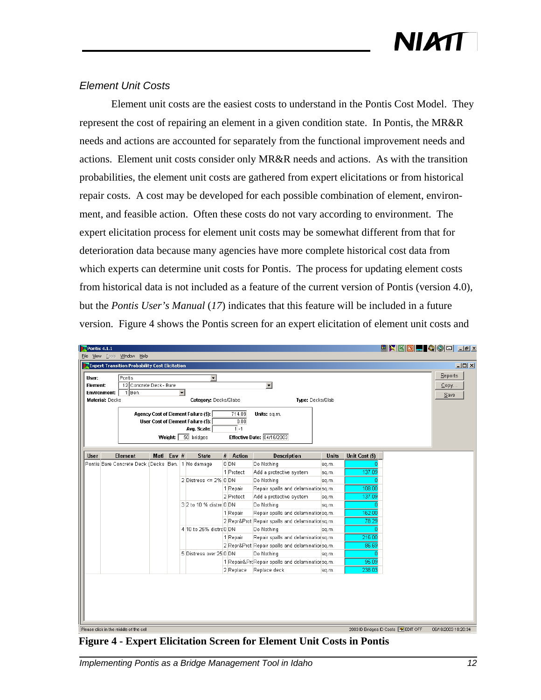#### *Element Unit Costs*

Element unit costs are the easiest costs to understand in the Pontis Cost Model. They represent the cost of repairing an element in a given condition state. In Pontis, the MR&R needs and actions are accounted for separately from the functional improvement needs and actions. Element unit costs consider only MR&R needs and actions. As with the transition probabilities, the element unit costs are gathered from expert elicitations or from historical repair costs. A cost may be developed for each possible combination of element, environment, and feasible action. Often these costs do not vary according to environment. The expert elicitation process for element unit costs may be somewhat different from that for deterioration data because many agencies have more complete historical cost data from which experts can determine unit costs for Pontis. The process for updating element costs from historical data is not included as a feature of the current version of Pontis (version 4.0), but the *Pontis User's Manual* (*17*) indicates that this feature will be included in a future version. Figure 4 shows the Pontis screen for an expert elicitation of element unit costs and

| Pontis $4.1.1$<br>File                        |  | View Tools Window Help<br><b>PT</b> Expert Transition Probability Cost Elicitation |      |                          |                                                                            |                                     |                                                 |              |                | HXXOHQD HX                            | $-10x$              |
|-----------------------------------------------|--|------------------------------------------------------------------------------------|------|--------------------------|----------------------------------------------------------------------------|-------------------------------------|-------------------------------------------------|--------------|----------------|---------------------------------------|---------------------|
| User:                                         |  | Pontis                                                                             |      |                          | $\mathbf{r}$                                                               |                                     |                                                 |              |                |                                       | Reports             |
| Element:                                      |  | 12 Concrete Deck - Bare                                                            |      |                          |                                                                            |                                     | $\overline{\phantom{a}}$                        |              |                |                                       | $\mathsf{Copy}$     |
| <b>Environment:</b><br><b>Material: Decks</b> |  | 1 Ben.                                                                             |      |                          | $\vert \cdot \vert$<br>Category: Decks/Slabs                               |                                     | Type: Decks/Slab                                |              |                |                                       | Save                |
|                                               |  |                                                                                    |      |                          | Agency Cost of Element Failure (\$):<br>User Cost of Element Failure (\$): | 714.09<br>0.00                      | Units: sq.m.                                    |              |                |                                       |                     |
|                                               |  |                                                                                    |      | Weight:                  | Avg. Scale:<br>$50$ bridges                                                | $\overline{1}$ -1                   | Effective Date: 04/16/2003                      |              |                |                                       |                     |
| <b>User</b>                                   |  | <b>Element</b>                                                                     | Matl | Env $#$                  | <b>State</b>                                                               | #<br>Action                         | <b>Description</b>                              | <b>Units</b> | Unit Cost (\$) |                                       |                     |
|                                               |  |                                                                                    |      |                          | Pontis Bare Concrete Deck (Decks Ben.   1 No damage                        | 0 <sub>DN</sub>                     | Do Nothing                                      | sq.m.        |                |                                       |                     |
|                                               |  |                                                                                    |      |                          | 1 Protect                                                                  | Add a protective system             | sq.m.                                           | 137.09       |                |                                       |                     |
|                                               |  |                                                                                    |      | 2 Distress <= $2\%$ 0 DN |                                                                            | Do Nothing                          | sq.m.                                           |              |                |                                       |                     |
|                                               |  |                                                                                    |      |                          | 1 Repair                                                                   | Repair spalls and delaminationsq.m. |                                                 | 108.00       |                |                                       |                     |
|                                               |  |                                                                                    |      |                          |                                                                            | 2 Protect                           | Add a protective system                         | sq.m.        | 137.09         |                                       |                     |
|                                               |  |                                                                                    |      |                          | 3 2 to 10 % distre 0 DN                                                    |                                     | Do Nothing                                      | sq.m.        |                |                                       |                     |
|                                               |  |                                                                                    |      |                          |                                                                            | 1 Repair                            | Repair spalls and delaminationsq.m.             |              | 162.00         |                                       |                     |
|                                               |  |                                                                                    |      |                          |                                                                            |                                     | 2 Repr&Prot Repair spalls and delaminationsq.m. |              | 78.29          |                                       |                     |
|                                               |  |                                                                                    |      |                          | 4 10 to 25% distre 0 DN                                                    |                                     | Do Nothing                                      | sq.m.        |                |                                       |                     |
|                                               |  |                                                                                    |      |                          |                                                                            | 1 Repair                            | Repair spalls and delaminationsq.m.             |              | 216.00         |                                       |                     |
|                                               |  |                                                                                    |      |                          |                                                                            |                                     | 2 Repr&Prot Repair spalls and delaminationsq.m. |              | 86.69          |                                       |                     |
|                                               |  |                                                                                    |      |                          | 5 Distress over 25 0 DN                                                    |                                     | Do Nothing                                      | sq.m.        |                |                                       |                     |
|                                               |  |                                                                                    |      |                          |                                                                            |                                     | 1 Repair&ProRepair spalls and delaminationsq.m. |              | 95.09          |                                       |                     |
|                                               |  |                                                                                    |      |                          |                                                                            | 2 Replace                           | Replace deck                                    | sq.m.        | 238.03         |                                       |                     |
|                                               |  |                                                                                    |      |                          |                                                                            |                                     |                                                 |              |                |                                       |                     |
|                                               |  | Please click in the middle of the cell                                             |      |                          |                                                                            |                                     |                                                 |              |                | 2003 ID Bridges ID Costs Law EDIT OFF | 08/18/2003 10:20:34 |

**Figure 4 - Expert Elicitation Screen for Element Unit Costs in Pontis**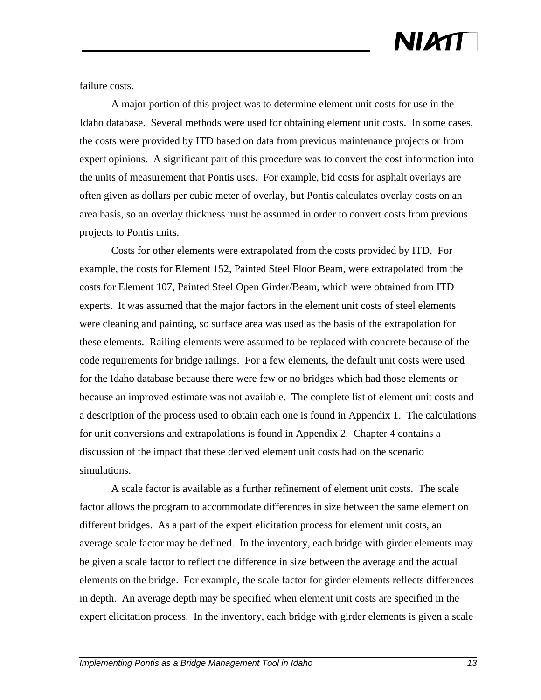failure costs.

A major portion of this project was to determine element unit costs for use in the Idaho database. Several methods were used for obtaining element unit costs. In some cases, the costs were provided by ITD based on data from previous maintenance projects or from expert opinions. A significant part of this procedure was to convert the cost information into the units of measurement that Pontis uses. For example, bid costs for asphalt overlays are often given as dollars per cubic meter of overlay, but Pontis calculates overlay costs on an area basis, so an overlay thickness must be assumed in order to convert costs from previous projects to Pontis units.

Costs for other elements were extrapolated from the costs provided by ITD. For example, the costs for Element 152, Painted Steel Floor Beam, were extrapolated from the costs for Element 107, Painted Steel Open Girder/Beam, which were obtained from ITD experts. It was assumed that the major factors in the element unit costs of steel elements were cleaning and painting, so surface area was used as the basis of the extrapolation for these elements. Railing elements were assumed to be replaced with concrete because of the code requirements for bridge railings. For a few elements, the default unit costs were used for the Idaho database because there were few or no bridges which had those elements or because an improved estimate was not available. The complete list of element unit costs and a description of the process used to obtain each one is found in Appendix 1. The calculations for unit conversions and extrapolations is found in Appendix 2. Chapter 4 contains a discussion of the impact that these derived element unit costs had on the scenario simulations.

A scale factor is available as a further refinement of element unit costs. The scale factor allows the program to accommodate differences in size between the same element on different bridges. As a part of the expert elicitation process for element unit costs, an average scale factor may be defined. In the inventory, each bridge with girder elements may be given a scale factor to reflect the difference in size between the average and the actual elements on the bridge. For example, the scale factor for girder elements reflects differences in depth. An average depth may be specified when element unit costs are specified in the expert elicitation process. In the inventory, each bridge with girder elements is given a scale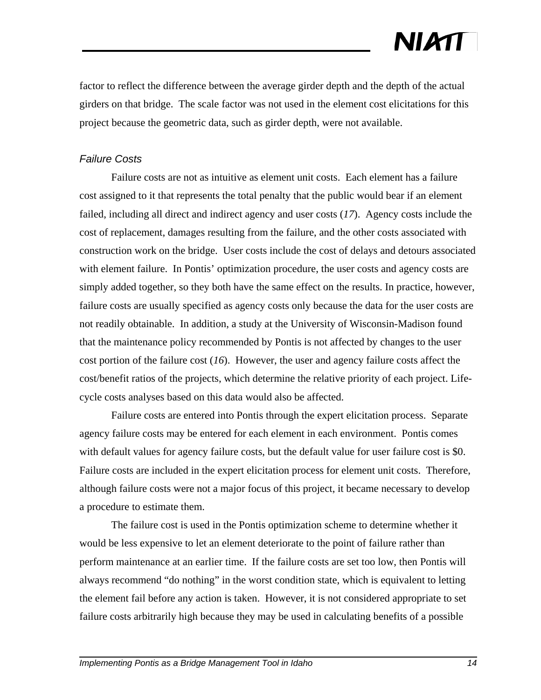factor to reflect the difference between the average girder depth and the depth of the actual girders on that bridge. The scale factor was not used in the element cost elicitations for this project because the geometric data, such as girder depth, were not available.

#### *Failure Costs*

Failure costs are not as intuitive as element unit costs. Each element has a failure cost assigned to it that represents the total penalty that the public would bear if an element failed, including all direct and indirect agency and user costs (*17*). Agency costs include the cost of replacement, damages resulting from the failure, and the other costs associated with construction work on the bridge. User costs include the cost of delays and detours associated with element failure. In Pontis' optimization procedure, the user costs and agency costs are simply added together, so they both have the same effect on the results. In practice, however, failure costs are usually specified as agency costs only because the data for the user costs are not readily obtainable. In addition, a study at the University of Wisconsin-Madison found that the maintenance policy recommended by Pontis is not affected by changes to the user cost portion of the failure cost (*16*). However, the user and agency failure costs affect the cost/benefit ratios of the projects, which determine the relative priority of each project. Lifecycle costs analyses based on this data would also be affected.

Failure costs are entered into Pontis through the expert elicitation process. Separate agency failure costs may be entered for each element in each environment. Pontis comes with default values for agency failure costs, but the default value for user failure cost is \$0. Failure costs are included in the expert elicitation process for element unit costs. Therefore, although failure costs were not a major focus of this project, it became necessary to develop a procedure to estimate them.

The failure cost is used in the Pontis optimization scheme to determine whether it would be less expensive to let an element deteriorate to the point of failure rather than perform maintenance at an earlier time. If the failure costs are set too low, then Pontis will always recommend "do nothing" in the worst condition state, which is equivalent to letting the element fail before any action is taken. However, it is not considered appropriate to set failure costs arbitrarily high because they may be used in calculating benefits of a possible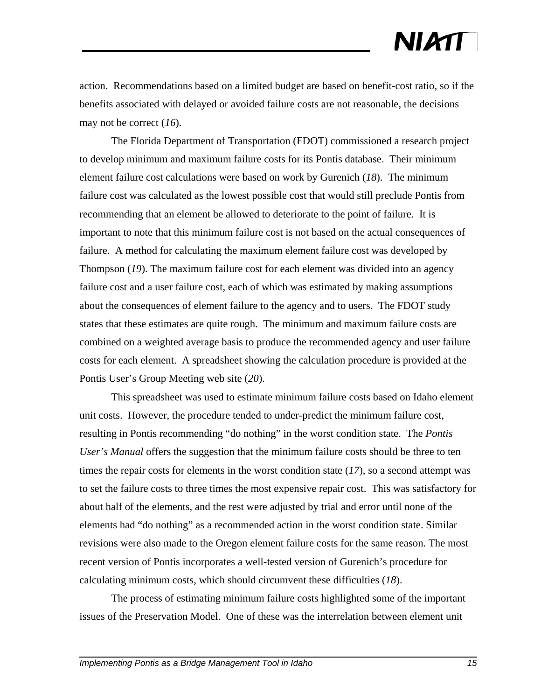action. Recommendations based on a limited budget are based on benefit-cost ratio, so if the benefits associated with delayed or avoided failure costs are not reasonable, the decisions may not be correct (*16*).

The Florida Department of Transportation (FDOT) commissioned a research project to develop minimum and maximum failure costs for its Pontis database. Their minimum element failure cost calculations were based on work by Gurenich (*18*). The minimum failure cost was calculated as the lowest possible cost that would still preclude Pontis from recommending that an element be allowed to deteriorate to the point of failure. It is important to note that this minimum failure cost is not based on the actual consequences of failure. A method for calculating the maximum element failure cost was developed by Thompson (*19*). The maximum failure cost for each element was divided into an agency failure cost and a user failure cost, each of which was estimated by making assumptions about the consequences of element failure to the agency and to users. The FDOT study states that these estimates are quite rough. The minimum and maximum failure costs are combined on a weighted average basis to produce the recommended agency and user failure costs for each element. A spreadsheet showing the calculation procedure is provided at the Pontis User's Group Meeting web site (*20*).

This spreadsheet was used to estimate minimum failure costs based on Idaho element unit costs. However, the procedure tended to under-predict the minimum failure cost, resulting in Pontis recommending "do nothing" in the worst condition state. The *Pontis User's Manual* offers the suggestion that the minimum failure costs should be three to ten times the repair costs for elements in the worst condition state (*17*), so a second attempt was to set the failure costs to three times the most expensive repair cost. This was satisfactory for about half of the elements, and the rest were adjusted by trial and error until none of the elements had "do nothing" as a recommended action in the worst condition state. Similar revisions were also made to the Oregon element failure costs for the same reason. The most recent version of Pontis incorporates a well-tested version of Gurenich's procedure for calculating minimum costs, which should circumvent these difficulties (*18*).

The process of estimating minimum failure costs highlighted some of the important issues of the Preservation Model. One of these was the interrelation between element unit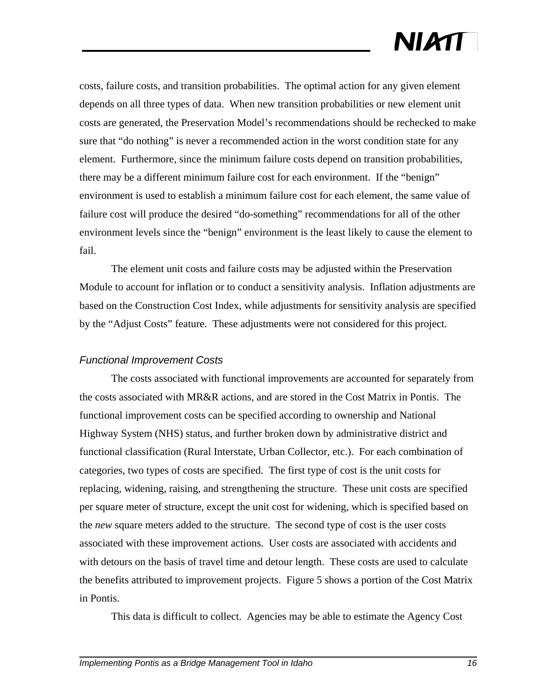costs, failure costs, and transition probabilities. The optimal action for any given element depends on all three types of data. When new transition probabilities or new element unit costs are generated, the Preservation Model's recommendations should be rechecked to make sure that "do nothing" is never a recommended action in the worst condition state for any element. Furthermore, since the minimum failure costs depend on transition probabilities, there may be a different minimum failure cost for each environment. If the "benign" environment is used to establish a minimum failure cost for each element, the same value of failure cost will produce the desired "do-something" recommendations for all of the other environment levels since the "benign" environment is the least likely to cause the element to fail.

The element unit costs and failure costs may be adjusted within the Preservation Module to account for inflation or to conduct a sensitivity analysis. Inflation adjustments are based on the Construction Cost Index, while adjustments for sensitivity analysis are specified by the "Adjust Costs" feature. These adjustments were not considered for this project.

#### *Functional Improvement Costs*

The costs associated with functional improvements are accounted for separately from the costs associated with MR&R actions, and are stored in the Cost Matrix in Pontis. The functional improvement costs can be specified according to ownership and National Highway System (NHS) status, and further broken down by administrative district and functional classification (Rural Interstate, Urban Collector, etc.). For each combination of categories, two types of costs are specified. The first type of cost is the unit costs for replacing, widening, raising, and strengthening the structure. These unit costs are specified per square meter of structure, except the unit cost for widening, which is specified based on the *new* square meters added to the structure. The second type of cost is the user costs associated with these improvement actions. User costs are associated with accidents and with detours on the basis of travel time and detour length. These costs are used to calculate the benefits attributed to improvement projects. Figure 5 shows a portion of the Cost Matrix in Pontis.

This data is difficult to collect. Agencies may be able to estimate the Agency Cost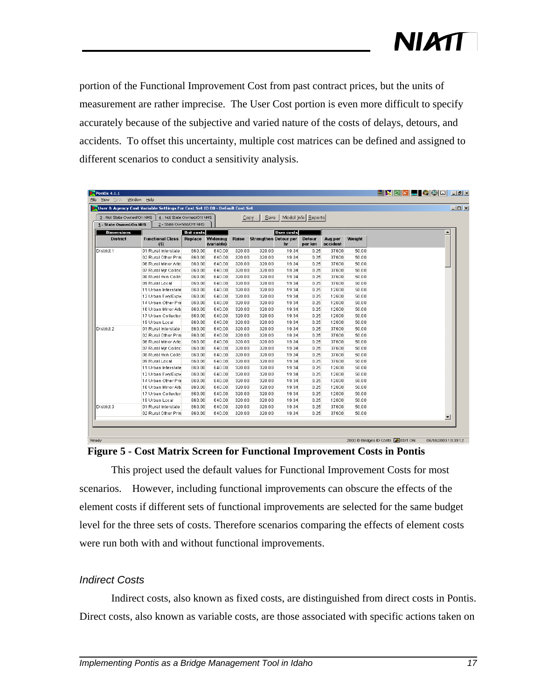portion of the Functional Improvement Cost from past contract prices, but the units of measurement are rather imprecise. The User Cost portion is even more difficult to specify accurately because of the subjective and varied nature of the costs of delays, detours, and accidents. To offset this uncertainty, multiple cost matrices can be defined and assigned to different scenarios to conduct a sensitivity analysis.

| 3 - Not State Owned/On NHS | 4 - Not State Owned/Off NHS    |            |                                | $Q$ opy | Save                         |                   | Model Info   Reports    |                     |        |                          |
|----------------------------|--------------------------------|------------|--------------------------------|---------|------------------------------|-------------------|-------------------------|---------------------|--------|--------------------------|
| 1 - State Owned/On NHS     | 2 - State Owned/Off NHS        |            |                                |         |                              |                   |                         |                     |        |                          |
| <b>Dimensions</b>          |                                | Unit costs |                                |         |                              | <b>User costs</b> |                         |                     |        |                          |
| <b>District</b>            | <b>Functional Class</b><br>(5) |            | Replace Widening<br>(variable) | Raise   | <b>Strengthen Detour per</b> | hг                | <b>Detour</b><br>per km | Avg per<br>accident | Weight |                          |
| District 1                 | 01 Rural Interstate            | 860.00     | 640.00                         | 320.00  | 320.00                       | 19.34             | 0.25                    | 37600               | 50.00  |                          |
|                            | 02 Rural Other Prin            | 860.00     | 640.00                         | 320.00  | 320.00                       | 19.34             | 0.25                    | 37600               | 50.00  |                          |
|                            | 06 Rural Minor Arte            | 860.00     | 640.00                         | 320.00  | 320.00                       | 19.34             | 0.25                    | 37600               | 50.00  |                          |
|                            | 07 Rural Mir Collec            | 860.00     | 640.00                         | 320.00  | 320.00                       | 19.34             | 0.25                    | 37600               | 50.00  |                          |
|                            | 08 Rural min Colle             | 860.00     | 640.00                         | 320.00  | 320.00                       | 19.34             | 0.25                    | 37600               | 50.00  |                          |
|                            | 09 Rural Local                 | 860.00     | 640.00                         | 320.00  | 320.00                       | 19.34             | 0.25                    | 37600               | 50.00  |                          |
|                            | 11 Urban Interstate            | 860.00     | 640.00                         | 320.00  | 320.00                       | 19.34             | 0.25                    | 12600               | 50.00  |                          |
|                            | 12 Urban Fwy/Expw              | 860.00     | 640.00                         | 320.00  | 320.00                       | 19.34             | 0.25                    | 12600               | 50.00  |                          |
|                            | 14 Urban Other Prii            | 860.00     | 640.00                         | 320.00  | 320.00                       | 19.34             | 0.25                    | 12600               | 50.00  |                          |
|                            | 16 Urban Minor Arts            | 860.00     | 640.00                         | 320.00  | 320.00                       | 19.34             | 0.25                    | 12600               | 50.00  |                          |
|                            | 17 Urban Collector             | 860.00     | 640.00                         | 320.00  | 320.00                       | 19.34             | 0.25                    | 12600               | 50.00  |                          |
|                            | 19 Urban Local                 | 860.00     | 640.00                         | 320.00  | 320.00                       | 19.34             | 0.25                    | 12600               | 50.00  |                          |
| District 2                 | 01 Rural Interstate            | 860.00     | 640.00                         | 320.00  | 320.00                       | 19.34             | 0.25                    | 37600               | 50.00  |                          |
|                            | 02 Rural Other Prin            | 860.00     | 640.00                         | 320.00  | 320.00                       | 19.34             | 0.25                    | 37600               | 50.00  |                          |
|                            | 06 Rural Minor Arte            | 860.00     | 640.00                         | 320.00  | 320.00                       | 19.34             | 0.25                    | 37600               | 50.00  |                          |
|                            | 07 Rural Mir Collec            | 860.00     | 640.00                         | 320.00  | 320.00                       | 19.34             | 0.25                    | 37600               | 50.00  |                          |
|                            | 08 Rural min Colle             | 860.00     | 640.00                         | 320.00  | 320.00                       | 19.34             | 0.25                    | 37600               | 50.00  |                          |
|                            | 09 Rural Local                 | 860.00     | 640.00                         | 320.00  | 320.00                       | 19.34             | 0.25                    | 37600               | 50.00  |                          |
|                            | 11 Urban Interstate            | 860.00     | 640.00                         | 320.00  | 320.00                       | 19.34             | 0.25                    | 12600               | 50.00  |                          |
|                            | 12 Urban Fwy/Expw              | 860.00     | 640.00                         | 320.00  | 320.00                       | 19.34             | 0.25                    | 12600               | 50.00  |                          |
|                            | 14 Urban Other Prii            | 860.00     | 640.00                         | 320.00  | 320.00                       | 19.34             | 0.25                    | 12600               | 50.00  |                          |
|                            | 16 Urban Minor Arte            | 860.00     | 640.00                         | 320.00  | 320.00                       | 19.34             | 0.25                    | 12600               | 50.00  |                          |
|                            | 17 Urban Collector             | 860.00     | 640.00                         | 320.00  | 320.00                       | 19.34             | 0.25                    | 12600               | 50.00  |                          |
|                            | 19 Urban Local                 | 860.00     | 640.00                         | 320.00  | 320.00                       | 19.34             | 0.25                    | 12600               | 50.00  |                          |
| District 3                 | 01 Rural Interstate            | 860.00     | 640.00                         | 320.00  | 320.00                       | 19.34             | 0.25                    | 37600               | 50.00  |                          |
|                            | 02 Rural Other Prin            | 860.00     | 640.00                         | 320.00  | 320.00                       | 19.34             | 0.25                    | 37600               | 50.00  | $\overline{\phantom{a}}$ |

**Figure 5 - Cost Matrix Screen for Functional Improvement Costs in Pontis**

This project used the default values for Functional Improvement Costs for most scenarios. However, including functional improvements can obscure the effects of the element costs if different sets of functional improvements are selected for the same budget level for the three sets of costs. Therefore scenarios comparing the effects of element costs were run both with and without functional improvements.

#### *Indirect Costs*

Indirect costs, also known as fixed costs, are distinguished from direct costs in Pontis. Direct costs, also known as variable costs, are those associated with specific actions taken on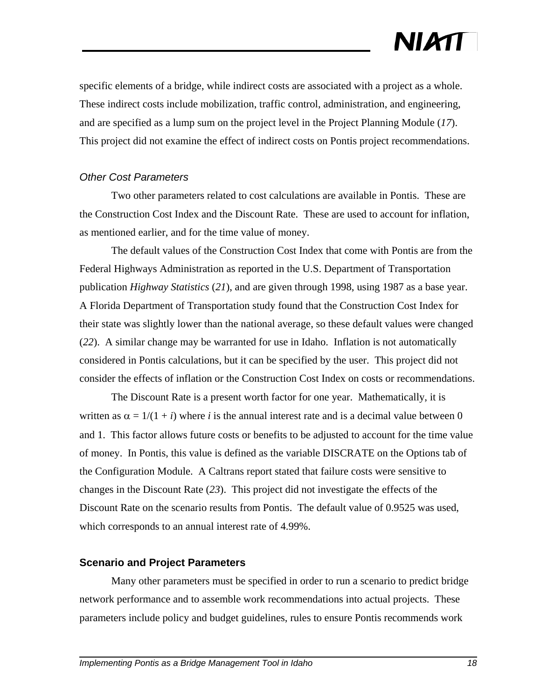specific elements of a bridge, while indirect costs are associated with a project as a whole. These indirect costs include mobilization, traffic control, administration, and engineering, and are specified as a lump sum on the project level in the Project Planning Module (*17*). This project did not examine the effect of indirect costs on Pontis project recommendations.

#### *Other Cost Parameters*

Two other parameters related to cost calculations are available in Pontis. These are the Construction Cost Index and the Discount Rate. These are used to account for inflation, as mentioned earlier, and for the time value of money.

The default values of the Construction Cost Index that come with Pontis are from the Federal Highways Administration as reported in the U.S. Department of Transportation publication *Highway Statistics* (*21*), and are given through 1998, using 1987 as a base year. A Florida Department of Transportation study found that the Construction Cost Index for their state was slightly lower than the national average, so these default values were changed (*22*). A similar change may be warranted for use in Idaho. Inflation is not automatically considered in Pontis calculations, but it can be specified by the user. This project did not consider the effects of inflation or the Construction Cost Index on costs or recommendations.

The Discount Rate is a present worth factor for one year. Mathematically, it is written as  $\alpha = 1/(1 + i)$  where *i* is the annual interest rate and is a decimal value between 0 and 1. This factor allows future costs or benefits to be adjusted to account for the time value of money. In Pontis, this value is defined as the variable DISCRATE on the Options tab of the Configuration Module. A Caltrans report stated that failure costs were sensitive to changes in the Discount Rate (*23*). This project did not investigate the effects of the Discount Rate on the scenario results from Pontis. The default value of 0.9525 was used, which corresponds to an annual interest rate of 4.99%.

#### **Scenario and Project Parameters**

Many other parameters must be specified in order to run a scenario to predict bridge network performance and to assemble work recommendations into actual projects. These parameters include policy and budget guidelines, rules to ensure Pontis recommends work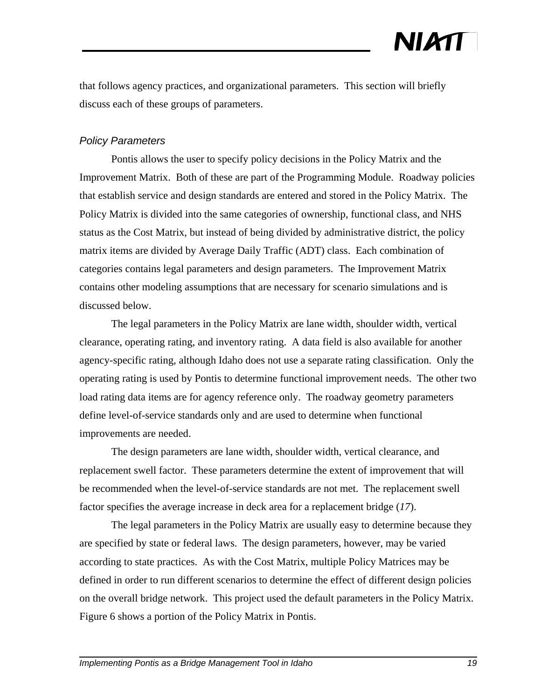that follows agency practices, and organizational parameters. This section will briefly discuss each of these groups of parameters.

#### *Policy Parameters*

Pontis allows the user to specify policy decisions in the Policy Matrix and the Improvement Matrix. Both of these are part of the Programming Module. Roadway policies that establish service and design standards are entered and stored in the Policy Matrix. The Policy Matrix is divided into the same categories of ownership, functional class, and NHS status as the Cost Matrix, but instead of being divided by administrative district, the policy matrix items are divided by Average Daily Traffic (ADT) class. Each combination of categories contains legal parameters and design parameters. The Improvement Matrix contains other modeling assumptions that are necessary for scenario simulations and is discussed below.

The legal parameters in the Policy Matrix are lane width, shoulder width, vertical clearance, operating rating, and inventory rating. A data field is also available for another agency-specific rating, although Idaho does not use a separate rating classification. Only the operating rating is used by Pontis to determine functional improvement needs. The other two load rating data items are for agency reference only. The roadway geometry parameters define level-of-service standards only and are used to determine when functional improvements are needed.

The design parameters are lane width, shoulder width, vertical clearance, and replacement swell factor. These parameters determine the extent of improvement that will be recommended when the level-of-service standards are not met. The replacement swell factor specifies the average increase in deck area for a replacement bridge (*17*).

The legal parameters in the Policy Matrix are usually easy to determine because they are specified by state or federal laws. The design parameters, however, may be varied according to state practices. As with the Cost Matrix, multiple Policy Matrices may be defined in order to run different scenarios to determine the effect of different design policies on the overall bridge network. This project used the default parameters in the Policy Matrix. Figure 6 shows a portion of the Policy Matrix in Pontis.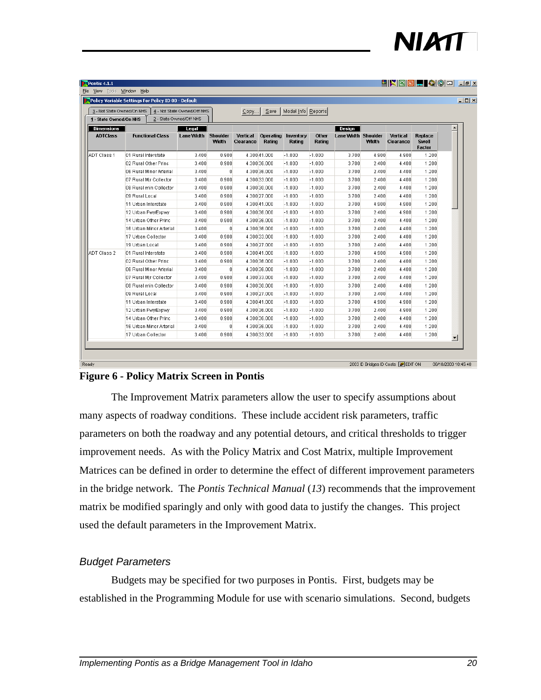| <u>hkrige Qod Led</u> |  |  |  |  |
|-----------------------|--|--|--|--|
|                       |  |  |  |  |

| 3 - Not State Owned/On NHS<br>1 - State Owned/On NHS |                         | 4 - Not State Owned/Off NHS<br>2 - State Owned/Off NHS |                          | Copy                  | Save                | Model Info   Reports |                        |                     |              |                       |                                   |                          |
|------------------------------------------------------|-------------------------|--------------------------------------------------------|--------------------------|-----------------------|---------------------|----------------------|------------------------|---------------------|--------------|-----------------------|-----------------------------------|--------------------------|
| <b>Dimensions</b>                                    |                         | Legal                                                  |                          |                       |                     |                      |                        | Design              |              |                       |                                   |                          |
| <b>ADTClass</b>                                      | <b>Functional Class</b> | Lane Width                                             | <b>Shoulder</b><br>Width | Vertical<br>Clearance | Operating<br>Rating | Inventory<br>Rating  | <b>Other</b><br>Rating | Lane Width Shoulder | <b>Width</b> | Vertical<br>Clearance | Replace<br><b>Swell</b><br>Factor |                          |
| ADT Class 1                                          | 01 Rural Interstate     | 3.400                                                  | 0.900                    |                       | 4.300 41.000        | $-1.000$             | $-1.000$               | 3.700               | 4.900        | 4.900                 | 1.200                             |                          |
|                                                      | 02 Rural Other Princ    | 3.400                                                  | 0.900                    |                       | 4.300 36.000        | $-1.000$             | $-1.000$               | 3.700               | 2.400        | 4.400                 | 1.200                             |                          |
|                                                      | 06 Rural Minor Arterial | 3.400                                                  | 0                        |                       | 4.300 36.000        | $-1.000$             | $-1.000$               | 3.700               | 2.400        | 4.400                 | 1.200                             |                          |
|                                                      | 07 Rural Mir Collector  | 3.400                                                  | 0.900                    |                       | 4.300 33.000        | $-1.000$             | $-1.000$               | 3.700               | 2.400        | 4.400                 | 1.200                             |                          |
|                                                      | 08 Rural min Collector  | 3.400                                                  | 0.900                    |                       | 4.300 30.000        | $-1.000$             | $-1.000$               | 3.700               | 2.400        | 4.400                 | 1.200                             |                          |
|                                                      | 09 Rural Local          | 3.400                                                  | 0.900                    |                       | 4.300 27.000        | $-1.000$             | $-1.000$               | 3.700               | 2.400        | 4.400                 | 1.200                             |                          |
|                                                      | 11 Urban Interstate     | 3.400                                                  | 0.900                    |                       | 4.300 41.000        | $-1.000$             | $-1.000$               | 3.700               | 4.900        | 4.900                 | 1.200                             |                          |
|                                                      | 12 Urban Fwy/Expwy      | 3.400                                                  | 0.900                    |                       | 4.300 36.000        | $-1.000$             | $-1.000$               | 3.700               | 2.400        | 4.900                 | 1.200                             |                          |
|                                                      | 14 Urban Other Princ    | 3.400                                                  | 0.900                    |                       | 4.300 36.000        | $-1.000$             | $-1.000$               | 3.700               | 2.400        | 4.400                 | 1.200                             |                          |
|                                                      | 16 Urban Minor Arterial | 3.400                                                  | 0                        |                       | 4.300 36.000        | $-1.000$             | $-1.000$               | 3.700               | 2.400        | 4.400                 | 1.200                             |                          |
|                                                      | 17 Urban Collector      | 3.400                                                  | 0.900                    |                       | 4.300 33.000        | $-1.000$             | $-1.000$               | 3.700               | 2.400        | 4.400                 | 1.200                             |                          |
|                                                      | 19 Urban Local          | 3.400                                                  | 0.900                    |                       | 4.300 27.000        | $-1.000$             | $-1.000$               | 3.700               | 2.400        | 4.400                 | 1.200                             |                          |
| ADT Class 2                                          | 01 Rural Interstate     | 3.400                                                  | 0.900                    |                       | 4.300 41.000        | $-1.000$             | $-1.000$               | 3.700               | 4.900        | 4.900                 | 1.200                             |                          |
|                                                      | 02 Rural Other Princ    | 3.400                                                  | 0.900                    |                       | 4.300 36.000        | $-1.000$             | $-1.000$               | 3.700               | 2.400        | 4.400                 | 1.200                             |                          |
|                                                      | 06 Rural Minor Arterial | 3.400                                                  | 0                        |                       | 4.300 36.000        | $-1.000$             | $-1.000$               | 3.700               | 2.400        | 4.400                 | 1.200                             |                          |
|                                                      | 07 Rural Mir Collector  | 3.400                                                  | 0.900                    |                       | 4.300 33.000        | $-1.000$             | $-1.000$               | 3.700               | 2.400        | 4.400                 | 1.200                             |                          |
|                                                      | 08 Rural min Collector  | 3.400                                                  | 0.900                    |                       | 4.300 30.000        | $-1.000$             | $-1.000$               | 3.700               | 2.400        | 4.400                 | 1.200                             |                          |
|                                                      | 09 Rural Local          | 3.400                                                  | 0.900                    |                       | 4.300 27.000        | $-1.000$             | $-1.000$               | 3.700               | 2.400        | 4.400                 | 1.200                             |                          |
|                                                      | 11 Urban Interstate     | 3.400                                                  | 0.900                    |                       | 4.300 41.000        | $-1.000$             | $-1.000$               | 3.700               | 4.900        | 4.900                 | 1.200                             |                          |
|                                                      | 12 Urban Fwy/Expwy      | 3.400                                                  | 0.900                    |                       | 4.300 36.000        | $-1.000$             | $-1.000$               | 3.700               | 2.400        | 4.900                 | 1.200                             |                          |
|                                                      | 14 Urban Other Princ    | 3.400                                                  | 0.900                    |                       | 4.300 36.000        | $-1.000$             | $-1.000$               | 3.700               | 2.400        | 4.400                 | 1.200                             |                          |
|                                                      | 16 Urban Minor Arterial | 3.400                                                  | $\mathbf 0$              |                       | 4.300 36.000        | $-1.000$             | $-1.000$               | 3.700               | 2.400        | 4.400                 | 1.200                             |                          |
|                                                      | 17 Urban Collector      | 3.400                                                  | 0.900                    |                       | 4.300 33.000        | $-1.000$             | $-1.000$               | 3.700               | 2.400        | 4.400                 | 1.200                             | $\overline{\phantom{a}}$ |

#### **Figure 6 - Policy Matrix Screen in Pontis**

The Improvement Matrix parameters allow the user to specify assumptions about many aspects of roadway conditions. These include accident risk parameters, traffic parameters on both the roadway and any potential detours, and critical thresholds to trigger improvement needs. As with the Policy Matrix and Cost Matrix, multiple Improvement Matrices can be defined in order to determine the effect of different improvement parameters in the bridge network. The *Pontis Technical Manual* (*13*) recommends that the improvement matrix be modified sparingly and only with good data to justify the changes. This project used the default parameters in the Improvement Matrix.

#### *Budget Parameters*

Budgets may be specified for two purposes in Pontis. First, budgets may be established in the Programming Module for use with scenario simulations. Second, budgets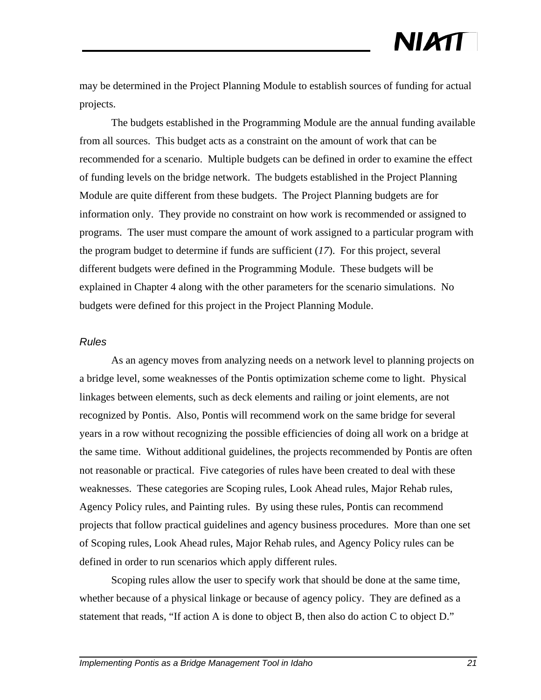may be determined in the Project Planning Module to establish sources of funding for actual projects.

The budgets established in the Programming Module are the annual funding available from all sources. This budget acts as a constraint on the amount of work that can be recommended for a scenario. Multiple budgets can be defined in order to examine the effect of funding levels on the bridge network. The budgets established in the Project Planning Module are quite different from these budgets. The Project Planning budgets are for information only. They provide no constraint on how work is recommended or assigned to programs. The user must compare the amount of work assigned to a particular program with the program budget to determine if funds are sufficient (*17*). For this project, several different budgets were defined in the Programming Module. These budgets will be explained in Chapter 4 along with the other parameters for the scenario simulations. No budgets were defined for this project in the Project Planning Module.

#### *Rules*

As an agency moves from analyzing needs on a network level to planning projects on a bridge level, some weaknesses of the Pontis optimization scheme come to light. Physical linkages between elements, such as deck elements and railing or joint elements, are not recognized by Pontis. Also, Pontis will recommend work on the same bridge for several years in a row without recognizing the possible efficiencies of doing all work on a bridge at the same time. Without additional guidelines, the projects recommended by Pontis are often not reasonable or practical. Five categories of rules have been created to deal with these weaknesses. These categories are Scoping rules, Look Ahead rules, Major Rehab rules, Agency Policy rules, and Painting rules. By using these rules, Pontis can recommend projects that follow practical guidelines and agency business procedures. More than one set of Scoping rules, Look Ahead rules, Major Rehab rules, and Agency Policy rules can be defined in order to run scenarios which apply different rules.

Scoping rules allow the user to specify work that should be done at the same time, whether because of a physical linkage or because of agency policy. They are defined as a statement that reads, "If action A is done to object B, then also do action C to object D."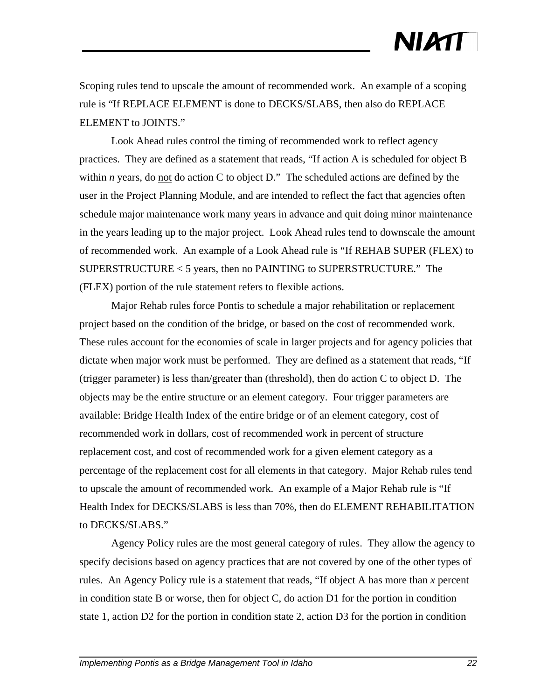Scoping rules tend to upscale the amount of recommended work. An example of a scoping rule is "If REPLACE ELEMENT is done to DECKS/SLABS, then also do REPLACE ELEMENT to JOINTS."

Look Ahead rules control the timing of recommended work to reflect agency practices. They are defined as a statement that reads, "If action A is scheduled for object B within *n* years, do <u>not</u> do action C to object D." The scheduled actions are defined by the user in the Project Planning Module, and are intended to reflect the fact that agencies often schedule major maintenance work many years in advance and quit doing minor maintenance in the years leading up to the major project. Look Ahead rules tend to downscale the amount of recommended work. An example of a Look Ahead rule is "If REHAB SUPER (FLEX) to SUPERSTRUCTURE < 5 years, then no PAINTING to SUPERSTRUCTURE." The (FLEX) portion of the rule statement refers to flexible actions.

Major Rehab rules force Pontis to schedule a major rehabilitation or replacement project based on the condition of the bridge, or based on the cost of recommended work. These rules account for the economies of scale in larger projects and for agency policies that dictate when major work must be performed. They are defined as a statement that reads, "If (trigger parameter) is less than/greater than (threshold), then do action C to object D. The objects may be the entire structure or an element category. Four trigger parameters are available: Bridge Health Index of the entire bridge or of an element category, cost of recommended work in dollars, cost of recommended work in percent of structure replacement cost, and cost of recommended work for a given element category as a percentage of the replacement cost for all elements in that category. Major Rehab rules tend to upscale the amount of recommended work. An example of a Major Rehab rule is "If Health Index for DECKS/SLABS is less than 70%, then do ELEMENT REHABILITATION to DECKS/SLABS."

Agency Policy rules are the most general category of rules. They allow the agency to specify decisions based on agency practices that are not covered by one of the other types of rules. An Agency Policy rule is a statement that reads, "If object A has more than *x* percent in condition state B or worse, then for object C, do action D1 for the portion in condition state 1, action D2 for the portion in condition state 2, action D3 for the portion in condition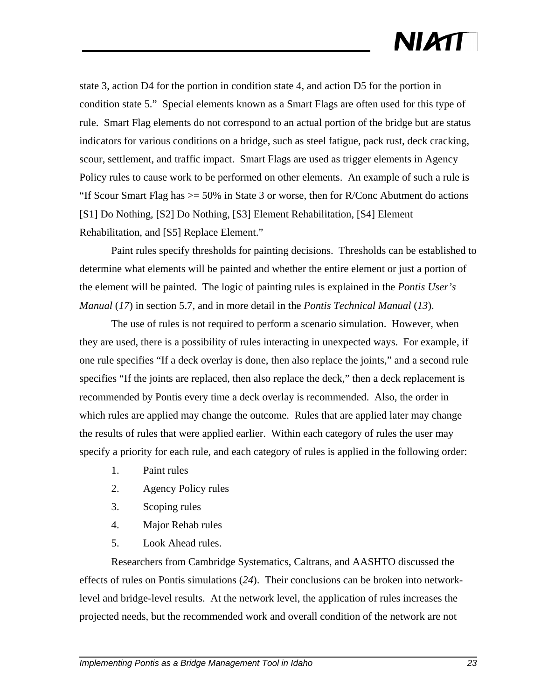state 3, action D4 for the portion in condition state 4, and action D5 for the portion in condition state 5." Special elements known as a Smart Flags are often used for this type of rule. Smart Flag elements do not correspond to an actual portion of the bridge but are status indicators for various conditions on a bridge, such as steel fatigue, pack rust, deck cracking, scour, settlement, and traffic impact. Smart Flags are used as trigger elements in Agency Policy rules to cause work to be performed on other elements. An example of such a rule is "If Scour Smart Flag has  $\geq$  50% in State 3 or worse, then for R/Conc Abutment do actions [S1] Do Nothing, [S2] Do Nothing, [S3] Element Rehabilitation, [S4] Element Rehabilitation, and [S5] Replace Element."

Paint rules specify thresholds for painting decisions. Thresholds can be established to determine what elements will be painted and whether the entire element or just a portion of the element will be painted. The logic of painting rules is explained in the *Pontis User's Manual* (*17*) in section 5.7, and in more detail in the *Pontis Technical Manual* (*13*).

The use of rules is not required to perform a scenario simulation. However, when they are used, there is a possibility of rules interacting in unexpected ways. For example, if one rule specifies "If a deck overlay is done, then also replace the joints," and a second rule specifies "If the joints are replaced, then also replace the deck," then a deck replacement is recommended by Pontis every time a deck overlay is recommended. Also, the order in which rules are applied may change the outcome. Rules that are applied later may change the results of rules that were applied earlier. Within each category of rules the user may specify a priority for each rule, and each category of rules is applied in the following order:

- 1. Paint rules
- 2. Agency Policy rules
- 3. Scoping rules
- 4. Major Rehab rules
- 5. Look Ahead rules.

Researchers from Cambridge Systematics, Caltrans, and AASHTO discussed the effects of rules on Pontis simulations (*24*). Their conclusions can be broken into networklevel and bridge-level results. At the network level, the application of rules increases the projected needs, but the recommended work and overall condition of the network are not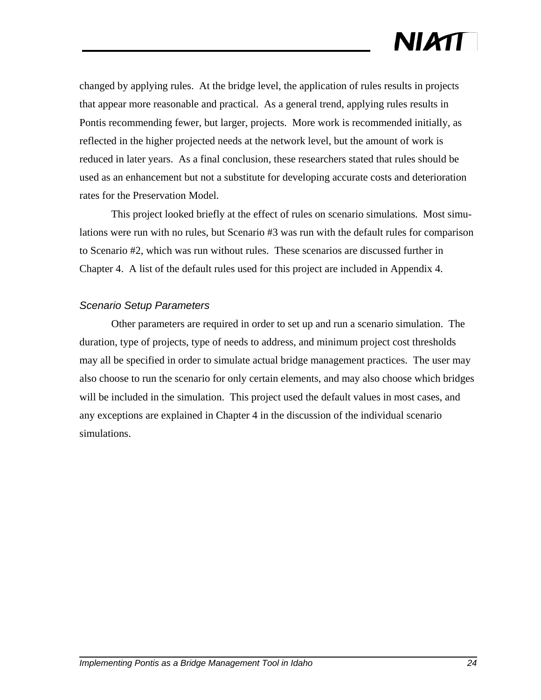changed by applying rules. At the bridge level, the application of rules results in projects that appear more reasonable and practical. As a general trend, applying rules results in Pontis recommending fewer, but larger, projects. More work is recommended initially, as reflected in the higher projected needs at the network level, but the amount of work is reduced in later years. As a final conclusion, these researchers stated that rules should be used as an enhancement but not a substitute for developing accurate costs and deterioration rates for the Preservation Model.

This project looked briefly at the effect of rules on scenario simulations. Most simulations were run with no rules, but Scenario #3 was run with the default rules for comparison to Scenario #2, which was run without rules. These scenarios are discussed further in Chapter 4. A list of the default rules used for this project are included in Appendix 4.

#### *Scenario Setup Parameters*

Other parameters are required in order to set up and run a scenario simulation. The duration, type of projects, type of needs to address, and minimum project cost thresholds may all be specified in order to simulate actual bridge management practices. The user may also choose to run the scenario for only certain elements, and may also choose which bridges will be included in the simulation. This project used the default values in most cases, and any exceptions are explained in Chapter 4 in the discussion of the individual scenario simulations.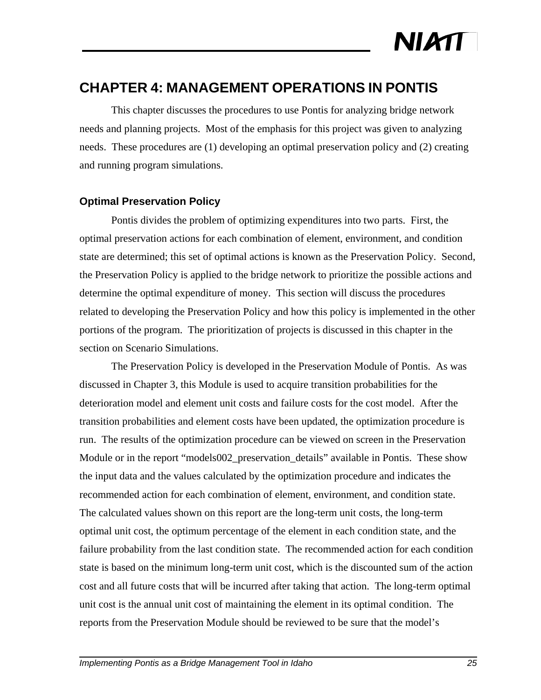

### **CHAPTER 4: MANAGEMENT OPERATIONS IN PONTIS**

This chapter discusses the procedures to use Pontis for analyzing bridge network needs and planning projects. Most of the emphasis for this project was given to analyzing needs. These procedures are (1) developing an optimal preservation policy and (2) creating and running program simulations.

#### **Optimal Preservation Policy**

Pontis divides the problem of optimizing expenditures into two parts. First, the optimal preservation actions for each combination of element, environment, and condition state are determined; this set of optimal actions is known as the Preservation Policy. Second, the Preservation Policy is applied to the bridge network to prioritize the possible actions and determine the optimal expenditure of money. This section will discuss the procedures related to developing the Preservation Policy and how this policy is implemented in the other portions of the program. The prioritization of projects is discussed in this chapter in the section on Scenario Simulations.

The Preservation Policy is developed in the Preservation Module of Pontis. As was discussed in Chapter 3, this Module is used to acquire transition probabilities for the deterioration model and element unit costs and failure costs for the cost model. After the transition probabilities and element costs have been updated, the optimization procedure is run. The results of the optimization procedure can be viewed on screen in the Preservation Module or in the report "models002 preservation details" available in Pontis. These show the input data and the values calculated by the optimization procedure and indicates the recommended action for each combination of element, environment, and condition state. The calculated values shown on this report are the long-term unit costs, the long-term optimal unit cost, the optimum percentage of the element in each condition state, and the failure probability from the last condition state. The recommended action for each condition state is based on the minimum long-term unit cost, which is the discounted sum of the action cost and all future costs that will be incurred after taking that action. The long-term optimal unit cost is the annual unit cost of maintaining the element in its optimal condition. The reports from the Preservation Module should be reviewed to be sure that the model's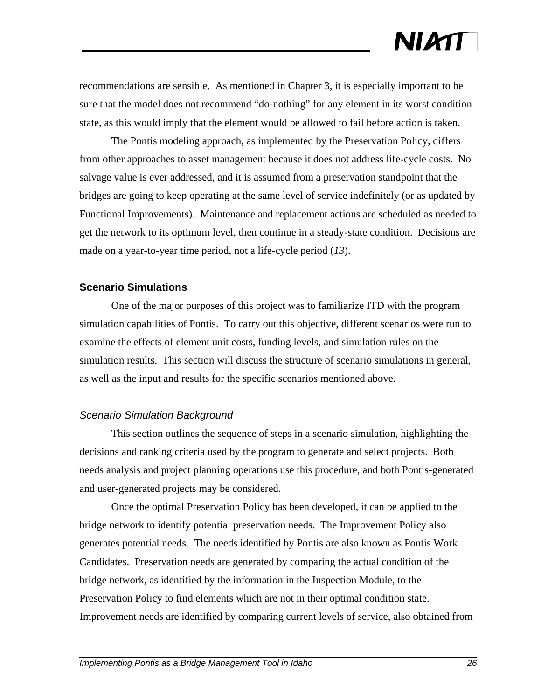recommendations are sensible. As mentioned in Chapter 3, it is especially important to be sure that the model does not recommend "do-nothing" for any element in its worst condition state, as this would imply that the element would be allowed to fail before action is taken.

The Pontis modeling approach, as implemented by the Preservation Policy, differs from other approaches to asset management because it does not address life-cycle costs. No salvage value is ever addressed, and it is assumed from a preservation standpoint that the bridges are going to keep operating at the same level of service indefinitely (or as updated by Functional Improvements). Maintenance and replacement actions are scheduled as needed to get the network to its optimum level, then continue in a steady-state condition. Decisions are made on a year-to-year time period, not a life-cycle period (*13*).

#### **Scenario Simulations**

One of the major purposes of this project was to familiarize ITD with the program simulation capabilities of Pontis. To carry out this objective, different scenarios were run to examine the effects of element unit costs, funding levels, and simulation rules on the simulation results. This section will discuss the structure of scenario simulations in general, as well as the input and results for the specific scenarios mentioned above.

#### *Scenario Simulation Background*

This section outlines the sequence of steps in a scenario simulation, highlighting the decisions and ranking criteria used by the program to generate and select projects. Both needs analysis and project planning operations use this procedure, and both Pontis-generated and user-generated projects may be considered.

Once the optimal Preservation Policy has been developed, it can be applied to the bridge network to identify potential preservation needs. The Improvement Policy also generates potential needs. The needs identified by Pontis are also known as Pontis Work Candidates. Preservation needs are generated by comparing the actual condition of the bridge network, as identified by the information in the Inspection Module, to the Preservation Policy to find elements which are not in their optimal condition state. Improvement needs are identified by comparing current levels of service, also obtained from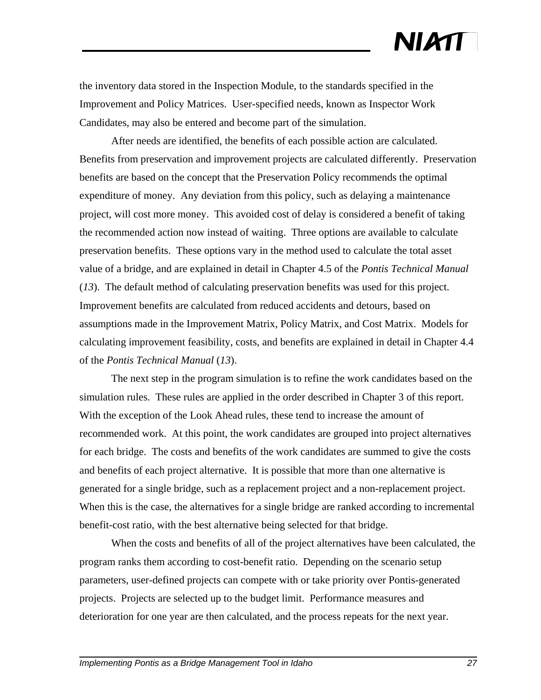the inventory data stored in the Inspection Module, to the standards specified in the Improvement and Policy Matrices. User-specified needs, known as Inspector Work Candidates, may also be entered and become part of the simulation.

After needs are identified, the benefits of each possible action are calculated. Benefits from preservation and improvement projects are calculated differently. Preservation benefits are based on the concept that the Preservation Policy recommends the optimal expenditure of money. Any deviation from this policy, such as delaying a maintenance project, will cost more money. This avoided cost of delay is considered a benefit of taking the recommended action now instead of waiting. Three options are available to calculate preservation benefits. These options vary in the method used to calculate the total asset value of a bridge, and are explained in detail in Chapter 4.5 of the *Pontis Technical Manual* (*13*). The default method of calculating preservation benefits was used for this project. Improvement benefits are calculated from reduced accidents and detours, based on assumptions made in the Improvement Matrix, Policy Matrix, and Cost Matrix. Models for calculating improvement feasibility, costs, and benefits are explained in detail in Chapter 4.4 of the *Pontis Technical Manual* (*13*).

The next step in the program simulation is to refine the work candidates based on the simulation rules. These rules are applied in the order described in Chapter 3 of this report. With the exception of the Look Ahead rules, these tend to increase the amount of recommended work. At this point, the work candidates are grouped into project alternatives for each bridge. The costs and benefits of the work candidates are summed to give the costs and benefits of each project alternative. It is possible that more than one alternative is generated for a single bridge, such as a replacement project and a non-replacement project. When this is the case, the alternatives for a single bridge are ranked according to incremental benefit-cost ratio, with the best alternative being selected for that bridge.

When the costs and benefits of all of the project alternatives have been calculated, the program ranks them according to cost-benefit ratio. Depending on the scenario setup parameters, user-defined projects can compete with or take priority over Pontis-generated projects. Projects are selected up to the budget limit. Performance measures and deterioration for one year are then calculated, and the process repeats for the next year.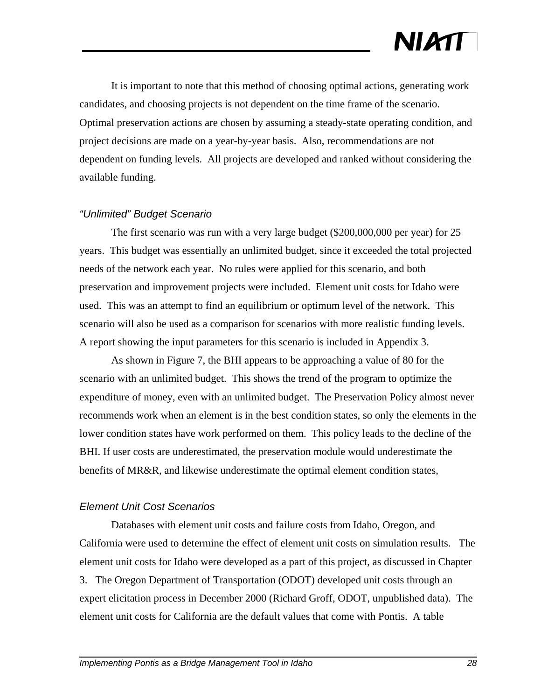It is important to note that this method of choosing optimal actions, generating work candidates, and choosing projects is not dependent on the time frame of the scenario. Optimal preservation actions are chosen by assuming a steady-state operating condition, and project decisions are made on a year-by-year basis. Also, recommendations are not dependent on funding levels. All projects are developed and ranked without considering the available funding.

#### *"Unlimited" Budget Scenario*

The first scenario was run with a very large budget (\$200,000,000 per year) for 25 years. This budget was essentially an unlimited budget, since it exceeded the total projected needs of the network each year. No rules were applied for this scenario, and both preservation and improvement projects were included. Element unit costs for Idaho were used. This was an attempt to find an equilibrium or optimum level of the network. This scenario will also be used as a comparison for scenarios with more realistic funding levels. A report showing the input parameters for this scenario is included in Appendix 3.

As shown in Figure 7, the BHI appears to be approaching a value of 80 for the scenario with an unlimited budget. This shows the trend of the program to optimize the expenditure of money, even with an unlimited budget. The Preservation Policy almost never recommends work when an element is in the best condition states, so only the elements in the lower condition states have work performed on them. This policy leads to the decline of the BHI. If user costs are underestimated, the preservation module would underestimate the benefits of MR&R, and likewise underestimate the optimal element condition states,

#### *Element Unit Cost Scenarios*

Databases with element unit costs and failure costs from Idaho, Oregon, and California were used to determine the effect of element unit costs on simulation results. The element unit costs for Idaho were developed as a part of this project, as discussed in Chapter 3. The Oregon Department of Transportation (ODOT) developed unit costs through an expert elicitation process in December 2000 (Richard Groff, ODOT, unpublished data). The element unit costs for California are the default values that come with Pontis. A table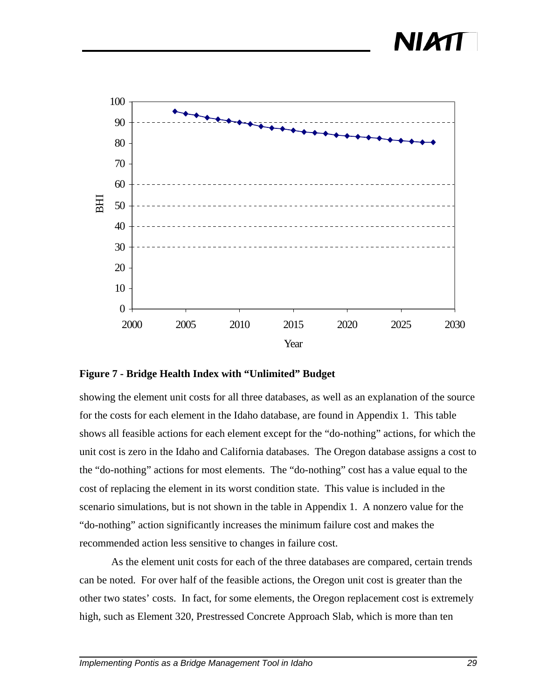



#### **Figure 7 - Bridge Health Index with "Unlimited" Budget**

showing the element unit costs for all three databases, as well as an explanation of the source for the costs for each element in the Idaho database, are found in Appendix 1. This table shows all feasible actions for each element except for the "do-nothing" actions, for which the unit cost is zero in the Idaho and California databases. The Oregon database assigns a cost to the "do-nothing" actions for most elements. The "do-nothing" cost has a value equal to the cost of replacing the element in its worst condition state. This value is included in the scenario simulations, but is not shown in the table in Appendix 1. A nonzero value for the "do-nothing" action significantly increases the minimum failure cost and makes the recommended action less sensitive to changes in failure cost.

As the element unit costs for each of the three databases are compared, certain trends can be noted. For over half of the feasible actions, the Oregon unit cost is greater than the other two states' costs. In fact, for some elements, the Oregon replacement cost is extremely high, such as Element 320, Prestressed Concrete Approach Slab, which is more than ten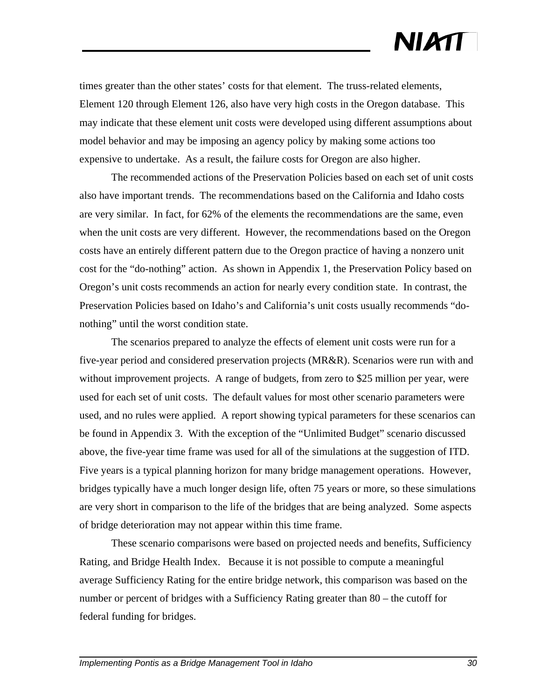times greater than the other states' costs for that element. The truss-related elements, Element 120 through Element 126, also have very high costs in the Oregon database. This may indicate that these element unit costs were developed using different assumptions about model behavior and may be imposing an agency policy by making some actions too expensive to undertake. As a result, the failure costs for Oregon are also higher.

The recommended actions of the Preservation Policies based on each set of unit costs also have important trends. The recommendations based on the California and Idaho costs are very similar. In fact, for 62% of the elements the recommendations are the same, even when the unit costs are very different. However, the recommendations based on the Oregon costs have an entirely different pattern due to the Oregon practice of having a nonzero unit cost for the "do-nothing" action. As shown in Appendix 1, the Preservation Policy based on Oregon's unit costs recommends an action for nearly every condition state. In contrast, the Preservation Policies based on Idaho's and California's unit costs usually recommends "donothing" until the worst condition state.

The scenarios prepared to analyze the effects of element unit costs were run for a five-year period and considered preservation projects (MR&R). Scenarios were run with and without improvement projects. A range of budgets, from zero to \$25 million per year, were used for each set of unit costs. The default values for most other scenario parameters were used, and no rules were applied. A report showing typical parameters for these scenarios can be found in Appendix 3. With the exception of the "Unlimited Budget" scenario discussed above, the five-year time frame was used for all of the simulations at the suggestion of ITD. Five years is a typical planning horizon for many bridge management operations. However, bridges typically have a much longer design life, often 75 years or more, so these simulations are very short in comparison to the life of the bridges that are being analyzed. Some aspects of bridge deterioration may not appear within this time frame.

These scenario comparisons were based on projected needs and benefits, Sufficiency Rating, and Bridge Health Index. Because it is not possible to compute a meaningful average Sufficiency Rating for the entire bridge network, this comparison was based on the number or percent of bridges with a Sufficiency Rating greater than 80 – the cutoff for federal funding for bridges.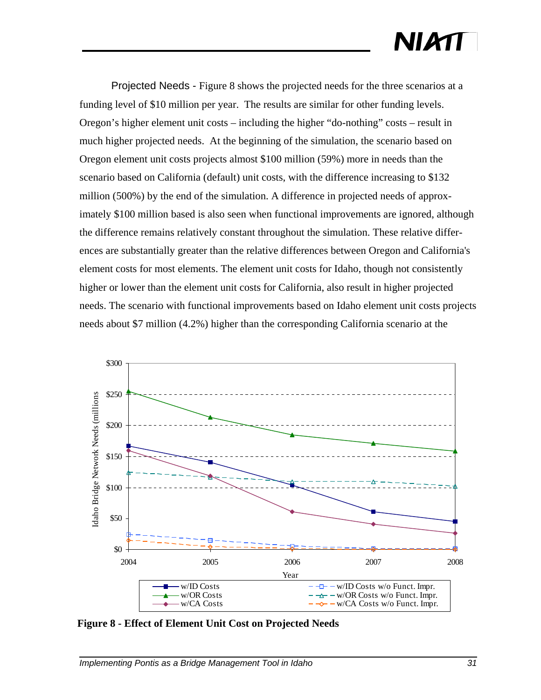Projected Needs - Figure 8 shows the projected needs for the three scenarios at a funding level of \$10 million per year. The results are similar for other funding levels. Oregon's higher element unit costs – including the higher "do-nothing" costs – result in much higher projected needs. At the beginning of the simulation, the scenario based on Oregon element unit costs projects almost \$100 million (59%) more in needs than the scenario based on California (default) unit costs, with the difference increasing to \$132 million (500%) by the end of the simulation. A difference in projected needs of approximately \$100 million based is also seen when functional improvements are ignored, although the difference remains relatively constant throughout the simulation. These relative differences are substantially greater than the relative differences between Oregon and California's element costs for most elements. The element unit costs for Idaho, though not consistently higher or lower than the element unit costs for California, also result in higher projected needs. The scenario with functional improvements based on Idaho element unit costs projects needs about \$7 million (4.2%) higher than the corresponding California scenario at the



**Figure 8 - Effect of Element Unit Cost on Projected Needs**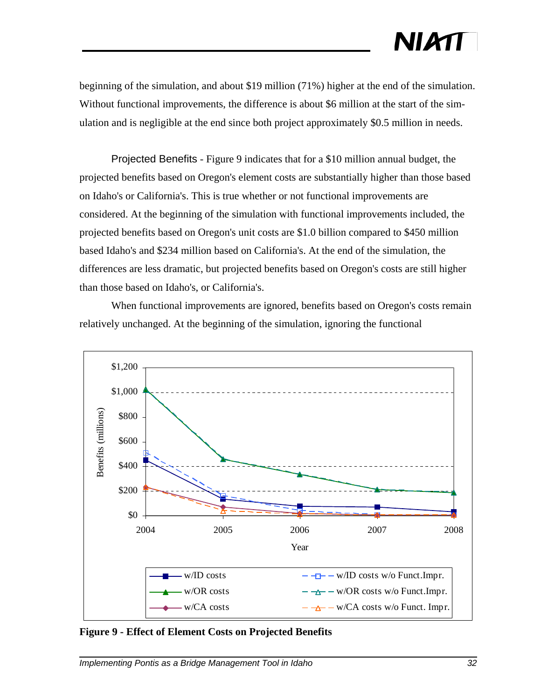beginning of the simulation, and about \$19 million (71%) higher at the end of the simulation. Without functional improvements, the difference is about \$6 million at the start of the simulation and is negligible at the end since both project approximately \$0.5 million in needs.

Projected Benefits - Figure 9 indicates that for a \$10 million annual budget, the projected benefits based on Oregon's element costs are substantially higher than those based on Idaho's or California's. This is true whether or not functional improvements are considered. At the beginning of the simulation with functional improvements included, the projected benefits based on Oregon's unit costs are \$1.0 billion compared to \$450 million based Idaho's and \$234 million based on California's. At the end of the simulation, the differences are less dramatic, but projected benefits based on Oregon's costs are still higher than those based on Idaho's, or California's.

When functional improvements are ignored, benefits based on Oregon's costs remain relatively unchanged. At the beginning of the simulation, ignoring the functional



**Figure 9 - Effect of Element Costs on Projected Benefits**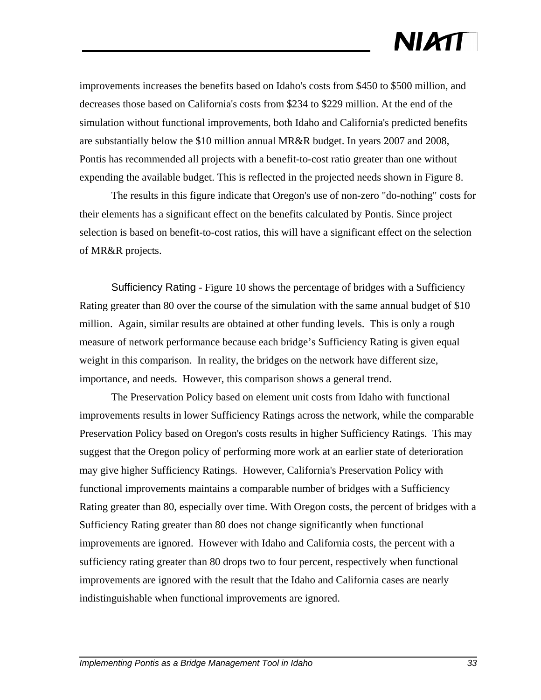improvements increases the benefits based on Idaho's costs from \$450 to \$500 million, and decreases those based on California's costs from \$234 to \$229 million. At the end of the simulation without functional improvements, both Idaho and California's predicted benefits are substantially below the \$10 million annual MR&R budget. In years 2007 and 2008, Pontis has recommended all projects with a benefit-to-cost ratio greater than one without expending the available budget. This is reflected in the projected needs shown in Figure 8.

The results in this figure indicate that Oregon's use of non-zero "do-nothing" costs for their elements has a significant effect on the benefits calculated by Pontis. Since project selection is based on benefit-to-cost ratios, this will have a significant effect on the selection of MR&R projects.

Sufficiency Rating - Figure 10 shows the percentage of bridges with a Sufficiency Rating greater than 80 over the course of the simulation with the same annual budget of \$10 million. Again, similar results are obtained at other funding levels. This is only a rough measure of network performance because each bridge's Sufficiency Rating is given equal weight in this comparison. In reality, the bridges on the network have different size, importance, and needs. However, this comparison shows a general trend.

The Preservation Policy based on element unit costs from Idaho with functional improvements results in lower Sufficiency Ratings across the network, while the comparable Preservation Policy based on Oregon's costs results in higher Sufficiency Ratings. This may suggest that the Oregon policy of performing more work at an earlier state of deterioration may give higher Sufficiency Ratings. However, California's Preservation Policy with functional improvements maintains a comparable number of bridges with a Sufficiency Rating greater than 80, especially over time. With Oregon costs, the percent of bridges with a Sufficiency Rating greater than 80 does not change significantly when functional improvements are ignored. However with Idaho and California costs, the percent with a sufficiency rating greater than 80 drops two to four percent, respectively when functional improvements are ignored with the result that the Idaho and California cases are nearly indistinguishable when functional improvements are ignored.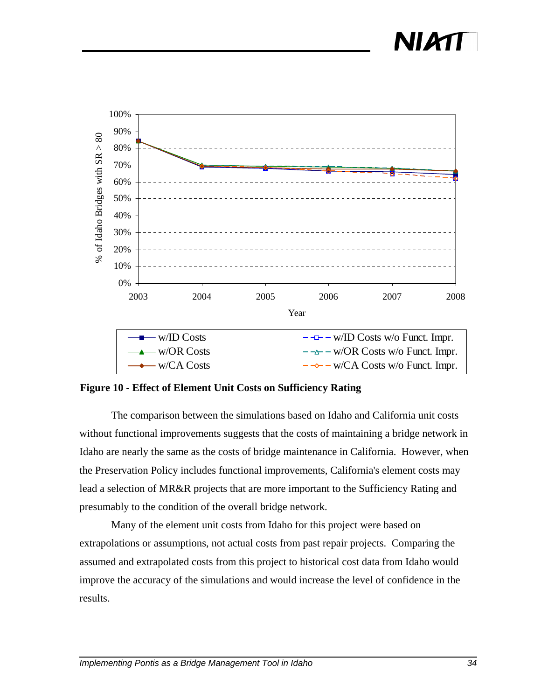### NIAT



**Figure 10 - Effect of Element Unit Costs on Sufficiency Rating**

The comparison between the simulations based on Idaho and California unit costs without functional improvements suggests that the costs of maintaining a bridge network in Idaho are nearly the same as the costs of bridge maintenance in California. However, when the Preservation Policy includes functional improvements, California's element costs may lead a selection of MR&R projects that are more important to the Sufficiency Rating and presumably to the condition of the overall bridge network.

Many of the element unit costs from Idaho for this project were based on extrapolations or assumptions, not actual costs from past repair projects. Comparing the assumed and extrapolated costs from this project to historical cost data from Idaho would improve the accuracy of the simulations and would increase the level of confidence in the results.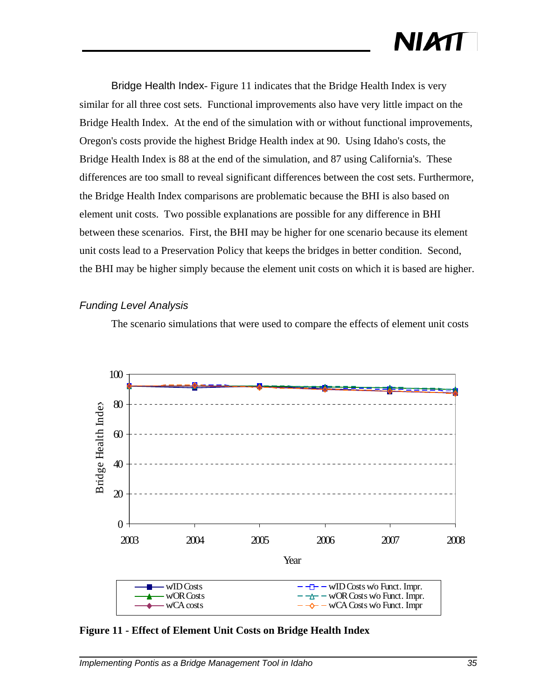Bridge Health Index- Figure 11 indicates that the Bridge Health Index is very similar for all three cost sets. Functional improvements also have very little impact on the Bridge Health Index. At the end of the simulation with or without functional improvements, Oregon's costs provide the highest Bridge Health index at 90. Using Idaho's costs, the Bridge Health Index is 88 at the end of the simulation, and 87 using California's. These differences are too small to reveal significant differences between the cost sets. Furthermore, the Bridge Health Index comparisons are problematic because the BHI is also based on element unit costs. Two possible explanations are possible for any difference in BHI between these scenarios. First, the BHI may be higher for one scenario because its element unit costs lead to a Preservation Policy that keeps the bridges in better condition. Second, the BHI may be higher simply because the element unit costs on which it is based are higher.

#### *Funding Level Analysis*

The scenario simulations that were used to compare the effects of element unit costs



**Figure 11 - Effect of Element Unit Costs on Bridge Health Index**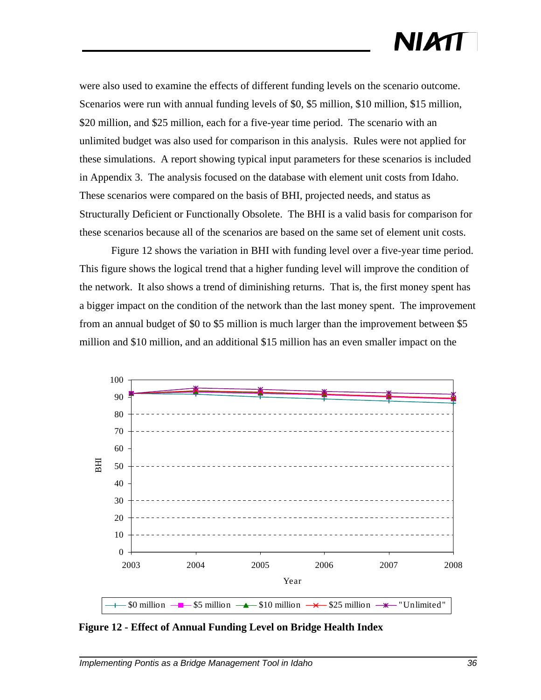were also used to examine the effects of different funding levels on the scenario outcome. Scenarios were run with annual funding levels of \$0, \$5 million, \$10 million, \$15 million, \$20 million, and \$25 million, each for a five-year time period. The scenario with an unlimited budget was also used for comparison in this analysis. Rules were not applied for these simulations. A report showing typical input parameters for these scenarios is included in Appendix 3. The analysis focused on the database with element unit costs from Idaho. These scenarios were compared on the basis of BHI, projected needs, and status as Structurally Deficient or Functionally Obsolete. The BHI is a valid basis for comparison for these scenarios because all of the scenarios are based on the same set of element unit costs.

Figure 12 shows the variation in BHI with funding level over a five-year time period. This figure shows the logical trend that a higher funding level will improve the condition of the network. It also shows a trend of diminishing returns. That is, the first money spent has a bigger impact on the condition of the network than the last money spent. The improvement from an annual budget of \$0 to \$5 million is much larger than the improvement between \$5 million and \$10 million, and an additional \$15 million has an even smaller impact on the



**Figure 12 - Effect of Annual Funding Level on Bridge Health Index**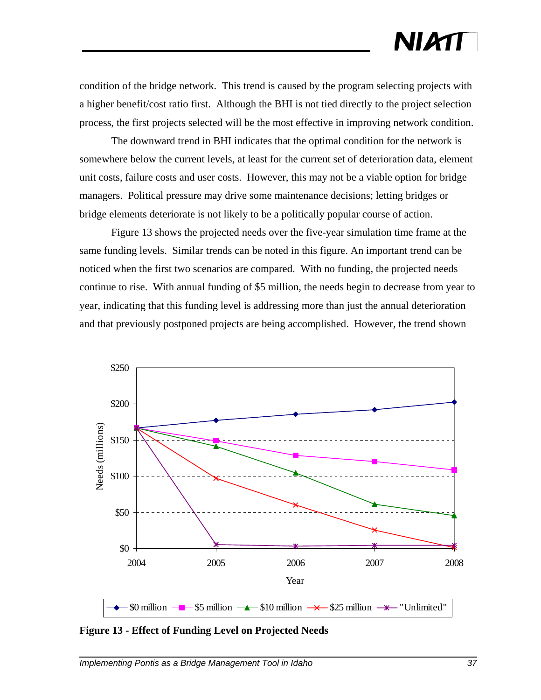# NIATT

condition of the bridge network. This trend is caused by the program selecting projects with a higher benefit/cost ratio first. Although the BHI is not tied directly to the project selection process, the first projects selected will be the most effective in improving network condition.

The downward trend in BHI indicates that the optimal condition for the network is somewhere below the current levels, at least for the current set of deterioration data, element unit costs, failure costs and user costs. However, this may not be a viable option for bridge managers. Political pressure may drive some maintenance decisions; letting bridges or bridge elements deteriorate is not likely to be a politically popular course of action.

Figure 13 shows the projected needs over the five-year simulation time frame at the same funding levels. Similar trends can be noted in this figure. An important trend can be noticed when the first two scenarios are compared. With no funding, the projected needs continue to rise. With annual funding of \$5 million, the needs begin to decrease from year to year, indicating that this funding level is addressing more than just the annual deterioration and that previously postponed projects are being accomplished. However, the trend shown



**Figure 13 - Effect of Funding Level on Projected Needs**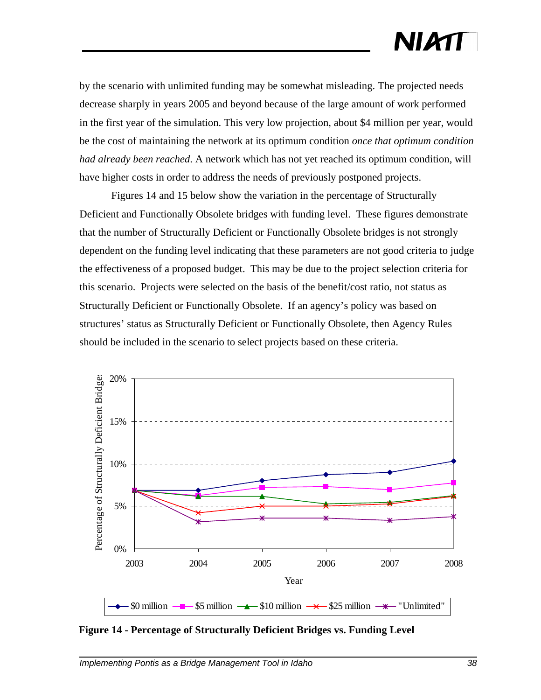by the scenario with unlimited funding may be somewhat misleading. The projected needs decrease sharply in years 2005 and beyond because of the large amount of work performed in the first year of the simulation. This very low projection, about \$4 million per year, would be the cost of maintaining the network at its optimum condition *once that optimum condition had already been reached*. A network which has not yet reached its optimum condition, will have higher costs in order to address the needs of previously postponed projects.

Figures 14 and 15 below show the variation in the percentage of Structurally Deficient and Functionally Obsolete bridges with funding level. These figures demonstrate that the number of Structurally Deficient or Functionally Obsolete bridges is not strongly dependent on the funding level indicating that these parameters are not good criteria to judge the effectiveness of a proposed budget. This may be due to the project selection criteria for this scenario. Projects were selected on the basis of the benefit/cost ratio, not status as Structurally Deficient or Functionally Obsolete. If an agency's policy was based on structures' status as Structurally Deficient or Functionally Obsolete, then Agency Rules should be included in the scenario to select projects based on these criteria.



**Figure 14 - Percentage of Structurally Deficient Bridges vs. Funding Level**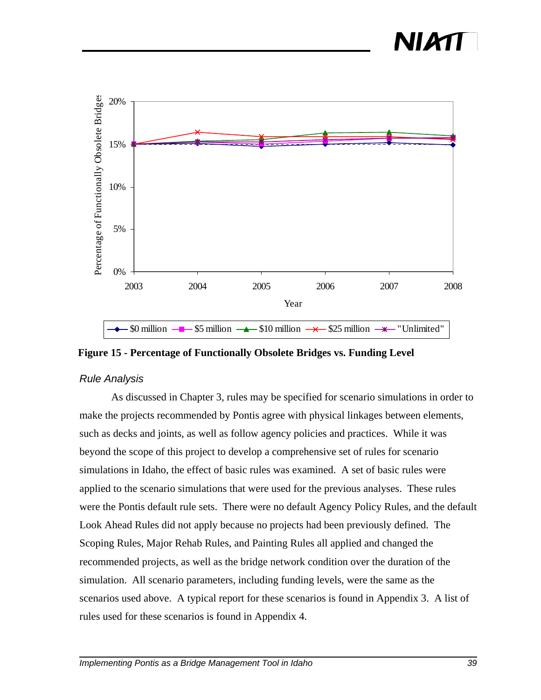### NIM



**Figure 15 - Percentage of Functionally Obsolete Bridges vs. Funding Level**

#### *Rule Analysis*

As discussed in Chapter 3, rules may be specified for scenario simulations in order to make the projects recommended by Pontis agree with physical linkages between elements, such as decks and joints, as well as follow agency policies and practices. While it was beyond the scope of this project to develop a comprehensive set of rules for scenario simulations in Idaho, the effect of basic rules was examined. A set of basic rules were applied to the scenario simulations that were used for the previous analyses. These rules were the Pontis default rule sets. There were no default Agency Policy Rules, and the default Look Ahead Rules did not apply because no projects had been previously defined. The Scoping Rules, Major Rehab Rules, and Painting Rules all applied and changed the recommended projects, as well as the bridge network condition over the duration of the simulation. All scenario parameters, including funding levels, were the same as the scenarios used above. A typical report for these scenarios is found in Appendix 3. A list of rules used for these scenarios is found in Appendix 4.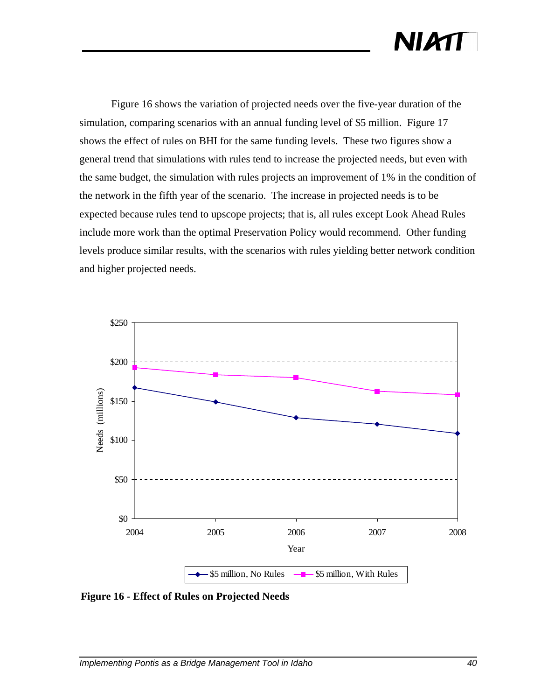Figure 16 shows the variation of projected needs over the five-year duration of the simulation, comparing scenarios with an annual funding level of \$5 million. Figure 17 shows the effect of rules on BHI for the same funding levels. These two figures show a general trend that simulations with rules tend to increase the projected needs, but even with the same budget, the simulation with rules projects an improvement of 1% in the condition of the network in the fifth year of the scenario. The increase in projected needs is to be expected because rules tend to upscope projects; that is, all rules except Look Ahead Rules include more work than the optimal Preservation Policy would recommend. Other funding levels produce similar results, with the scenarios with rules yielding better network condition and higher projected needs.



**Figure 16 - Effect of Rules on Projected Needs**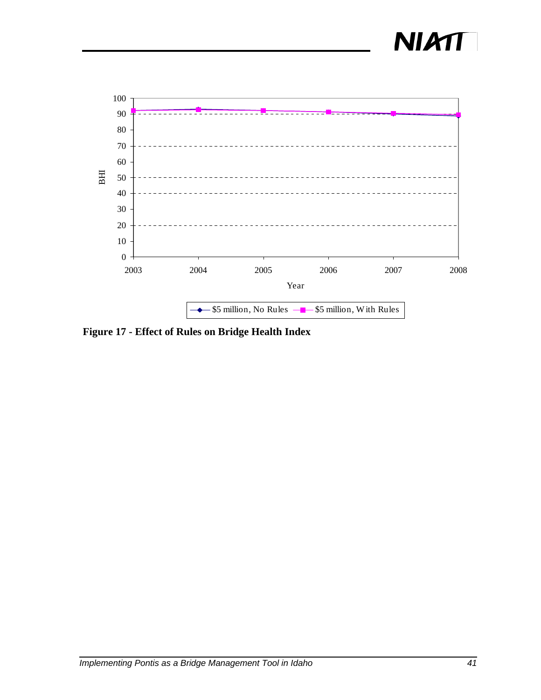



**Figure 17 - Effect of Rules on Bridge Health Index**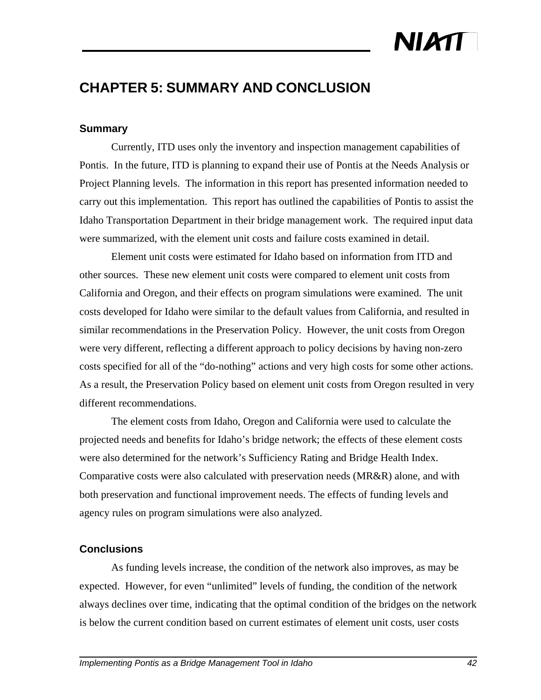# NIATT

#### **CHAPTER 5: SUMMARY AND CONCLUSION**

#### **Summary**

Currently, ITD uses only the inventory and inspection management capabilities of Pontis. In the future, ITD is planning to expand their use of Pontis at the Needs Analysis or Project Planning levels. The information in this report has presented information needed to carry out this implementation. This report has outlined the capabilities of Pontis to assist the Idaho Transportation Department in their bridge management work. The required input data were summarized, with the element unit costs and failure costs examined in detail.

Element unit costs were estimated for Idaho based on information from ITD and other sources. These new element unit costs were compared to element unit costs from California and Oregon, and their effects on program simulations were examined. The unit costs developed for Idaho were similar to the default values from California, and resulted in similar recommendations in the Preservation Policy. However, the unit costs from Oregon were very different, reflecting a different approach to policy decisions by having non-zero costs specified for all of the "do-nothing" actions and very high costs for some other actions. As a result, the Preservation Policy based on element unit costs from Oregon resulted in very different recommendations.

The element costs from Idaho, Oregon and California were used to calculate the projected needs and benefits for Idaho's bridge network; the effects of these element costs were also determined for the network's Sufficiency Rating and Bridge Health Index. Comparative costs were also calculated with preservation needs (MR&R) alone, and with both preservation and functional improvement needs. The effects of funding levels and agency rules on program simulations were also analyzed.

#### **Conclusions**

As funding levels increase, the condition of the network also improves, as may be expected. However, for even "unlimited" levels of funding, the condition of the network always declines over time, indicating that the optimal condition of the bridges on the network is below the current condition based on current estimates of element unit costs, user costs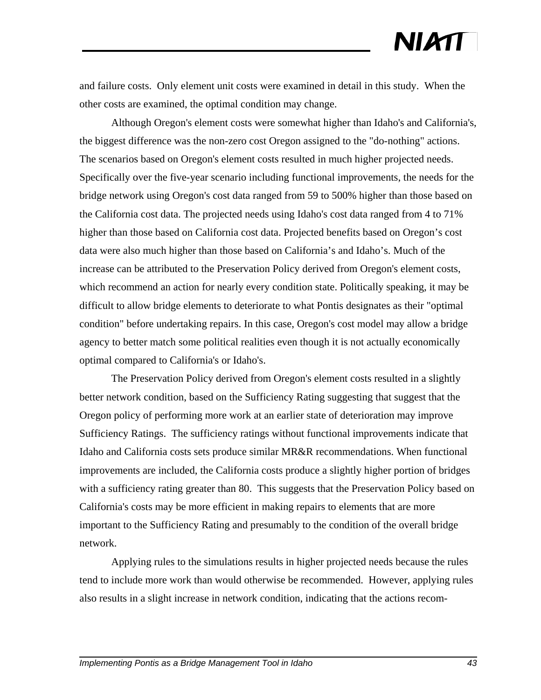and failure costs. Only element unit costs were examined in detail in this study. When the other costs are examined, the optimal condition may change.

Although Oregon's element costs were somewhat higher than Idaho's and California's, the biggest difference was the non-zero cost Oregon assigned to the "do-nothing" actions. The scenarios based on Oregon's element costs resulted in much higher projected needs. Specifically over the five-year scenario including functional improvements, the needs for the bridge network using Oregon's cost data ranged from 59 to 500% higher than those based on the California cost data. The projected needs using Idaho's cost data ranged from 4 to 71% higher than those based on California cost data. Projected benefits based on Oregon's cost data were also much higher than those based on California's and Idaho's. Much of the increase can be attributed to the Preservation Policy derived from Oregon's element costs, which recommend an action for nearly every condition state. Politically speaking, it may be difficult to allow bridge elements to deteriorate to what Pontis designates as their "optimal condition" before undertaking repairs. In this case, Oregon's cost model may allow a bridge agency to better match some political realities even though it is not actually economically optimal compared to California's or Idaho's.

The Preservation Policy derived from Oregon's element costs resulted in a slightly better network condition, based on the Sufficiency Rating suggesting that suggest that the Oregon policy of performing more work at an earlier state of deterioration may improve Sufficiency Ratings. The sufficiency ratings without functional improvements indicate that Idaho and California costs sets produce similar MR&R recommendations. When functional improvements are included, the California costs produce a slightly higher portion of bridges with a sufficiency rating greater than 80. This suggests that the Preservation Policy based on California's costs may be more efficient in making repairs to elements that are more important to the Sufficiency Rating and presumably to the condition of the overall bridge network.

Applying rules to the simulations results in higher projected needs because the rules tend to include more work than would otherwise be recommended. However, applying rules also results in a slight increase in network condition, indicating that the actions recom-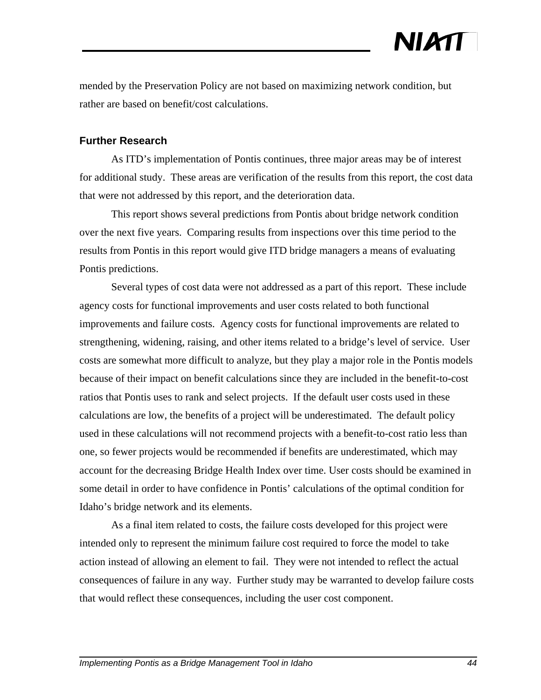mended by the Preservation Policy are not based on maximizing network condition, but rather are based on benefit/cost calculations.

#### **Further Research**

As ITD's implementation of Pontis continues, three major areas may be of interest for additional study. These areas are verification of the results from this report, the cost data that were not addressed by this report, and the deterioration data.

This report shows several predictions from Pontis about bridge network condition over the next five years. Comparing results from inspections over this time period to the results from Pontis in this report would give ITD bridge managers a means of evaluating Pontis predictions.

Several types of cost data were not addressed as a part of this report. These include agency costs for functional improvements and user costs related to both functional improvements and failure costs. Agency costs for functional improvements are related to strengthening, widening, raising, and other items related to a bridge's level of service. User costs are somewhat more difficult to analyze, but they play a major role in the Pontis models because of their impact on benefit calculations since they are included in the benefit-to-cost ratios that Pontis uses to rank and select projects. If the default user costs used in these calculations are low, the benefits of a project will be underestimated. The default policy used in these calculations will not recommend projects with a benefit-to-cost ratio less than one, so fewer projects would be recommended if benefits are underestimated, which may account for the decreasing Bridge Health Index over time. User costs should be examined in some detail in order to have confidence in Pontis' calculations of the optimal condition for Idaho's bridge network and its elements.

As a final item related to costs, the failure costs developed for this project were intended only to represent the minimum failure cost required to force the model to take action instead of allowing an element to fail. They were not intended to reflect the actual consequences of failure in any way. Further study may be warranted to develop failure costs that would reflect these consequences, including the user cost component.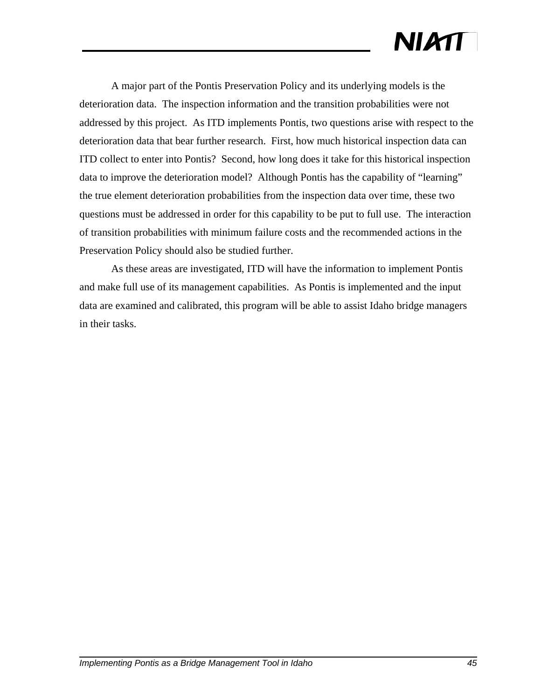# **NIATT**

A major part of the Pontis Preservation Policy and its underlying models is the deterioration data. The inspection information and the transition probabilities were not addressed by this project. As ITD implements Pontis, two questions arise with respect to the deterioration data that bear further research. First, how much historical inspection data can ITD collect to enter into Pontis? Second, how long does it take for this historical inspection data to improve the deterioration model? Although Pontis has the capability of "learning" the true element deterioration probabilities from the inspection data over time, these two questions must be addressed in order for this capability to be put to full use. The interaction of transition probabilities with minimum failure costs and the recommended actions in the Preservation Policy should also be studied further.

As these areas are investigated, ITD will have the information to implement Pontis and make full use of its management capabilities. As Pontis is implemented and the input data are examined and calibrated, this program will be able to assist Idaho bridge managers in their tasks.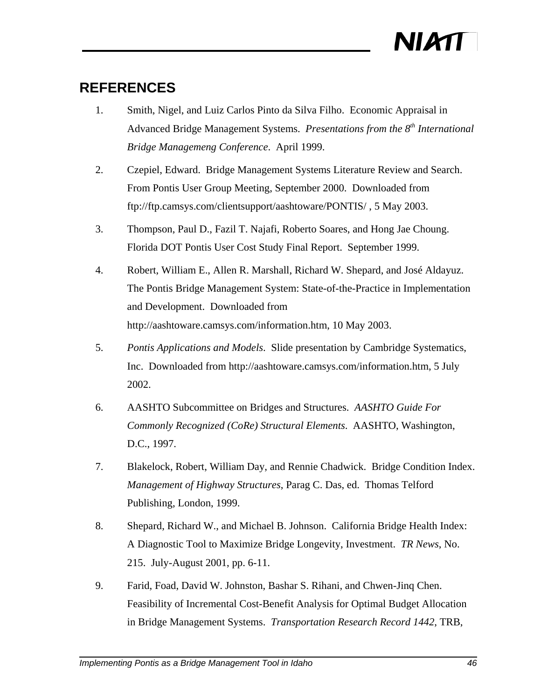

#### **REFERENCES**

- 1. Smith, Nigel, and Luiz Carlos Pinto da Silva Filho. Economic Appraisal in Advanced Bridge Management Systems. *Presentations from the 8th International Bridge Managemeng Conference*. April 1999.
- 2. Czepiel, Edward. Bridge Management Systems Literature Review and Search. From Pontis User Group Meeting, September 2000. Downloaded from ftp://ftp.camsys.com/clientsupport/aashtoware/PONTIS/ , 5 May 2003.
- 3. Thompson, Paul D., Fazil T. Najafi, Roberto Soares, and Hong Jae Choung. Florida DOT Pontis User Cost Study Final Report. September 1999.
- 4. Robert, William E., Allen R. Marshall, Richard W. Shepard, and José Aldayuz. The Pontis Bridge Management System: State-of-the-Practice in Implementation and Development. Downloaded from http://aashtoware.camsys.com/information.htm, 10 May 2003.
- 5. *Pontis Applications and Models*. Slide presentation by Cambridge Systematics, Inc. Downloaded from http://aashtoware.camsys.com/information.htm, 5 July 2002.
- 6. AASHTO Subcommittee on Bridges and Structures. *AASHTO Guide For Commonly Recognized (CoRe) Structural Elements*. AASHTO, Washington, D.C., 1997.
- 7. Blakelock, Robert, William Day, and Rennie Chadwick. Bridge Condition Index. *Management of Highway Structures*, Parag C. Das, ed. Thomas Telford Publishing, London, 1999.
- 8. Shepard, Richard W., and Michael B. Johnson. California Bridge Health Index: A Diagnostic Tool to Maximize Bridge Longevity, Investment. *TR News*, No. 215. July-August 2001, pp. 6-11.
- 9. Farid, Foad, David W. Johnston, Bashar S. Rihani, and Chwen-Jinq Chen. Feasibility of Incremental Cost-Benefit Analysis for Optimal Budget Allocation in Bridge Management Systems. *Transportation Research Record 1442*, TRB,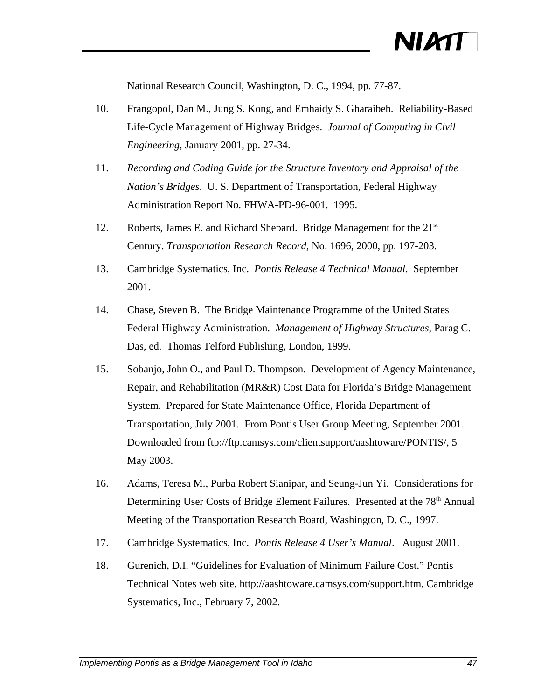National Research Council, Washington, D. C., 1994, pp. 77-87.

- 10. Frangopol, Dan M., Jung S. Kong, and Emhaidy S. Gharaibeh. Reliability-Based Life-Cycle Management of Highway Bridges. *Journal of Computing in Civil Engineering*, January 2001, pp. 27-34.
- 11. *Recording and Coding Guide for the Structure Inventory and Appraisal of the Nation's Bridges*. U. S. Department of Transportation, Federal Highway Administration Report No. FHWA-PD-96-001. 1995.
- 12. Roberts, James E. and Richard Shepard. Bridge Management for the 21<sup>st</sup> Century. *Transportation Research Record*, No. 1696, 2000, pp. 197-203.
- 13. Cambridge Systematics, Inc. *Pontis Release 4 Technical Manual*. September 2001.
- 14. Chase, Steven B. The Bridge Maintenance Programme of the United States Federal Highway Administration. *Management of Highway Structures*, Parag C. Das, ed. Thomas Telford Publishing, London, 1999.
- 15. Sobanjo, John O., and Paul D. Thompson. Development of Agency Maintenance, Repair, and Rehabilitation (MR&R) Cost Data for Florida's Bridge Management System. Prepared for State Maintenance Office, Florida Department of Transportation, July 2001. From Pontis User Group Meeting, September 2001. Downloaded from ftp://ftp.camsys.com/clientsupport/aashtoware/PONTIS/, 5 May 2003.
- 16. Adams, Teresa M., Purba Robert Sianipar, and Seung-Jun Yi. Considerations for Determining User Costs of Bridge Element Failures. Presented at the 78<sup>th</sup> Annual Meeting of the Transportation Research Board, Washington, D. C., 1997.
- 17. Cambridge Systematics, Inc. *Pontis Release 4 User's Manual*. August 2001.
- 18. Gurenich, D.I. "Guidelines for Evaluation of Minimum Failure Cost." Pontis Technical Notes web site, http://aashtoware.camsys.com/support.htm, Cambridge Systematics, Inc., February 7, 2002.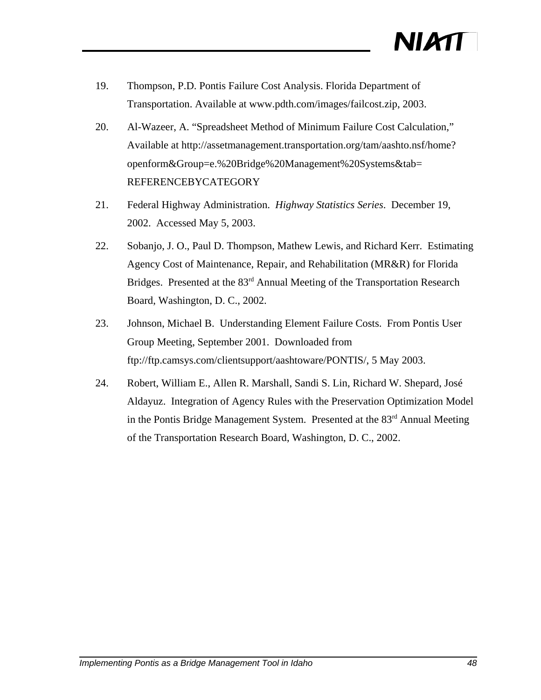- 19. Thompson, P.D. Pontis Failure Cost Analysis. Florida Department of Transportation. Available at www.pdth.com/images/failcost.zip, 2003.
- 20. Al-Wazeer, A. "Spreadsheet Method of Minimum Failure Cost Calculation," Available at http://assetmanagement.transportation.org/tam/aashto.nsf/home? openform&Group=e.%20Bridge%20Management%20Systems&tab= REFERENCEBYCATEGORY
- 21. Federal Highway Administration. *Highway Statistics Series*. December 19, 2002. Accessed May 5, 2003.
- 22. Sobanjo, J. O., Paul D. Thompson, Mathew Lewis, and Richard Kerr. Estimating Agency Cost of Maintenance, Repair, and Rehabilitation (MR&R) for Florida Bridges. Presented at the 83<sup>rd</sup> Annual Meeting of the Transportation Research Board, Washington, D. C., 2002.
- 23. Johnson, Michael B. Understanding Element Failure Costs. From Pontis User Group Meeting, September 2001. Downloaded from ftp://ftp.camsys.com/clientsupport/aashtoware/PONTIS/, 5 May 2003.
- 24. Robert, William E., Allen R. Marshall, Sandi S. Lin, Richard W. Shepard, José Aldayuz. Integration of Agency Rules with the Preservation Optimization Model in the Pontis Bridge Management System. Presented at the 83<sup>rd</sup> Annual Meeting of the Transportation Research Board, Washington, D. C., 2002.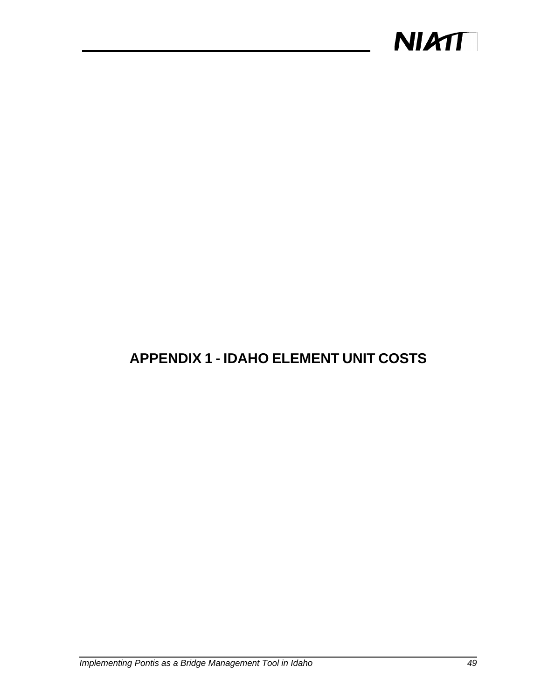

#### **APPENDIX 1 - IDAHO ELEMENT UNIT COSTS**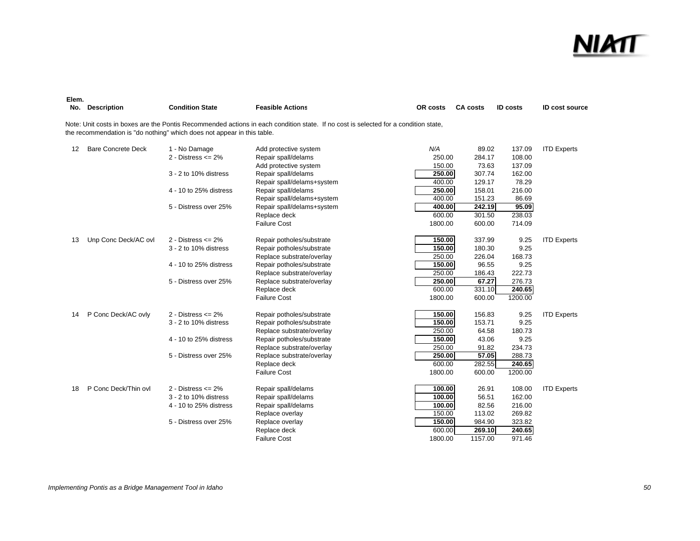

| Elem.<br>No. | <b>Description</b>        | <b>Condition State</b>                                                  | <b>Feasible Actions</b>                                                                                                             | OR costs | <b>CA costs</b> | <b>ID costs</b> | <b>ID cost source</b> |
|--------------|---------------------------|-------------------------------------------------------------------------|-------------------------------------------------------------------------------------------------------------------------------------|----------|-----------------|-----------------|-----------------------|
|              |                           | the recommendation is "do nothing" which does not appear in this table. | Note: Unit costs in boxes are the Pontis Recommended actions in each condition state. If no cost is selected for a condition state, |          |                 |                 |                       |
| 12           | <b>Bare Concrete Deck</b> | 1 - No Damage                                                           | Add protective system                                                                                                               | N/A      | 89.02           | 137.09          | <b>ITD Experts</b>    |
|              |                           | 2 - Distress $\leq$ 2%                                                  | Repair spall/delams                                                                                                                 | 250.00   | 284.17          | 108.00          |                       |
|              |                           |                                                                         | Add protective system                                                                                                               | 150.00   | 73.63           | 137.09          |                       |
|              |                           | 3 - 2 to 10% distress                                                   | Repair spall/delams                                                                                                                 | 250.00   | 307.74          | 162.00          |                       |
|              |                           |                                                                         | Repair spall/delams+system                                                                                                          | 400.00   | 129.17          | 78.29           |                       |
|              |                           | 4 - 10 to 25% distress                                                  | Repair spall/delams                                                                                                                 | 250.00   | 158.01          | 216.00          |                       |
|              |                           |                                                                         | Repair spall/delams+system                                                                                                          | 400.00   | 151.23          | 86.69           |                       |
|              |                           | 5 - Distress over 25%                                                   | Repair spall/delams+system                                                                                                          | 400.00   | 242.19          | 95.09           |                       |
|              |                           |                                                                         | Replace deck                                                                                                                        | 600.00   | 301.50          | 238.03          |                       |
|              |                           |                                                                         | <b>Failure Cost</b>                                                                                                                 | 1800.00  | 600.00          | 714.09          |                       |
| 13           | Unp Conc Deck/AC ovl      | 2 - Distress $\leq$ 2%                                                  | Repair potholes/substrate                                                                                                           | 150.00   | 337.99          | 9.25            | <b>ITD Experts</b>    |
|              |                           | 3 - 2 to 10% distress                                                   | Repair potholes/substrate                                                                                                           | 150.00   | 180.30          | 9.25            |                       |
|              |                           |                                                                         | Replace substrate/overlay                                                                                                           | 250.00   | 226.04          | 168.73          |                       |
|              |                           | 4 - 10 to 25% distress                                                  | Repair potholes/substrate                                                                                                           | 150.00   | 96.55           | 9.25            |                       |
|              |                           |                                                                         | Replace substrate/overlay                                                                                                           | 250.00   | 186.43          | 222.73          |                       |
|              |                           | 5 - Distress over 25%                                                   | Replace substrate/overlay                                                                                                           | 250.00   | 67.27           | 276.73          |                       |
|              |                           |                                                                         | Replace deck                                                                                                                        | 600.00   | 331.10          | 240.65          |                       |
|              |                           |                                                                         | <b>Failure Cost</b>                                                                                                                 | 1800.00  | 600.00          | 1200.00         |                       |
| 14           | P Conc Deck/AC ovly       | 2 - Distress $\leq$ 2%                                                  | Repair potholes/substrate                                                                                                           | 150.00   | 156.83          | 9.25            | <b>ITD Experts</b>    |
|              |                           | 3 - 2 to 10% distress                                                   | Repair potholes/substrate                                                                                                           | 150.00   | 153.71          | 9.25            |                       |
|              |                           |                                                                         | Replace substrate/overlay                                                                                                           | 250.00   | 64.58           | 180.73          |                       |
|              |                           | 4 - 10 to 25% distress                                                  | Repair potholes/substrate                                                                                                           | 150.00   | 43.06           | 9.25            |                       |
|              |                           |                                                                         | Replace substrate/overlay                                                                                                           | 250.00   | 91.82           | 234.73          |                       |
|              |                           | 5 - Distress over 25%                                                   | Replace substrate/overlay                                                                                                           | 250.00   | 57.05           | 288.73          |                       |
|              |                           |                                                                         | Replace deck                                                                                                                        | 600.00   | 282.55          | 240.65          |                       |
|              |                           |                                                                         | <b>Failure Cost</b>                                                                                                                 | 1800.00  | 600.00          | 1200.00         |                       |
| 18           | P Conc Deck/Thin ovl      | $2 - Distress \leq 2\%$                                                 | Repair spall/delams                                                                                                                 | 100.00   | 26.91           | 108.00          | <b>ITD Experts</b>    |
|              |                           | 3 - 2 to 10% distress                                                   | Repair spall/delams                                                                                                                 | 100.00   | 56.51           | 162.00          |                       |
|              |                           | 4 - 10 to 25% distress                                                  | Repair spall/delams                                                                                                                 | 100.00   | 82.56           | 216.00          |                       |
|              |                           |                                                                         | Replace overlay                                                                                                                     | 150.00   | 113.02          | 269.82          |                       |
|              |                           | 5 - Distress over 25%                                                   | Replace overlay                                                                                                                     | 150.00   | 984.90          | 323.82          |                       |
|              |                           |                                                                         | Replace deck                                                                                                                        | 600.00   | 269.10          | 240.65          |                       |
|              |                           |                                                                         | Failure Cost                                                                                                                        | 1800.00  | 1157.00         | 971.46          |                       |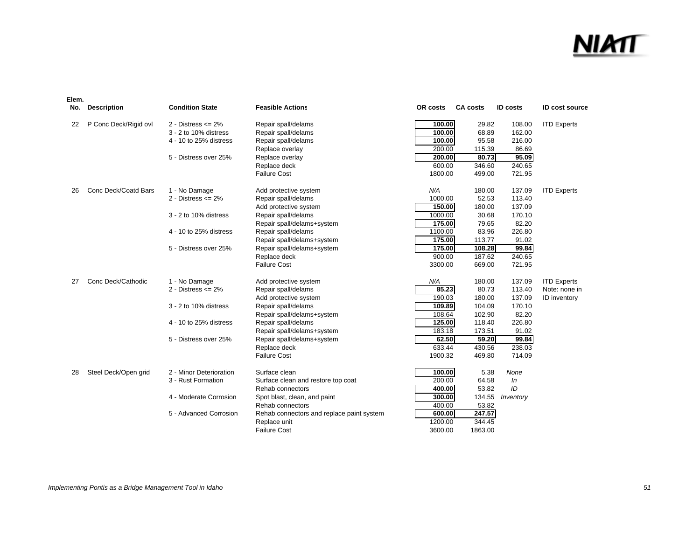### <u>NIA</u>

| Elem.<br>No. | <b>Description</b>    | <b>Condition State</b>  | <b>Feasible Actions</b>                   | OR costs | <b>CA costs</b> | <b>ID costs</b> | <b>ID cost source</b> |
|--------------|-----------------------|-------------------------|-------------------------------------------|----------|-----------------|-----------------|-----------------------|
| 22           | P Conc Deck/Rigid ovl | 2 - Distress $\leq$ 2%  | Repair spall/delams                       | 100.00   | 29.82           | 108.00          | <b>ITD Experts</b>    |
|              |                       | 3 - 2 to 10% distress   | Repair spall/delams                       | 100.00   | 68.89           | 162.00          |                       |
|              |                       | 4 - 10 to 25% distress  | Repair spall/delams                       | 100.00   | 95.58           | 216.00          |                       |
|              |                       |                         | Replace overlay                           | 200.00   | 115.39          | 86.69           |                       |
|              |                       | 5 - Distress over 25%   | Replace overlay                           | 200.00   | 80.73           | 95.09           |                       |
|              |                       |                         | Replace deck                              | 600.00   | 346.60          | 240.65          |                       |
|              |                       |                         | <b>Failure Cost</b>                       | 1800.00  | 499.00          | 721.95          |                       |
| 26           | Conc Deck/Coatd Bars  | 1 - No Damage           | Add protective system                     | N/A      | 180.00          | 137.09          | <b>ITD Experts</b>    |
|              |                       | 2 - Distress $\leq$ 2%  | Repair spall/delams                       | 1000.00  | 52.53           | 113.40          |                       |
|              |                       |                         | Add protective system                     | 150.00   | 180.00          | 137.09          |                       |
|              |                       | 3 - 2 to 10% distress   | Repair spall/delams                       | 1000.00  | 30.68           | 170.10          |                       |
|              |                       |                         | Repair spall/delams+system                | 175.00   | 79.65           | 82.20           |                       |
|              |                       | 4 - 10 to 25% distress  | Repair spall/delams                       | 1100.00  | 83.96           | 226.80          |                       |
|              |                       |                         | Repair spall/delams+system                | 175.00   | 113.77          | 91.02           |                       |
|              |                       | 5 - Distress over 25%   | Repair spall/delams+system                | 175.00   | 108.28          | 99.84           |                       |
|              |                       |                         | Replace deck                              | 900.00   | 187.62          | 240.65          |                       |
|              |                       |                         | <b>Failure Cost</b>                       | 3300.00  | 669.00          | 721.95          |                       |
| 27           | Conc Deck/Cathodic    | 1 - No Damage           | Add protective system                     | N/A      | 180.00          | 137.09          | <b>ITD Experts</b>    |
|              |                       | 2 - Distress $\leq$ 2%  | Repair spall/delams                       | 85.23    | 80.73           | 113.40          | Note: none in         |
|              |                       |                         | Add protective system                     | 190.03   | 180.00          | 137.09          | <b>ID</b> inventory   |
|              |                       | 3 - 2 to 10% distress   | Repair spall/delams                       | 109.89   | 104.09          | 170.10          |                       |
|              |                       |                         | Repair spall/delams+system                | 108.64   | 102.90          | 82.20           |                       |
|              |                       | 4 - 10 to 25% distress  | Repair spall/delams                       | 125.00   | 118.40          | 226.80          |                       |
|              |                       |                         | Repair spall/delams+system                | 183.18   | 173.51          | 91.02           |                       |
|              |                       | 5 - Distress over 25%   | Repair spall/delams+system                | 62.50    | 59.20           | 99.84           |                       |
|              |                       |                         | Replace deck                              | 633.44   | 430.56          | 238.03          |                       |
|              |                       |                         | <b>Failure Cost</b>                       | 1900.32  | 469.80          | 714.09          |                       |
| 28           | Steel Deck/Open grid  | 2 - Minor Deterioration | Surface clean                             | 100.00   | 5.38            | None            |                       |
|              |                       | 3 - Rust Formation      | Surface clean and restore top coat        | 200.00   | 64.58           | In              |                       |
|              |                       |                         | Rehab connectors                          | 400.00   | 53.82           | ID              |                       |
|              |                       | 4 - Moderate Corrosion  | Spot blast, clean, and paint              | 300.00   | 134.55          | Inventory       |                       |
|              |                       |                         | Rehab connectors                          | 400.00   | 53.82           |                 |                       |
|              |                       | 5 - Advanced Corrosion  | Rehab connectors and replace paint system | 600.00   | 247.57          |                 |                       |
|              |                       |                         | Replace unit                              | 1200.00  | 344.45          |                 |                       |
|              |                       |                         | <b>Failure Cost</b>                       | 3600.00  | 1863.00         |                 |                       |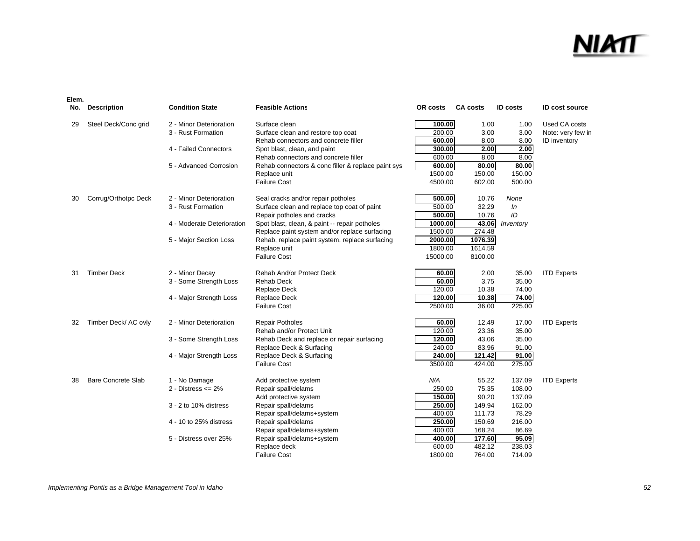### NIA

| Elem.<br>No. | <b>Description</b>        | <b>Condition State</b>     | <b>Feasible Actions</b>                            | OR costs | <b>CA costs</b> | <b>ID costs</b> | <b>ID cost source</b> |
|--------------|---------------------------|----------------------------|----------------------------------------------------|----------|-----------------|-----------------|-----------------------|
| 29           | Steel Deck/Conc grid      | 2 - Minor Deterioration    | Surface clean                                      | 100.00   | 1.00            | 1.00            | Used CA costs         |
|              |                           | 3 - Rust Formation         | Surface clean and restore top coat                 | 200.00   | 3.00            | 3.00            | Note: very few in     |
|              |                           |                            | Rehab connectors and concrete filler               | 600.00   | 8.00            | 8.00            | ID inventory          |
|              |                           | 4 - Failed Connectors      | Spot blast, clean, and paint                       | 300.00   | 2.00            | 2.00            |                       |
|              |                           |                            | Rehab connectors and concrete filler               | 600.00   | 8.00            | 8.00            |                       |
|              |                           | 5 - Advanced Corrosion     | Rehab connectors & conc filler & replace paint sys | 600.00   | 80.00           | 80.00           |                       |
|              |                           |                            | Replace unit                                       | 1500.00  | 150.00          | 150.00          |                       |
|              |                           |                            | <b>Failure Cost</b>                                | 4500.00  | 602.00          | 500.00          |                       |
| 30           | Corrug/Orthotpc Deck      | 2 - Minor Deterioration    | Seal cracks and/or repair potholes                 | 500.00   | 10.76           | None            |                       |
|              |                           | 3 - Rust Formation         | Surface clean and replace top coat of paint        | 500.00   | 32.29           | In              |                       |
|              |                           |                            | Repair potholes and cracks                         | 500.00   | 10.76           | ID              |                       |
|              |                           | 4 - Moderate Deterioration | Spot blast, clean, & paint -- repair potholes      | 1000.00  | 43.06           | Inventory       |                       |
|              |                           |                            | Replace paint system and/or replace surfacing      | 1500.00  | 274.48          |                 |                       |
|              |                           | 5 - Major Section Loss     | Rehab, replace paint system, replace surfacing     | 2000.00  | 1076.39         |                 |                       |
|              |                           |                            | Replace unit                                       | 1800.00  | 1614.59         |                 |                       |
|              |                           |                            | <b>Failure Cost</b>                                | 15000.00 | 8100.00         |                 |                       |
| 31           | <b>Timber Deck</b>        | 2 - Minor Decay            | Rehab And/or Protect Deck                          | 60.00    | 2.00            | 35.00           | <b>ITD Experts</b>    |
|              |                           | 3 - Some Strength Loss     | Rehab Deck                                         | 60.00    | 3.75            | 35.00           |                       |
|              |                           |                            | <b>Replace Deck</b>                                | 120.00   | 10.38           | 74.00           |                       |
|              |                           | 4 - Major Strength Loss    | Replace Deck                                       | 120.00   | 10.38           | 74.00           |                       |
|              |                           |                            | <b>Failure Cost</b>                                | 2500.00  | 36.00           | 225.00          |                       |
| 32           | Timber Deck/ AC ovly      | 2 - Minor Deterioration    | <b>Repair Potholes</b>                             | 60.00    | 12.49           | 17.00           | <b>ITD Experts</b>    |
|              |                           |                            | Rehab and/or Protect Unit                          | 120.00   | 23.36           | 35.00           |                       |
|              |                           | 3 - Some Strength Loss     | Rehab Deck and replace or repair surfacing         | 120.00   | 43.06           | 35.00           |                       |
|              |                           |                            | Replace Deck & Surfacing                           | 240.00   | 83.96           | 91.00           |                       |
|              |                           | 4 - Major Strength Loss    | Replace Deck & Surfacing                           | 240.00   | 121.42          | 91.00           |                       |
|              |                           |                            | <b>Failure Cost</b>                                | 3500.00  | 424.00          | 275.00          |                       |
| 38           | <b>Bare Concrete Slab</b> | 1 - No Damage              | Add protective system                              | N/A      | 55.22           | 137.09          | <b>ITD Experts</b>    |
|              |                           | 2 - Distress $\leq$ 2%     | Repair spall/delams                                | 250.00   | 75.35           | 108.00          |                       |
|              |                           |                            | Add protective system                              | 150.00   | 90.20           | 137.09          |                       |
|              |                           | 3 - 2 to 10% distress      | Repair spall/delams                                | 250.00   | 149.94          | 162.00          |                       |
|              |                           |                            | Repair spall/delams+system                         | 400.00   | 111.73          | 78.29           |                       |
|              |                           | 4 - 10 to 25% distress     | Repair spall/delams                                | 250.00   | 150.69          | 216.00          |                       |
|              |                           |                            | Repair spall/delams+system                         | 400.00   | 168.24          | 86.69           |                       |
|              |                           | 5 - Distress over 25%      | Repair spall/delams+system                         | 400.00   | 177.60          | 95.09           |                       |
|              |                           |                            | Replace deck                                       | 600.00   | 482.12          | 238.03          |                       |
|              |                           |                            | <b>Failure Cost</b>                                | 1800.00  | 764.00          | 714.09          |                       |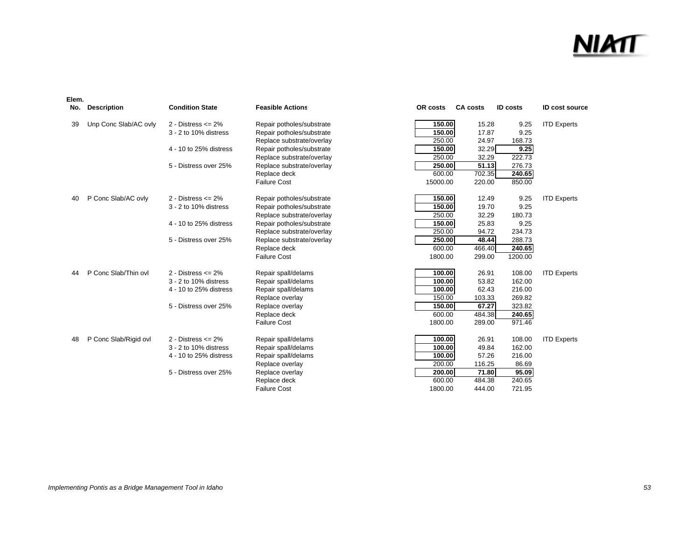### <u>NIMT</u>

| No. | <b>Description</b>    | <b>Condition State</b>  | <b>Feasible Actions</b>   | OR costs | <b>CA costs</b> | <b>ID costs</b> | <b>ID cost source</b> |
|-----|-----------------------|-------------------------|---------------------------|----------|-----------------|-----------------|-----------------------|
| 39  | Unp Conc Slab/AC ovly | $2 - Distress \leq 2\%$ | Repair potholes/substrate | 150.00   | 15.28           | 9.25            | <b>ITD Experts</b>    |
|     |                       | 3 - 2 to 10% distress   | Repair potholes/substrate | 150.00   | 17.87           | 9.25            |                       |
|     |                       |                         | Replace substrate/overlay | 250.00   | 24.97           | 168.73          |                       |
|     |                       | 4 - 10 to 25% distress  | Repair potholes/substrate | 150.00   | 32.29           | 9.25            |                       |
|     |                       |                         | Replace substrate/overlay | 250.00   | 32.29           | 222.73          |                       |
|     |                       | 5 - Distress over 25%   | Replace substrate/overlay | 250.00   | 51.13           | 276.73          |                       |
|     |                       |                         | Replace deck              | 600.00   | 702.35          | 240.65          |                       |
|     |                       |                         | <b>Failure Cost</b>       | 15000.00 | 220.00          | 850.00          |                       |
| 40  | P Conc Slab/AC ovly   | $2 - Distress \leq 2\%$ | Repair potholes/substrate | 150.00   | 12.49           | 9.25            | <b>ITD Experts</b>    |
|     |                       | 3 - 2 to 10% distress   | Repair potholes/substrate | 150.00   | 19.70           | 9.25            |                       |
|     |                       |                         | Replace substrate/overlay | 250.00   | 32.29           | 180.73          |                       |
|     |                       | 4 - 10 to 25% distress  | Repair potholes/substrate | 150.00   | 25.83           | 9.25            |                       |
|     |                       |                         | Replace substrate/overlay | 250.00   | 94.72           | 234.73          |                       |
|     |                       | 5 - Distress over 25%   | Replace substrate/overlay | 250.00   | 48.44           | 288.73          |                       |
|     |                       |                         | Replace deck              | 600.00   | 466.40          | 240.65          |                       |
|     |                       |                         | <b>Failure Cost</b>       | 1800.00  | 299.00          | 1200.00         |                       |
| 44  | P Conc Slab/Thin ovl  | $2 - Distress \leq 2\%$ | Repair spall/delams       | 100.00   | 26.91           | 108.00          | <b>ITD Experts</b>    |
|     |                       | 3 - 2 to 10% distress   | Repair spall/delams       | 100.00   | 53.82           | 162.00          |                       |
|     |                       | 4 - 10 to 25% distress  | Repair spall/delams       | 100.00   | 62.43           | 216.00          |                       |
|     |                       |                         | Replace overlay           | 150.00   | 103.33          | 269.82          |                       |
|     |                       | 5 - Distress over 25%   | Replace overlay           | 150.00   | 67.27           | 323.82          |                       |
|     |                       |                         | Replace deck              | 600.00   | 484.38          | 240.65          |                       |
|     |                       |                         | <b>Failure Cost</b>       | 1800.00  | 289.00          | 971.46          |                       |
| 48  | P Conc Slab/Rigid ovl | 2 - Distress $\leq$ 2%  | Repair spall/delams       | 100.00   | 26.91           | 108.00          | <b>ITD Experts</b>    |
|     |                       | 3 - 2 to 10% distress   | Repair spall/delams       | 100.00   | 49.84           | 162.00          |                       |
|     |                       | 4 - 10 to 25% distress  | Repair spall/delams       | 100.00   | 57.26           | 216.00          |                       |
|     |                       |                         | Replace overlay           | 200.00   | 116.25          | 86.69           |                       |
|     |                       | 5 - Distress over 25%   | Replace overlay           | 200.00   | 71.80           | 95.09           |                       |
|     |                       |                         | Replace deck              | 600.00   | 484.38          | 240.65          |                       |
|     |                       |                         | <b>Failure Cost</b>       | 1800.00  | 444.00          | 721.95          |                       |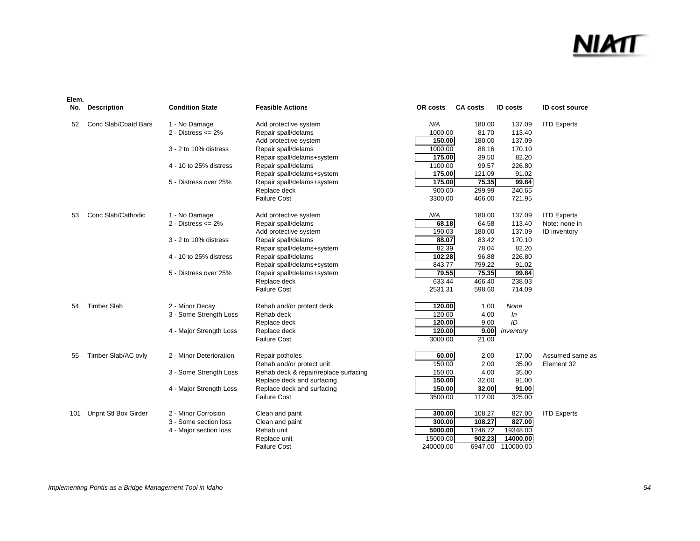|     | No. Description      | <b>Condition State</b>  | <b>Feasible Actions</b>               | OR costs  | <b>CA costs</b> | <b>ID</b> costs | <b>ID cost source</b> |
|-----|----------------------|-------------------------|---------------------------------------|-----------|-----------------|-----------------|-----------------------|
| 52  | Conc Slab/Coatd Bars | 1 - No Damage           | Add protective system                 | N/A       | 180.00          | 137.09          | <b>ITD Experts</b>    |
|     |                      | 2 - Distress $\leq$ 2%  | Repair spall/delams                   | 1000.00   | 81.70           | 113.40          |                       |
|     |                      |                         | Add protective system                 | 150.00    | 180.00          | 137.09          |                       |
|     |                      | 3 - 2 to 10% distress   | Repair spall/delams                   | 1000.00   | 88.16           | 170.10          |                       |
|     |                      |                         | Repair spall/delams+system            | 175.00    | 39.50           | 82.20           |                       |
|     |                      | 4 - 10 to 25% distress  | Repair spall/delams                   | 1100.00   | 99.57           | 226.80          |                       |
|     |                      |                         | Repair spall/delams+system            | 175.00    | 121.09          | 91.02           |                       |
|     |                      | 5 - Distress over 25%   | Repair spall/delams+system            | 175.00    | 75.35           | 99.84           |                       |
|     |                      |                         | Replace deck                          | 900.00    | 299.99          | 240.65          |                       |
|     |                      |                         | <b>Failure Cost</b>                   | 3300.00   | 466.00          | 721.95          |                       |
| 53  | Conc Slab/Cathodic   | 1 - No Damage           | Add protective system                 | N/A       | 180.00          | 137.09          | <b>ITD Experts</b>    |
|     |                      | $2 - Distress \leq 2\%$ | Repair spall/delams                   | 68.18     | 64.58           | 113.40          | Note: none in         |
|     |                      |                         | Add protective system                 | 190.03    | 180.00          | 137.09          | <b>ID</b> inventory   |
|     |                      | 3 - 2 to 10% distress   | Repair spall/delams                   | 88.07     | 83.42           | 170.10          |                       |
|     |                      |                         | Repair spall/delams+system            | 82.39     | 78.04           | 82.20           |                       |
|     |                      | 4 - 10 to 25% distress  | Repair spall/delams                   | 102.28    | 96.88           | 226.80          |                       |
|     |                      |                         | Repair spall/delams+system            | 843.77    | 799.22          | 91.02           |                       |
|     |                      | 5 - Distress over 25%   | Repair spall/delams+system            | 79.55     | 75.35           | 99.84           |                       |
|     |                      |                         | Replace deck                          | 633.44    | 466.40          | 238.03          |                       |
|     |                      |                         | <b>Failure Cost</b>                   | 2531.31   | 598.60          | 714.09          |                       |
| 54  | <b>Timber Slab</b>   | 2 - Minor Decay         | Rehab and/or protect deck             | 120.00    | 1.00            | None            |                       |
|     |                      | 3 - Some Strength Loss  | Rehab deck                            | 120.00    | 4.00            | In              |                       |
|     |                      |                         | Replace deck                          | 120.00    | 9.00            | ID              |                       |
|     |                      | 4 - Major Strength Loss | Replace deck                          | 120.00    | 9.00            | Inventory       |                       |
|     |                      |                         | <b>Failure Cost</b>                   | 3000.00   | 21.00           |                 |                       |
| 55  | Timber Slab/AC ovly  | 2 - Minor Deterioration | Repair potholes                       | 60.00     | 2.00            | 17.00           | Assumed same as       |
|     |                      |                         | Rehab and/or protect unit             | 150.00    | 2.00            | 35.00           | Element 32            |
|     |                      | 3 - Some Strength Loss  | Rehab deck & repair/replace surfacing | 150.00    | 4.00            | 35.00           |                       |
|     |                      |                         | Replace deck and surfacing            | 150.00    | 32.00           | 91.00           |                       |
|     |                      | 4 - Major Strength Loss | Replace deck and surfacing            | 150.00    | 32.00           | 91.00           |                       |
|     |                      |                         | <b>Failure Cost</b>                   | 3500.00   | 112.00          | 325.00          |                       |
| 101 | Unpnt Stl Box Girder | 2 - Minor Corrosion     | Clean and paint                       | 300.00    | 108.27          | 827.00          | <b>ITD Experts</b>    |
|     |                      | 3 - Some section loss   | Clean and paint                       | 300.00    | 108.27          | 827.00          |                       |
|     |                      | 4 - Major section loss  | Rehab unit                            | 5000.00   | 1246.72         | 19348.00        |                       |
|     |                      |                         | Replace unit                          | 15000.00  | 902.23          | 14000.00        |                       |
|     |                      |                         | <b>Failure Cost</b>                   | 240000.00 | 6947.00         | 110000.00       |                       |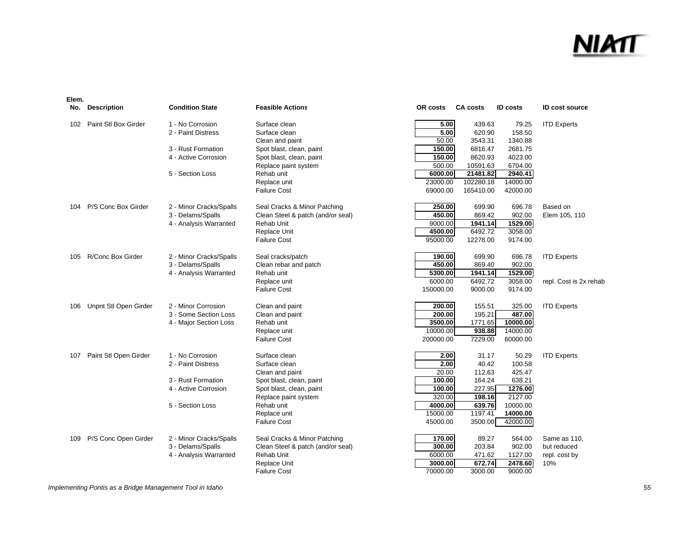### <u>NIMT</u>

#### **Elem.**

| No. | <b>Description</b>    | <b>Condition State</b>  | <b>Feasible Actions</b>           | OR costs  | <b>CA costs</b> | <b>ID costs</b> | <b>ID cost source</b>  |
|-----|-----------------------|-------------------------|-----------------------------------|-----------|-----------------|-----------------|------------------------|
| 102 | Paint Stl Box Girder  | 1 - No Corrosion        | Surface clean                     | 5.00      | 439.63          | 79.25           | <b>ITD Experts</b>     |
|     |                       | 2 - Paint Distress      | Surface clean                     | 5.00      | 620.90          | 158.50          |                        |
|     |                       |                         | Clean and paint                   | 50.00     | 3543.31         | 1340.88         |                        |
|     |                       | 3 - Rust Formation      | Spot blast, clean, paint          | 150.00    | 6816.47         | 2681.75         |                        |
|     |                       | 4 - Active Corrosion    | Spot blast, clean, paint          | 150.00    | 8620.93         | 4023.00         |                        |
|     |                       |                         | Replace paint system              | 500.00    | 10591.63        | 6704.00         |                        |
|     |                       | 5 - Section Loss        | Rehab unit                        | 6000.00   | 21481.82        | 2940.41         |                        |
|     |                       |                         | Replace unit                      | 23000.00  | 102280.18       | 14000.00        |                        |
|     |                       |                         | <b>Failure Cost</b>               | 69000.00  | 165410.00       | 42000.00        |                        |
| 104 | P/S Conc Box Girder   | 2 - Minor Cracks/Spalls | Seal Cracks & Minor Patching      | 250.00    | 699.90          | 696.78          | Based on               |
|     |                       | 3 - Delams/Spalls       | Clean Steel & patch (and/or seal) | 450.00    | 869.42          | 902.00          | Elem 105, 110          |
|     |                       | 4 - Analysis Warranted  | Rehab Unit                        | 9000.00   | 1941.14         | 1529.00         |                        |
|     |                       |                         | Replace Unit                      | 4500.00   | 6492.72         | 3058.00         |                        |
|     |                       |                         | <b>Failure Cost</b>               | 95000.00  | 12278.00        | 9174.00         |                        |
| 105 | R/Conc Box Girder     | 2 - Minor Cracks/Spalls | Seal cracks/patch                 | 190.00    | 699.90          | 696.78          | <b>ITD Experts</b>     |
|     |                       | 3 - Delams/Spalls       | Clean rebar and patch             | 450.00    | 869.40          | 902.00          |                        |
|     |                       | 4 - Analysis Warranted  | Rehab unit                        | 5300.00   | 1941.14         | 1529.00         |                        |
|     |                       |                         | Replace unit                      | 6000.00   | 6492.72         | 3058.00         | repl. Cost is 2x rehab |
|     |                       |                         | <b>Failure Cost</b>               | 150000.00 | 9000.00         | 9174.00         |                        |
| 106 | Unpnt Stl Open Girder | 2 - Minor Corrosion     | Clean and paint                   | 200.00    | 155.51          | 325.00          | <b>ITD Experts</b>     |
|     |                       | 3 - Some Section Loss   | Clean and paint                   | 200.00    | 195.21          | 487.00          |                        |
|     |                       | 4 - Major Section Loss  | Rehab unit                        | 3500.00   | 1771.65         | 10000.00        |                        |
|     |                       |                         | Replace unit                      | 10000.00  | 938.88          | 14000.00        |                        |
|     |                       |                         | <b>Failure Cost</b>               | 200000.00 | 7229.00         | 60000.00        |                        |
| 107 | Paint Stl Open Girder | 1 - No Corrosion        | Surface clean                     | 2.00      | 31.17           | 50.29           | <b>ITD Experts</b>     |
|     |                       | 2 - Paint Distress      | Surface clean                     | 2.00      | 40.42           | 100.58          |                        |
|     |                       |                         | Clean and paint                   | 20.00     | 112.63          | 425.47          |                        |
|     |                       | 3 - Rust Formation      | Spot blast, clean, paint          | 100.00    | 164.24          | 638.21          |                        |
|     |                       | 4 - Active Corrosion    | Spot blast, clean, paint          | 100.00    | 227.95          | 1276.00         |                        |
|     |                       |                         | Replace paint system              | 320.00    | 198.16          | 2127.00         |                        |
|     |                       | 5 - Section Loss        | Rehab unit                        | 4000.00   | 639.76          | 10000.00        |                        |
|     |                       |                         | Replace unit                      | 15000.00  | 1197.41         | 14000.00        |                        |
|     |                       |                         | <b>Failure Cost</b>               | 45000.00  | 3500.00         | 42000.00        |                        |
| 109 | P/S Conc Open Girder  | 2 - Minor Cracks/Spalls | Seal Cracks & Minor Patching      | 170.00    | 89.27           | 564.00          | Same as 110,           |
|     |                       | 3 - Delams/Spalls       | Clean Steel & patch (and/or seal) | 300.00    | 203.84          | 902.00          | but reduced            |
|     |                       | 4 - Analysis Warranted  | Rehab Unit                        | 6000.00   | 471.62          | 1127.00         | repl. cost by          |
|     |                       |                         | Replace Unit                      | 3000.00   | 672.74          | 2478.60         | 10%                    |
|     |                       |                         | Failure Cost                      | 70000.00  | 3000.00         | 9000.00         |                        |

*Implementing Pontis as a Bridge Management Tool in Idaho 55*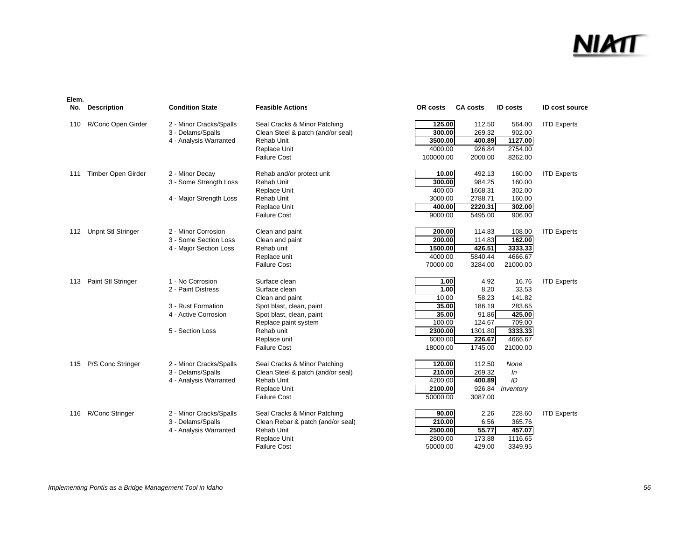| Elem.<br>No. | <b>Description</b>        | <b>Condition State</b>  | <b>Feasible Actions</b>           | OR costs  | <b>CA costs</b> | <b>ID costs</b> | <b>ID cost source</b> |
|--------------|---------------------------|-------------------------|-----------------------------------|-----------|-----------------|-----------------|-----------------------|
| 110          | R/Conc Open Girder        | 2 - Minor Cracks/Spalls | Seal Cracks & Minor Patching      | 125.00    | 112.50          | 564.00          | <b>ITD Experts</b>    |
|              |                           | 3 - Delams/Spalls       | Clean Steel & patch (and/or seal) | 300.00    | 269.32          | 902.00          |                       |
|              |                           | 4 - Analysis Warranted  | Rehab Unit                        | 3500.00   | 400.89          | 1127.00         |                       |
|              |                           |                         | Replace Unit                      | 4000.00   | 926.84          | 2754.00         |                       |
|              |                           |                         | <b>Failure Cost</b>               | 100000.00 | 2000.00         | 8262.00         |                       |
| 111          | Timber Open Girder        | 2 - Minor Decay         | Rehab and/or protect unit         | 10.00     | 492.13          | 160.00          | <b>ITD Experts</b>    |
|              |                           | 3 - Some Strength Loss  | Rehab Unit                        | 300.00    | 984.25          | 160.00          |                       |
|              |                           |                         | Replace Unit                      | 400.00    | 1668.31         | 302.00          |                       |
|              |                           | 4 - Major Strength Loss | Rehab Unit                        | 3000.00   | 2788.71         | 160.00          |                       |
|              |                           |                         | Replace Unit                      | 400.00    | 2220.31         | 302.00          |                       |
|              |                           |                         | <b>Failure Cost</b>               | 9000.00   | 5495.00         | 906.00          |                       |
| 112          | <b>Unpnt Stl Stringer</b> | 2 - Minor Corrosion     | Clean and paint                   | 200.00    | 114.83          | 108.00          | <b>ITD Experts</b>    |
|              |                           | 3 - Some Section Loss   | Clean and paint                   | 200.00    | 114.83          | 162.00          |                       |
|              |                           | 4 - Major Section Loss  | Rehab unit                        | 1500.00   | 426.51          | 3333.33         |                       |
|              |                           |                         | Replace unit                      | 4000.00   | 5840.44         | 4666.67         |                       |
|              |                           |                         | <b>Failure Cost</b>               | 70000.00  | 3284.00         | 21000.00        |                       |
| 113          | Paint Stl Stringer        | 1 - No Corrosion        | Surface clean                     | 1.00      | 4.92            | 16.76           | <b>ITD Experts</b>    |
|              |                           | 2 - Paint Distress      | Surface clean                     | 1.00      | 8.20            | 33.53           |                       |
|              |                           |                         | Clean and paint                   | 10.00     | 58.23           | 141.82          |                       |
|              |                           | 3 - Rust Formation      | Spot blast, clean, paint          | 35.00     | 186.19          | 283.65          |                       |
|              |                           | 4 - Active Corrosion    | Spot blast, clean, paint          | 35.00     | 91.86           | 425.00          |                       |
|              |                           |                         | Replace paint system              | 100.00    | 124.67          | 709.00          |                       |
|              |                           | 5 - Section Loss        | Rehab unit                        | 2300.00   | 1301.80         | 3333.33         |                       |
|              |                           |                         | Replace unit                      | 6000.00   | 226.67          | 4666.67         |                       |
|              |                           |                         | <b>Failure Cost</b>               | 18000.00  | 1745.00         | 21000.00        |                       |
| 115          | P/S Conc Stringer         | 2 - Minor Cracks/Spalls | Seal Cracks & Minor Patching      | 120.00    | 112.50          | None            |                       |
|              |                           | 3 - Delams/Spalls       | Clean Steel & patch (and/or seal) | 210.00    | 269.32          | ln              |                       |
|              |                           | 4 - Analysis Warranted  | Rehab Unit                        | 4200.00   | 400.89          | ID              |                       |
|              |                           |                         | Replace Unit                      | 2100.00   | 926.84          | Inventory       |                       |
|              |                           |                         | <b>Failure Cost</b>               | 50000.00  | 3087.00         |                 |                       |
| 116          | R/Conc Stringer           | 2 - Minor Cracks/Spalls | Seal Cracks & Minor Patching      | 90.00     | 2.26            | 228.60          | <b>ITD Experts</b>    |
|              |                           | 3 - Delams/Spalls       | Clean Rebar & patch (and/or seal) | 210.00    | 6.56            | 365.76          |                       |
|              |                           | 4 - Analysis Warranted  | Rehab Unit                        | 2500.00   | 55.77           | 457.07          |                       |
|              |                           |                         | Replace Unit                      | 2800.00   | 173.88          | 1116.65         |                       |
|              |                           |                         | <b>Failure Cost</b>               | 50000.00  | 429.00          | 3349.95         |                       |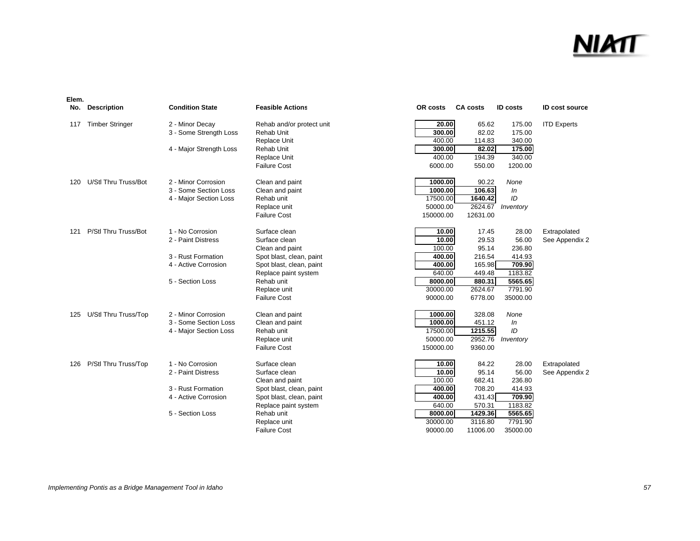#### NIM

| Elem. |                        |                         |                           |           |                 |                 |                       |
|-------|------------------------|-------------------------|---------------------------|-----------|-----------------|-----------------|-----------------------|
| No.   | <b>Description</b>     | <b>Condition State</b>  | <b>Feasible Actions</b>   | OR costs  | <b>CA costs</b> | <b>ID</b> costs | <b>ID cost source</b> |
| 117   | <b>Timber Stringer</b> | 2 - Minor Decay         | Rehab and/or protect unit | 20.00     | 65.62           | 175.00          | <b>ITD Experts</b>    |
|       |                        | 3 - Some Strength Loss  | Rehab Unit                | 300.00    | 82.02           | 175.00          |                       |
|       |                        |                         | Replace Unit              | 400.00    | 114.83          | 340.00          |                       |
|       |                        | 4 - Major Strength Loss | Rehab Unit                | 300.00    | 82.02           | 175.00          |                       |
|       |                        |                         | Replace Unit              | 400.00    | 194.39          | 340.00          |                       |
|       |                        |                         | <b>Failure Cost</b>       | 6000.00   | 550.00          | 1200.00         |                       |
| 120   | U/Stl Thru Truss/Bot   | 2 - Minor Corrosion     | Clean and paint           | 1000.00   | 90.22           | None            |                       |
|       |                        | 3 - Some Section Loss   | Clean and paint           | 1000.00   | 106.63          | ln              |                       |
|       |                        | 4 - Major Section Loss  | Rehab unit                | 17500.00  | 1640.42         | ID              |                       |
|       |                        |                         | Replace unit              | 50000.00  | 2624.67         | Inventory       |                       |
|       |                        |                         | <b>Failure Cost</b>       | 150000.00 | 12631.00        |                 |                       |
| 121   | P/Stl Thru Truss/Bot   | 1 - No Corrosion        | Surface clean             | 10.00     | 17.45           | 28.00           | Extrapolated          |
|       |                        | 2 - Paint Distress      | Surface clean             | 10.00     | 29.53           | 56.00           | See Appendix 2        |
|       |                        |                         | Clean and paint           | 100.00    | 95.14           | 236.80          |                       |
|       |                        | 3 - Rust Formation      | Spot blast, clean, paint  | 400.00    | 216.54          | 414.93          |                       |
|       |                        | 4 - Active Corrosion    | Spot blast, clean, paint  | 400.00    | 165.98          | 709.90          |                       |
|       |                        |                         | Replace paint system      | 640.00    | 449.48          | 1183.82         |                       |
|       |                        | 5 - Section Loss        | Rehab unit                | 8000.00   | 880.31          | 5565.65         |                       |
|       |                        |                         | Replace unit              | 30000.00  | 2624.67         | 7791.90         |                       |
|       |                        |                         | <b>Failure Cost</b>       | 90000.00  | 6778.00         | 35000.00        |                       |
| 125   | U/Stl Thru Truss/Top   | 2 - Minor Corrosion     | Clean and paint           | 1000.00   | 328.08          | None            |                       |
|       |                        | 3 - Some Section Loss   | Clean and paint           | 1000.00   | 451.12          | In              |                       |
|       |                        | 4 - Major Section Loss  | Rehab unit                | 17500.00  | 1215.55         | ID              |                       |
|       |                        |                         | Replace unit              | 50000.00  | 2952.76         | Inventory       |                       |
|       |                        |                         | <b>Failure Cost</b>       | 150000.00 | 9360.00         |                 |                       |
| 126   | P/Stl Thru Truss/Top   | 1 - No Corrosion        | Surface clean             | 10.00     | 84.22           | 28.00           | Extrapolated          |
|       |                        | 2 - Paint Distress      | Surface clean             | 10.00     | 95.14           | 56.00           | See Appendix 2        |
|       |                        |                         | Clean and paint           | 100.00    | 682.41          | 236.80          |                       |
|       |                        | 3 - Rust Formation      | Spot blast, clean, paint  | 400.00    | 708.20          | 414.93          |                       |
|       |                        | 4 - Active Corrosion    | Spot blast, clean, paint  | 400.00    | 431.43          | 709.90          |                       |
|       |                        |                         | Replace paint system      | 640.00    | 570.31          | 1183.82         |                       |
|       |                        | 5 - Section Loss        | Rehab unit                | 8000.00   | 1429.36         | 5565.65         |                       |
|       |                        |                         | Replace unit              | 30000.00  | 3116.80         | 7791.90         |                       |
|       |                        |                         | <b>Failure Cost</b>       | 90000.00  | 11006.00        | 35000.00        |                       |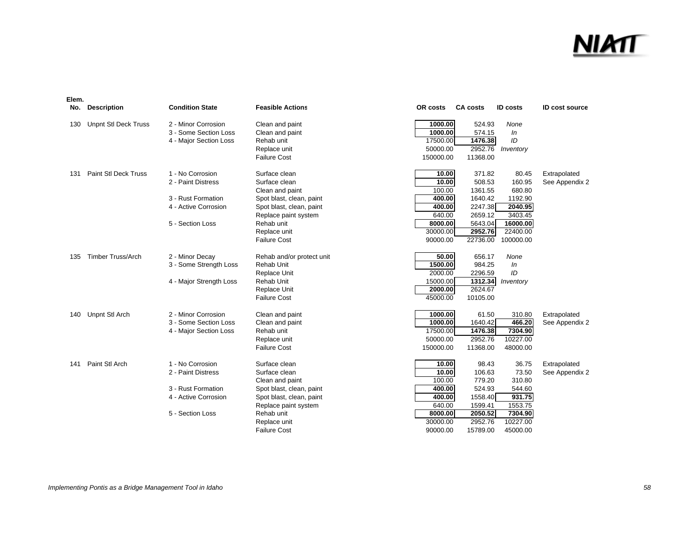| No. | <b>Description</b>          | <b>Condition State</b>  | <b>Feasible Actions</b>   | OR costs  | <b>CA costs</b> | <b>ID</b> costs | <b>ID cost source</b> |
|-----|-----------------------------|-------------------------|---------------------------|-----------|-----------------|-----------------|-----------------------|
| 130 | <b>Unpnt Stl Deck Truss</b> | 2 - Minor Corrosion     | Clean and paint           | 1000.00   | 524.93          | None            |                       |
|     |                             | 3 - Some Section Loss   | Clean and paint           | 1000.00   | 574.15          | In              |                       |
|     |                             | 4 - Major Section Loss  | Rehab unit                | 17500.00  | 1476.38         | ID              |                       |
|     |                             |                         | Replace unit              | 50000.00  | 2952.76         | Inventory       |                       |
|     |                             |                         | <b>Failure Cost</b>       | 150000.00 | 11368.00        |                 |                       |
| 131 | <b>Paint StI Deck Truss</b> | 1 - No Corrosion        | Surface clean             | 10.00     | 371.82          | 80.45           | Extrapolated          |
|     |                             | 2 - Paint Distress      | Surface clean             | 10.00     | 508.53          | 160.95          | See Appendix 2        |
|     |                             |                         | Clean and paint           | 100.00    | 1361.55         | 680.80          |                       |
|     |                             | 3 - Rust Formation      | Spot blast, clean, paint  | 400.00    | 1640.42         | 1192.90         |                       |
|     |                             | 4 - Active Corrosion    | Spot blast, clean, paint  | 400.00    | 2247.38         | 2040.95         |                       |
|     |                             |                         | Replace paint system      | 640.00    | 2659.12         | 3403.45         |                       |
|     |                             | 5 - Section Loss        | Rehab unit                | 8000.00   | 5643.04         | 16000.00        |                       |
|     |                             |                         | Replace unit              | 30000.00  | 2952.76         | 22400.00        |                       |
|     |                             |                         | <b>Failure Cost</b>       | 90000.00  | 22736.00        | 100000.00       |                       |
| 135 | <b>Timber Truss/Arch</b>    | 2 - Minor Decay         | Rehab and/or protect unit | 50.00     | 656.17          | None            |                       |
|     |                             | 3 - Some Strength Loss  | Rehab Unit                | 1500.00   | 984.25          | In              |                       |
|     |                             |                         | <b>Replace Unit</b>       | 2000.00   | 2296.59         | ID              |                       |
|     |                             | 4 - Major Strength Loss | Rehab Unit                | 15000.00  | 1312.34         | Inventory       |                       |
|     |                             |                         | Replace Unit              | 2000.00   | 2624.67         |                 |                       |
|     |                             |                         | <b>Failure Cost</b>       | 45000.00  | 10105.00        |                 |                       |
| 140 | Unpnt Stl Arch              | 2 - Minor Corrosion     | Clean and paint           | 1000.00   | 61.50           | 310.80          | Extrapolated          |
|     |                             | 3 - Some Section Loss   | Clean and paint           | 1000.00   | 1640.42         | 466.20          | See Appendix 2        |
|     |                             | 4 - Major Section Loss  | Rehab unit                | 17500.00  | 1476.38         | 7304.90         |                       |
|     |                             |                         | Replace unit              | 50000.00  | 2952.76         | 10227.00        |                       |
|     |                             |                         | <b>Failure Cost</b>       | 150000.00 | 11368.00        | 48000.00        |                       |
| 141 | Paint Stl Arch              | 1 - No Corrosion        | Surface clean             | 10.00     | 98.43           | 36.75           | Extrapolated          |
|     |                             | 2 - Paint Distress      | Surface clean             | 10.00     | 106.63          | 73.50           | See Appendix 2        |
|     |                             |                         | Clean and paint           | 100.00    | 779.20          | 310.80          |                       |
|     |                             | 3 - Rust Formation      | Spot blast, clean, paint  | 400.00    | 524.93          | 544.60          |                       |
|     |                             | 4 - Active Corrosion    | Spot blast, clean, paint  | 400.00    | 1558.40         | 931.75          |                       |
|     |                             |                         | Replace paint system      | 640.00    | 1599.41         | 1553.75         |                       |
|     |                             | 5 - Section Loss        | Rehab unit                | 8000.00   | 2050.52         | 7304.90         |                       |
|     |                             |                         | Replace unit              | 30000.00  | 2952.76         | 10227.00        |                       |
|     |                             |                         | <b>Failure Cost</b>       | 90000.00  | 15789.00        | 45000.00        |                       |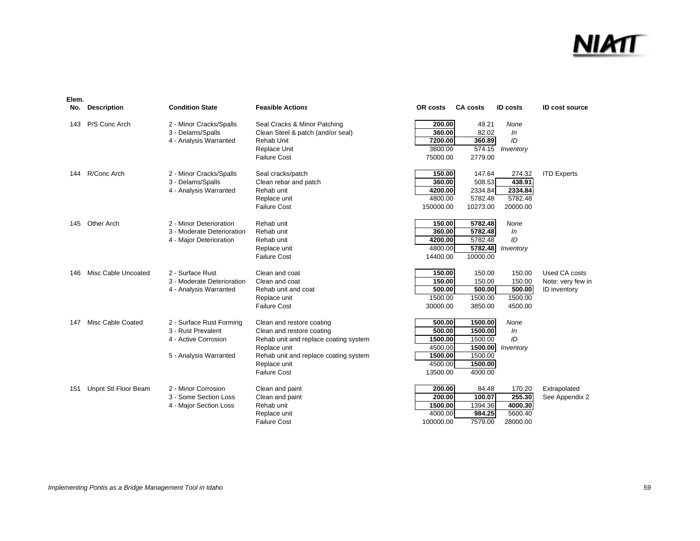| Elem. |                      |                            |                                       |           |                 |                 |                       |
|-------|----------------------|----------------------------|---------------------------------------|-----------|-----------------|-----------------|-----------------------|
| No.   | <b>Description</b>   | <b>Condition State</b>     | <b>Feasible Actions</b>               | OR costs  | <b>CA costs</b> | <b>ID costs</b> | <b>ID cost source</b> |
| 143   | P/S Conc Arch        | 2 - Minor Cracks/Spalls    | Seal Cracks & Minor Patching          | 200.00    | 49.21           | None            |                       |
|       |                      | 3 - Delams/Spalls          | Clean Steel & patch (and/or seal)     | 360.00    | 82.02           | In              |                       |
|       |                      | 4 - Analysis Warranted     | Rehab Unit                            | 7200.00   | 360.89          | ID              |                       |
|       |                      |                            | <b>Replace Unit</b>                   | 3600.00   | 574.15          | Inventory       |                       |
|       |                      |                            | <b>Failure Cost</b>                   | 75000.00  | 2779.00         |                 |                       |
| 144   | R/Conc Arch          | 2 - Minor Cracks/Spalls    | Seal cracks/patch                     | 150.00    | 147.64          | 274.32          | <b>ITD Experts</b>    |
|       |                      | 3 - Delams/Spalls          | Clean rebar and patch                 | 360.00    | 508.53          | 438.91          |                       |
|       |                      | 4 - Analysis Warranted     | Rehab unit                            | 4200.00   | 2334.84         | 2334.84         |                       |
|       |                      |                            | Replace unit                          | 4800.00   | 5782.48         | 5782.48         |                       |
|       |                      |                            | <b>Failure Cost</b>                   | 150000.00 | 10273.00        | 20000.00        |                       |
| 145   | <b>Other Arch</b>    | 2 - Minor Deterioration    | Rehab unit                            | 150.00    | 5782.48         | None            |                       |
|       |                      | 3 - Moderate Deterioration | Rehab unit                            | 360.00    | 5782.48         | In              |                       |
|       |                      | 4 - Major Deterioration    | Rehab unit                            | 4200.00   | 5782.48         | ID              |                       |
|       |                      |                            | Replace unit                          | 4800.00   | 5782.48         | Inventory       |                       |
|       |                      |                            | <b>Failure Cost</b>                   | 14400.00  | 10000.00        |                 |                       |
| 146   | Misc Cable Uncoated  | 2 - Surface Rust           | Clean and coat                        | 150.00    | 150.00          | 150.00          | Used CA costs         |
|       |                      | 3 - Moderate Deterioration | Clean and coat                        | 150.00    | 150.00          | 150.00          | Note: very few in     |
|       |                      | 4 - Analysis Warranted     | Rehab unit and coat                   | 500.00    | 500.00          | 500.00          | ID inventory          |
|       |                      |                            | Replace unit                          | 1500.00   | 1500.00         | 1500.00         |                       |
|       |                      |                            | <b>Failure Cost</b>                   | 30000.00  | 3850.00         | 4500.00         |                       |
| 147   | Misc Cable Coated    | 2 - Surface Rust Forming   | Clean and restore coating             | 500.00    | 1500.00         | None            |                       |
|       |                      | 3 - Rust Prevalent         | Clean and restore coating             | 500.00    | 1500.00         | In              |                       |
|       |                      | 4 - Active Corrosion       | Rehab unit and replace coating system | 1500.00   | 1500.00         | ID              |                       |
|       |                      |                            | Replace unit                          | 4500.00   | 1500.00         | Inventory       |                       |
|       |                      | 5 - Analysis Warranted     | Rehab unit and replace coating system | 1500.00   | 1500.00         |                 |                       |
|       |                      |                            | Replace unit                          | 4500.00   | 1500.00         |                 |                       |
|       |                      |                            | <b>Failure Cost</b>                   | 13500.00  | 4000.00         |                 |                       |
| 151   | Unpnt Stl Floor Beam | 2 - Minor Corrosion        | Clean and paint                       | 200.00    | 84.48           | 170.20          | Extrapolated          |
|       |                      | 3 - Some Section Loss      | Clean and paint                       | 200.00    | 100.07          | 255.30          | See Appendix 2        |
|       |                      | 4 - Major Section Loss     | Rehab unit                            | 1500.00   | 1394.36         | 4000.30         |                       |
|       |                      |                            | Replace unit                          | 4000.00   | 984.25          | 5600.40         |                       |
|       |                      |                            | <b>Failure Cost</b>                   | 100000.00 | 7579.00         | 28000.00        |                       |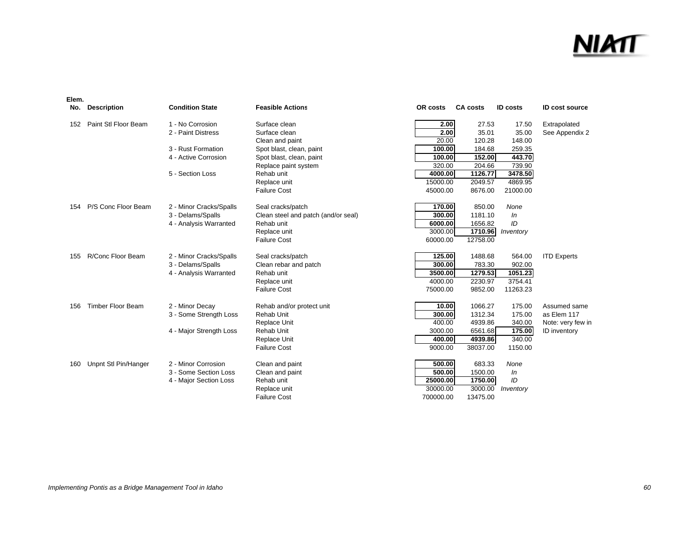### <u>NIMT</u>

| No. | <b>Description</b>       | <b>Condition State</b>  | <b>Feasible Actions</b>             | OR costs  | <b>CA costs</b> | <b>ID</b> costs | <b>ID cost source</b> |
|-----|--------------------------|-------------------------|-------------------------------------|-----------|-----------------|-----------------|-----------------------|
| 152 | Paint Stl Floor Beam     | 1 - No Corrosion        | Surface clean                       | 2.00      | 27.53           | 17.50           | Extrapolated          |
|     |                          | 2 - Paint Distress      | Surface clean                       | 2.00      | 35.01           | 35.00           | See Appendix 2        |
|     |                          |                         | Clean and paint                     | 20.00     | 120.28          | 148.00          |                       |
|     |                          | 3 - Rust Formation      | Spot blast, clean, paint            | 100.00    | 184.68          | 259.35          |                       |
|     |                          | 4 - Active Corrosion    | Spot blast, clean, paint            | 100.00    | 152.00          | 443.70          |                       |
|     |                          |                         | Replace paint system                | 320.00    | 204.66          | 739.90          |                       |
|     |                          | 5 - Section Loss        | Rehab unit                          | 4000.00   | 1126.77         | 3478.50         |                       |
|     |                          |                         | Replace unit                        | 15000.00  | 2049.57         | 4869.95         |                       |
|     |                          |                         | <b>Failure Cost</b>                 | 45000.00  | 8676.00         | 21000.00        |                       |
| 154 | P/S Conc Floor Beam      | 2 - Minor Cracks/Spalls | Seal cracks/patch                   | 170.00    | 850.00          | None            |                       |
|     |                          | 3 - Delams/Spalls       | Clean steel and patch (and/or seal) | 300.00    | 1181.10         | In              |                       |
|     |                          | 4 - Analysis Warranted  | Rehab unit                          | 6000.00   | 1656.82         | ID              |                       |
|     |                          |                         | Replace unit                        | 3000.00   | 1710.96         | Inventory       |                       |
|     |                          |                         | <b>Failure Cost</b>                 | 60000.00  | 12758.00        |                 |                       |
| 155 | R/Conc Floor Beam        | 2 - Minor Cracks/Spalls | Seal cracks/patch                   | 125.00    | 1488.68         | 564.00          | <b>ITD Experts</b>    |
|     |                          | 3 - Delams/Spalls       | Clean rebar and patch               | 300.00    | 783.30          | 902.00          |                       |
|     |                          | 4 - Analysis Warranted  | Rehab unit                          | 3500.00   | 1279.53         | 1051.23         |                       |
|     |                          |                         | Replace unit                        | 4000.00   | 2230.97         | 3754.41         |                       |
|     |                          |                         | <b>Failure Cost</b>                 | 75000.00  | 9852.00         | 11263.23        |                       |
| 156 | <b>Timber Floor Beam</b> | 2 - Minor Decay         | Rehab and/or protect unit           | 10.00     | 1066.27         | 175.00          | Assumed same          |
|     |                          | 3 - Some Strength Loss  | Rehab Unit                          | 300.00    | 1312.34         | 175.00          | as Elem 117           |
|     |                          |                         | Replace Unit                        | 400.00    | 4939.86         | 340.00          | Note: very few in     |
|     |                          | 4 - Major Strength Loss | Rehab Unit                          | 3000.00   | 6561.68         | 175.00          | ID inventory          |
|     |                          |                         | Replace Unit                        | 400.00    | 4939.86         | 340.00          |                       |
|     |                          |                         | <b>Failure Cost</b>                 | 9000.00   | 38037.00        | 1150.00         |                       |
| 160 | Unpnt Stl Pin/Hanger     | 2 - Minor Corrosion     | Clean and paint                     | 500.00    | 683.33          | None            |                       |
|     |                          | 3 - Some Section Loss   | Clean and paint                     | 500.00    | 1500.00         | In              |                       |
|     |                          | 4 - Major Section Loss  | Rehab unit                          | 25000.00  | 1750.00         | ID              |                       |
|     |                          |                         | Replace unit                        | 30000.00  | 3000.00         | Inventory       |                       |
|     |                          |                         | <b>Failure Cost</b>                 | 700000.00 | 13475.00        |                 |                       |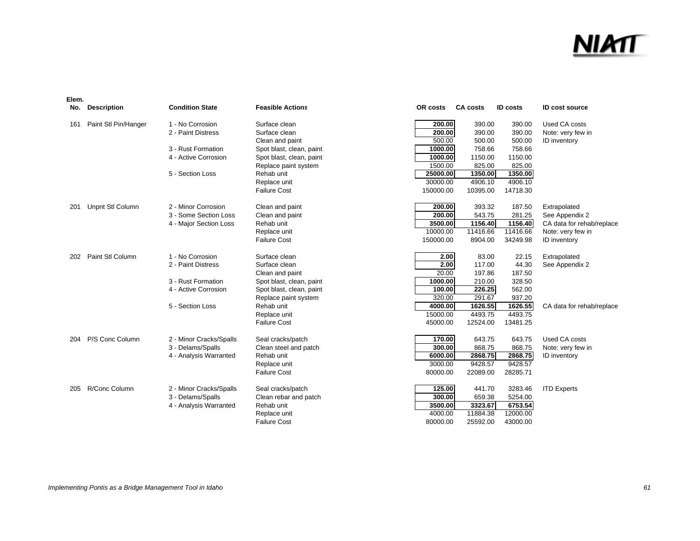### <u>NIMT</u>

| No. | <b>Description</b>   | <b>Condition State</b>  | <b>Feasible Actions</b>  | OR costs  | <b>CA costs</b> | <b>ID</b> costs | <b>ID cost source</b>     |
|-----|----------------------|-------------------------|--------------------------|-----------|-----------------|-----------------|---------------------------|
| 161 | Paint Stl Pin/Hanger | 1 - No Corrosion        | Surface clean            | 200.00    | 390.00          | 390.00          | Used CA costs             |
|     |                      | 2 - Paint Distress      | Surface clean            | 200.00    | 390.00          | 390.00          | Note: very few in         |
|     |                      |                         | Clean and paint          | 500.00    | 500.00          | 500.00          | ID inventory              |
|     |                      | 3 - Rust Formation      | Spot blast, clean, paint | 1000.00   | 758.66          | 758.66          |                           |
|     |                      | 4 - Active Corrosion    | Spot blast, clean, paint | 1000.00   | 1150.00         | 1150.00         |                           |
|     |                      |                         | Replace paint system     | 1500.00   | 825.00          | 825.00          |                           |
|     |                      | 5 - Section Loss        | Rehab unit               | 25000.00  | 1350.00         | 1350.00         |                           |
|     |                      |                         | Replace unit             | 30000.00  | 4906.10         | 4906.10         |                           |
|     |                      |                         | <b>Failure Cost</b>      | 150000.00 | 10395.00        | 14718.30        |                           |
| 201 | Unpnt Stl Column     | 2 - Minor Corrosion     | Clean and paint          | 200.00    | 393.32          | 187.50          | Extrapolated              |
|     |                      | 3 - Some Section Loss   | Clean and paint          | 200.00    | 543.75          | 281.25          | See Appendix 2            |
|     |                      | 4 - Major Section Loss  | Rehab unit               | 3500.00   | 1156.40         | 1156.40         | CA data for rehab/replace |
|     |                      |                         | Replace unit             | 10000.00  | 11416.66        | 11416.66        | Note: very few in         |
|     |                      |                         | <b>Failure Cost</b>      | 150000.00 | 8904.00         | 34249.98        | ID inventory              |
| 202 | Paint Stl Column     | 1 - No Corrosion        | Surface clean            | 2.00      | 83.00           | 22.15           | Extrapolated              |
|     |                      | 2 - Paint Distress      | Surface clean            | 2.00      | 117.00          | 44.30           | See Appendix 2            |
|     |                      |                         | Clean and paint          | 20.00     | 197.86          | 187.50          |                           |
|     |                      | 3 - Rust Formation      | Spot blast, clean, paint | 1000.00   | 210.00          | 328.50          |                           |
|     |                      | 4 - Active Corrosion    | Spot blast, clean, paint | 100.00    | 226.25          | 562.00          |                           |
|     |                      |                         | Replace paint system     | 320.00    | 291.67          | 937.20          |                           |
|     |                      | 5 - Section Loss        | Rehab unit               | 4000.00   | 1626.55         | 1626.55         | CA data for rehab/replace |
|     |                      |                         | Replace unit             | 15000.00  | 4493.75         | 4493.75         |                           |
|     |                      |                         | <b>Failure Cost</b>      | 45000.00  | 12524.00        | 13481.25        |                           |
| 204 | P/S Conc Column      | 2 - Minor Cracks/Spalls | Seal cracks/patch        | 170.00    | 643.75          | 643.75          | Used CA costs             |
|     |                      | 3 - Delams/Spalls       | Clean steel and patch    | 300.00    | 868.75          | 868.75          | Note: very few in         |
|     |                      | 4 - Analysis Warranted  | Rehab unit               | 6000.00   | 2868.75         | 2868.75         | <b>ID</b> inventory       |
|     |                      |                         | Replace unit             | 3000.00   | 9428.57         | 9428.57         |                           |
|     |                      |                         | <b>Failure Cost</b>      | 80000.00  | 22089.00        | 28285.71        |                           |
| 205 | R/Conc Column        | 2 - Minor Cracks/Spalls | Seal cracks/patch        | 125.00    | 441.70          | 3283.46         | <b>ITD Experts</b>        |
|     |                      | 3 - Delams/Spalls       | Clean rebar and patch    | 300.00    | 659.38          | 5254.00         |                           |
|     |                      | 4 - Analysis Warranted  | Rehab unit               | 3500.00   | 3323.67         | 6753.54         |                           |
|     |                      |                         | Replace unit             | 4000.00   | 11884.38        | 12000.00        |                           |
|     |                      |                         | Failure Cost             | 80000.00  | 25592.00        | 43000.00        |                           |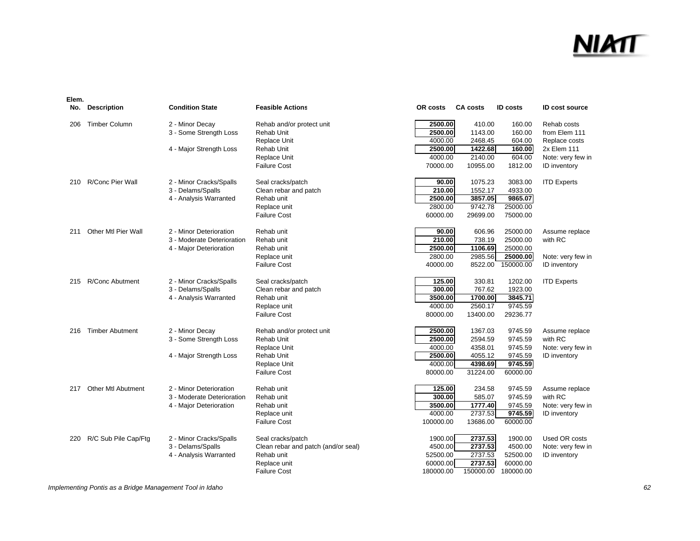| Elem. |                           |                            |                                     |           |                 |                 |                       |
|-------|---------------------------|----------------------------|-------------------------------------|-----------|-----------------|-----------------|-----------------------|
| No.   | <b>Description</b>        | <b>Condition State</b>     | <b>Feasible Actions</b>             | OR costs  | <b>CA costs</b> | <b>ID</b> costs | <b>ID cost source</b> |
| 206   | <b>Timber Column</b>      | 2 - Minor Decay            | Rehab and/or protect unit           | 2500.00   | 410.00          | 160.00          | Rehab costs           |
|       |                           | 3 - Some Strength Loss     | Rehab Unit                          | 2500.00   | 1143.00         | 160.00          | from Elem 111         |
|       |                           |                            | Replace Unit                        | 4000.00   | 2468.45         | 604.00          | Replace costs         |
|       |                           | 4 - Major Strength Loss    | Rehab Unit                          | 2500.00   | 1422.68         | 160.00          | 2x Elem 111           |
|       |                           |                            | Replace Unit                        | 4000.00   | 2140.00         | 604.00          | Note: very few in     |
|       |                           |                            | <b>Failure Cost</b>                 | 70000.00  | 10955.00        | 1812.00         | ID inventory          |
| 210   | R/Conc Pier Wall          | 2 - Minor Cracks/Spalls    | Seal cracks/patch                   | 90.00     | 1075.23         | 3083.00         | <b>ITD Experts</b>    |
|       |                           | 3 - Delams/Spalls          | Clean rebar and patch               | 210.00    | 1552.17         | 4933.00         |                       |
|       |                           | 4 - Analysis Warranted     | Rehab unit                          | 2500.00   | 3857.05         | 9865.07         |                       |
|       |                           |                            | Replace unit                        | 2800.00   | 9742.78         | 25000.00        |                       |
|       |                           |                            | <b>Failure Cost</b>                 | 60000.00  | 29699.00        | 75000.00        |                       |
| 211   | Other Mtl Pier Wall       | 2 - Minor Deterioration    | Rehab unit                          | 90.00     | 606.96          | 25000.00        | Assume replace        |
|       |                           | 3 - Moderate Deterioration | Rehab unit                          | 210.00    | 738.19          | 25000.00        | with RC               |
|       |                           | 4 - Major Deterioration    | Rehab unit                          | 2500.00   | 1106.69         | 25000.00        |                       |
|       |                           |                            | Replace unit                        | 2800.00   | 2985.56         | 25000.00        | Note: very few in     |
|       |                           |                            | <b>Failure Cost</b>                 | 40000.00  | 8522.00         | 150000.00       | <b>ID</b> inventory   |
| 215   | R/Conc Abutment           | 2 - Minor Cracks/Spalls    | Seal cracks/patch                   | 125.00    | 330.81          | 1202.00         | <b>ITD Experts</b>    |
|       |                           | 3 - Delams/Spalls          | Clean rebar and patch               | 300.00    | 767.62          | 1923.00         |                       |
|       |                           | 4 - Analysis Warranted     | Rehab unit                          | 3500.00   | 1700.00         | 3845.71         |                       |
|       |                           |                            | Replace unit                        | 4000.00   | 2560.17         | 9745.59         |                       |
|       |                           |                            | <b>Failure Cost</b>                 | 80000.00  | 13400.00        | 29236.77        |                       |
| 216   | <b>Timber Abutment</b>    | 2 - Minor Decay            | Rehab and/or protect unit           | 2500.00   | 1367.03         | 9745.59         | Assume replace        |
|       |                           | 3 - Some Strength Loss     | <b>Rehab Unit</b>                   | 2500.00   | 2594.59         | 9745.59         | with RC               |
|       |                           |                            | Replace Unit                        | 4000.00   | 4358.01         | 9745.59         | Note: very few in     |
|       |                           | 4 - Major Strength Loss    | Rehab Unit                          | 2500.00   | 4055.12         | 9745.59         | <b>ID</b> inventory   |
|       |                           |                            | <b>Replace Unit</b>                 | 4000.00   | 4398.69         | 9745.59         |                       |
|       |                           |                            | <b>Failure Cost</b>                 | 80000.00  | 31224.00        | 60000.00        |                       |
| 217   | <b>Other Mtl Abutment</b> | 2 - Minor Deterioration    | Rehab unit                          | 125.00    | 234.58          | 9745.59         | Assume replace        |
|       |                           | 3 - Moderate Deterioration | Rehab unit                          | 300.00    | 585.07          | 9745.59         | with RC               |
|       |                           | 4 - Major Deterioration    | Rehab unit                          | 3500.00   | 1777.40         | 9745.59         | Note: very few in     |
|       |                           |                            | Replace unit                        | 4000.00   | 2737.53         | 9745.59         | <b>ID</b> inventory   |
|       |                           |                            | <b>Failure Cost</b>                 | 100000.00 | 13686.00        | 60000.00        |                       |
| 220   | R/C Sub Pile Cap/Ftg      | 2 - Minor Cracks/Spalls    | Seal cracks/patch                   | 1900.00   | 2737.53         | 1900.00         | Used OR costs         |
|       |                           | 3 - Delams/Spalls          | Clean rebar and patch (and/or seal) | 4500.00   | 2737.53         | 4500.00         | Note: very few in     |
|       |                           | 4 - Analysis Warranted     | Rehab unit                          | 52500.00  | 2737.53         | 52500.00        | <b>ID</b> inventory   |
|       |                           |                            | Replace unit                        | 60000.00  | 2737.53         | 60000.00        |                       |
|       |                           |                            | <b>Failure Cost</b>                 | 180000.00 | 150000.00       | 180000.00       |                       |

*Implementing Pontis as a Bridge Management Tool in Idaho 62*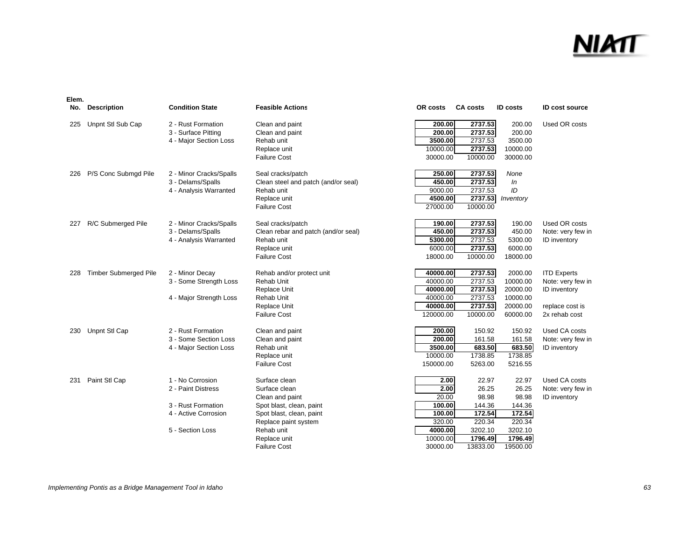| No. | <b>Description</b>           | <b>Condition State</b>                                                                                   | <b>Feasible Actions</b>                                                                                                                         | OR costs                                                              | <b>CA costs</b>                                                  | <b>ID</b> costs                                                     | <b>ID cost source</b>                                                                       |
|-----|------------------------------|----------------------------------------------------------------------------------------------------------|-------------------------------------------------------------------------------------------------------------------------------------------------|-----------------------------------------------------------------------|------------------------------------------------------------------|---------------------------------------------------------------------|---------------------------------------------------------------------------------------------|
| 225 | Unpnt Stl Sub Cap            | 2 - Rust Formation<br>3 - Surface Pitting<br>4 - Major Section Loss                                      | Clean and paint<br>Clean and paint<br>Rehab unit<br>Replace unit<br><b>Failure Cost</b>                                                         | 200.00<br>200.00<br>3500.00<br>10000.00<br>30000.00                   | 2737.53<br>2737.53<br>2737.53<br>2737.53<br>10000.00             | 200.00<br>200.00<br>3500.00<br>10000.00<br>30000.00                 | Used OR costs                                                                               |
| 226 | P/S Conc Submgd Pile         | 2 - Minor Cracks/Spalls<br>3 - Delams/Spalls<br>4 - Analysis Warranted                                   | Seal cracks/patch<br>Clean steel and patch (and/or seal)<br>Rehab unit<br>Replace unit<br><b>Failure Cost</b>                                   | 250.00<br>450.00<br>9000.00<br>4500.00<br>27000.00                    | 2737.53<br>2737.53<br>2737.53<br>2737.53<br>10000.00             | None<br>In<br>ID<br>Inventory                                       |                                                                                             |
| 227 | R/C Submerged Pile           | 2 - Minor Cracks/Spalls<br>3 - Delams/Spalls<br>4 - Analysis Warranted                                   | Seal cracks/patch<br>Clean rebar and patch (and/or seal)<br>Rehab unit<br>Replace unit<br><b>Failure Cost</b>                                   | 190.00<br>450.00<br>5300.00<br>6000.00<br>18000.00                    | 2737.53<br>2737.53<br>2737.53<br>2737.53<br>10000.00             | 190.00<br>450.00<br>5300.00<br>6000.00<br>18000.00                  | Used OR costs<br>Note: very few in<br>ID inventory                                          |
| 228 | <b>Timber Submerged Pile</b> | 2 - Minor Decay<br>3 - Some Strength Loss<br>4 - Major Strength Loss                                     | Rehab and/or protect unit<br>Rehab Unit<br>Replace Unit<br>Rehab Unit<br>Replace Unit<br><b>Failure Cost</b>                                    | 40000.00<br>40000.00<br>40000.00<br>40000.00<br>40000.00<br>120000.00 | 2737.53<br>2737.53<br>2737.53<br>2737.53<br>2737.53<br>10000.00  | 2000.00<br>10000.00<br>20000.00<br>10000.00<br>20000.00<br>60000.00 | <b>ITD Experts</b><br>Note: very few in<br>ID inventory<br>replace cost is<br>2x rehab cost |
| 230 | Unpnt Stl Cap                | 2 - Rust Formation<br>3 - Some Section Loss<br>4 - Major Section Loss                                    | Clean and paint<br>Clean and paint<br>Rehab unit<br>Replace unit<br><b>Failure Cost</b>                                                         | 200.00<br>200.00<br>3500.00<br>10000.00<br>150000.00                  | 150.92<br>161.58<br>683.50<br>1738.85<br>5263.00                 | 150.92<br>161.58<br>683.50<br>1738.85<br>5216.55                    | Used CA costs<br>Note: very few in<br>ID inventory                                          |
| 231 | Paint Stl Cap                | 1 - No Corrosion<br>2 - Paint Distress<br>3 - Rust Formation<br>4 - Active Corrosion<br>5 - Section Loss | Surface clean<br>Surface clean<br>Clean and paint<br>Spot blast, clean, paint<br>Spot blast, clean, paint<br>Replace paint system<br>Rehab unit | 2.00<br>2.00<br>20.00<br>100.00<br>100.00<br>320.00<br>4000.00        | 22.97<br>26.25<br>98.98<br>144.36<br>172.54<br>220.34<br>3202.10 | 22.97<br>26.25<br>98.98<br>144.36<br>172.54<br>220.34<br>3202.10    | Used CA costs<br>Note: very few in<br>ID inventory                                          |
|     |                              |                                                                                                          | Replace unit<br><b>Failure Cost</b>                                                                                                             | 10000.00<br>30000.00                                                  | 1796.49<br>13833.00                                              | 1796.49<br>19500.00                                                 |                                                                                             |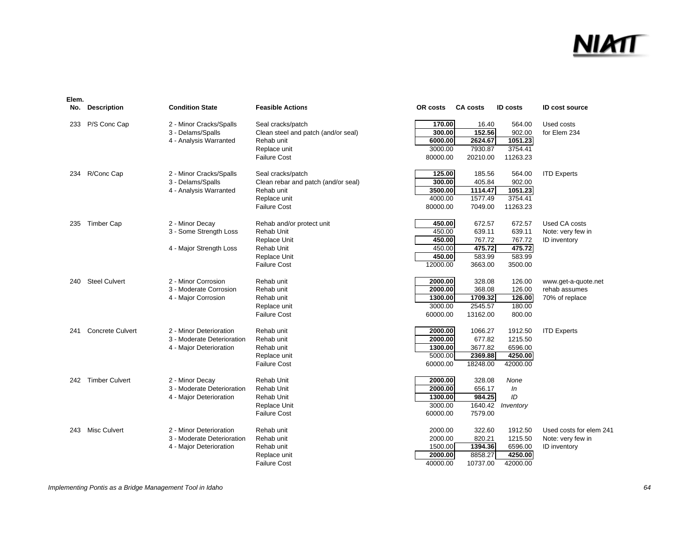| P/S Conc Cap<br>170.00<br>Used costs<br>2 - Minor Cracks/Spalls<br>Seal cracks/patch<br>564.00<br>233<br>16.40<br>152.56<br>300.00<br>902.00<br>for Elem 234<br>3 - Delams/Spalls<br>Clean steel and patch (and/or seal)<br>1051.23<br>4 - Analysis Warranted<br>Rehab unit<br>6000.00<br>2624.67<br>3000.00<br>7930.87<br>3754.41<br>Replace unit<br><b>Failure Cost</b><br>20210.00<br>11263.23<br>80000.00<br>R/Conc Cap<br>2 - Minor Cracks/Spalls<br>Seal cracks/patch<br>125.00<br>185.56<br>564.00<br><b>ITD Experts</b><br>234<br>300.00<br>3 - Delams/Spalls<br>Clean rebar and patch (and/or seal)<br>902.00<br>405.84<br>3500.00<br>1051.23<br>4 - Analysis Warranted<br>Rehab unit<br>1114.47<br>4000.00<br>Replace unit<br>1577.49<br>3754.41<br><b>Failure Cost</b><br>80000.00<br>7049.00<br>11263.23<br><b>Timber Cap</b><br>450.00<br>672.57<br>Used CA costs<br>2 - Minor Decay<br>672.57<br>235<br>Rehab and/or protect unit<br>450.00<br>3 - Some Strength Loss<br>639.11<br>639.11<br>Rehab Unit<br>Note: very few in<br>450.00<br>767.72<br>767.72<br>Replace Unit<br><b>ID</b> inventory<br>450.00<br>475.72<br>4 - Major Strength Loss<br>Rehab Unit<br>475.72<br>583.99<br>450.00<br>583.99<br>Replace Unit<br>12000.00<br><b>Failure Cost</b><br>3663.00<br>3500.00<br><b>Steel Culvert</b><br>2 - Minor Corrosion<br>2000.00<br>328.08<br>126.00<br>240<br>Rehab unit<br>www.get-a-quote.net<br>2000.00<br>3 - Moderate Corrosion<br>368.08<br>126.00<br>Rehab unit<br>rehab assumes<br>1300.00<br>1709.32<br>126.00<br>4 - Major Corrosion<br>Rehab unit<br>70% of replace<br>3000.00<br>2545.57<br>180.00<br>Replace unit<br><b>Failure Cost</b><br>60000.00<br>13162.00<br>800.00<br><b>Concrete Culvert</b><br>2 - Minor Deterioration<br>Rehab unit<br>2000.00<br>1066.27<br>1912.50<br><b>ITD Experts</b><br>241<br>2000.00<br>1215.50<br>3 - Moderate Deterioration<br>Rehab unit<br>677.82<br>1300.00<br>3677.82<br>6596.00<br>4 - Major Deterioration<br>Rehab unit<br>5000.00<br>2369.88<br>4250.00<br>Replace unit<br>42000.00<br><b>Failure Cost</b><br>60000.00<br>18248.00<br><b>Timber Culvert</b><br>2 - Minor Decay<br>Rehab Unit<br>328.08<br>None<br>2000.00<br>242<br>2000.00<br><b>Rehab Unit</b><br>656.17<br>3 - Moderate Deterioration<br>In<br>1300.00<br>984.25<br>ID<br>Rehab Unit<br>4 - Major Deterioration<br>Replace Unit<br>3000.00<br>1640.42<br>Inventory<br><b>Failure Cost</b><br>60000.00<br>7579.00<br><b>Misc Culvert</b><br>2 - Minor Deterioration<br>Rehab unit<br>2000.00<br>322.60<br>1912.50<br>Used costs for elem 241<br>243<br>1215.50<br>3 - Moderate Deterioration<br>Rehab unit<br>2000.00<br>820.21<br>Note: very few in<br>1500.00<br>6596.00<br>4 - Major Deterioration<br>Rehab unit<br>1394.36<br>ID inventory<br>8858.27<br>4250.00<br>2000.00<br>Replace unit | No. | <b>Description</b> | <b>Condition State</b> | <b>Feasible Actions</b> | OR costs | <b>CA costs</b> | <b>ID costs</b> | <b>ID cost source</b> |
|----------------------------------------------------------------------------------------------------------------------------------------------------------------------------------------------------------------------------------------------------------------------------------------------------------------------------------------------------------------------------------------------------------------------------------------------------------------------------------------------------------------------------------------------------------------------------------------------------------------------------------------------------------------------------------------------------------------------------------------------------------------------------------------------------------------------------------------------------------------------------------------------------------------------------------------------------------------------------------------------------------------------------------------------------------------------------------------------------------------------------------------------------------------------------------------------------------------------------------------------------------------------------------------------------------------------------------------------------------------------------------------------------------------------------------------------------------------------------------------------------------------------------------------------------------------------------------------------------------------------------------------------------------------------------------------------------------------------------------------------------------------------------------------------------------------------------------------------------------------------------------------------------------------------------------------------------------------------------------------------------------------------------------------------------------------------------------------------------------------------------------------------------------------------------------------------------------------------------------------------------------------------------------------------------------------------------------------------------------------------------------------------------------------------------------------------------------------------------------------------------------------------------------------------------------------------------------------------------------------------------------------------------------------------------------------------------------------------------------------------------------------------------------------------------------------------------------------------------|-----|--------------------|------------------------|-------------------------|----------|-----------------|-----------------|-----------------------|
|                                                                                                                                                                                                                                                                                                                                                                                                                                                                                                                                                                                                                                                                                                                                                                                                                                                                                                                                                                                                                                                                                                                                                                                                                                                                                                                                                                                                                                                                                                                                                                                                                                                                                                                                                                                                                                                                                                                                                                                                                                                                                                                                                                                                                                                                                                                                                                                                                                                                                                                                                                                                                                                                                                                                                                                                                                                    |     |                    |                        |                         |          |                 |                 |                       |
|                                                                                                                                                                                                                                                                                                                                                                                                                                                                                                                                                                                                                                                                                                                                                                                                                                                                                                                                                                                                                                                                                                                                                                                                                                                                                                                                                                                                                                                                                                                                                                                                                                                                                                                                                                                                                                                                                                                                                                                                                                                                                                                                                                                                                                                                                                                                                                                                                                                                                                                                                                                                                                                                                                                                                                                                                                                    |     |                    |                        |                         |          |                 |                 |                       |
|                                                                                                                                                                                                                                                                                                                                                                                                                                                                                                                                                                                                                                                                                                                                                                                                                                                                                                                                                                                                                                                                                                                                                                                                                                                                                                                                                                                                                                                                                                                                                                                                                                                                                                                                                                                                                                                                                                                                                                                                                                                                                                                                                                                                                                                                                                                                                                                                                                                                                                                                                                                                                                                                                                                                                                                                                                                    |     |                    |                        |                         |          |                 |                 |                       |
|                                                                                                                                                                                                                                                                                                                                                                                                                                                                                                                                                                                                                                                                                                                                                                                                                                                                                                                                                                                                                                                                                                                                                                                                                                                                                                                                                                                                                                                                                                                                                                                                                                                                                                                                                                                                                                                                                                                                                                                                                                                                                                                                                                                                                                                                                                                                                                                                                                                                                                                                                                                                                                                                                                                                                                                                                                                    |     |                    |                        |                         |          |                 |                 |                       |
|                                                                                                                                                                                                                                                                                                                                                                                                                                                                                                                                                                                                                                                                                                                                                                                                                                                                                                                                                                                                                                                                                                                                                                                                                                                                                                                                                                                                                                                                                                                                                                                                                                                                                                                                                                                                                                                                                                                                                                                                                                                                                                                                                                                                                                                                                                                                                                                                                                                                                                                                                                                                                                                                                                                                                                                                                                                    |     |                    |                        |                         |          |                 |                 |                       |
|                                                                                                                                                                                                                                                                                                                                                                                                                                                                                                                                                                                                                                                                                                                                                                                                                                                                                                                                                                                                                                                                                                                                                                                                                                                                                                                                                                                                                                                                                                                                                                                                                                                                                                                                                                                                                                                                                                                                                                                                                                                                                                                                                                                                                                                                                                                                                                                                                                                                                                                                                                                                                                                                                                                                                                                                                                                    |     |                    |                        |                         |          |                 |                 |                       |
|                                                                                                                                                                                                                                                                                                                                                                                                                                                                                                                                                                                                                                                                                                                                                                                                                                                                                                                                                                                                                                                                                                                                                                                                                                                                                                                                                                                                                                                                                                                                                                                                                                                                                                                                                                                                                                                                                                                                                                                                                                                                                                                                                                                                                                                                                                                                                                                                                                                                                                                                                                                                                                                                                                                                                                                                                                                    |     |                    |                        |                         |          |                 |                 |                       |
|                                                                                                                                                                                                                                                                                                                                                                                                                                                                                                                                                                                                                                                                                                                                                                                                                                                                                                                                                                                                                                                                                                                                                                                                                                                                                                                                                                                                                                                                                                                                                                                                                                                                                                                                                                                                                                                                                                                                                                                                                                                                                                                                                                                                                                                                                                                                                                                                                                                                                                                                                                                                                                                                                                                                                                                                                                                    |     |                    |                        |                         |          |                 |                 |                       |
|                                                                                                                                                                                                                                                                                                                                                                                                                                                                                                                                                                                                                                                                                                                                                                                                                                                                                                                                                                                                                                                                                                                                                                                                                                                                                                                                                                                                                                                                                                                                                                                                                                                                                                                                                                                                                                                                                                                                                                                                                                                                                                                                                                                                                                                                                                                                                                                                                                                                                                                                                                                                                                                                                                                                                                                                                                                    |     |                    |                        |                         |          |                 |                 |                       |
|                                                                                                                                                                                                                                                                                                                                                                                                                                                                                                                                                                                                                                                                                                                                                                                                                                                                                                                                                                                                                                                                                                                                                                                                                                                                                                                                                                                                                                                                                                                                                                                                                                                                                                                                                                                                                                                                                                                                                                                                                                                                                                                                                                                                                                                                                                                                                                                                                                                                                                                                                                                                                                                                                                                                                                                                                                                    |     |                    |                        |                         |          |                 |                 |                       |
|                                                                                                                                                                                                                                                                                                                                                                                                                                                                                                                                                                                                                                                                                                                                                                                                                                                                                                                                                                                                                                                                                                                                                                                                                                                                                                                                                                                                                                                                                                                                                                                                                                                                                                                                                                                                                                                                                                                                                                                                                                                                                                                                                                                                                                                                                                                                                                                                                                                                                                                                                                                                                                                                                                                                                                                                                                                    |     |                    |                        |                         |          |                 |                 |                       |
|                                                                                                                                                                                                                                                                                                                                                                                                                                                                                                                                                                                                                                                                                                                                                                                                                                                                                                                                                                                                                                                                                                                                                                                                                                                                                                                                                                                                                                                                                                                                                                                                                                                                                                                                                                                                                                                                                                                                                                                                                                                                                                                                                                                                                                                                                                                                                                                                                                                                                                                                                                                                                                                                                                                                                                                                                                                    |     |                    |                        |                         |          |                 |                 |                       |
|                                                                                                                                                                                                                                                                                                                                                                                                                                                                                                                                                                                                                                                                                                                                                                                                                                                                                                                                                                                                                                                                                                                                                                                                                                                                                                                                                                                                                                                                                                                                                                                                                                                                                                                                                                                                                                                                                                                                                                                                                                                                                                                                                                                                                                                                                                                                                                                                                                                                                                                                                                                                                                                                                                                                                                                                                                                    |     |                    |                        |                         |          |                 |                 |                       |
|                                                                                                                                                                                                                                                                                                                                                                                                                                                                                                                                                                                                                                                                                                                                                                                                                                                                                                                                                                                                                                                                                                                                                                                                                                                                                                                                                                                                                                                                                                                                                                                                                                                                                                                                                                                                                                                                                                                                                                                                                                                                                                                                                                                                                                                                                                                                                                                                                                                                                                                                                                                                                                                                                                                                                                                                                                                    |     |                    |                        |                         |          |                 |                 |                       |
|                                                                                                                                                                                                                                                                                                                                                                                                                                                                                                                                                                                                                                                                                                                                                                                                                                                                                                                                                                                                                                                                                                                                                                                                                                                                                                                                                                                                                                                                                                                                                                                                                                                                                                                                                                                                                                                                                                                                                                                                                                                                                                                                                                                                                                                                                                                                                                                                                                                                                                                                                                                                                                                                                                                                                                                                                                                    |     |                    |                        |                         |          |                 |                 |                       |
|                                                                                                                                                                                                                                                                                                                                                                                                                                                                                                                                                                                                                                                                                                                                                                                                                                                                                                                                                                                                                                                                                                                                                                                                                                                                                                                                                                                                                                                                                                                                                                                                                                                                                                                                                                                                                                                                                                                                                                                                                                                                                                                                                                                                                                                                                                                                                                                                                                                                                                                                                                                                                                                                                                                                                                                                                                                    |     |                    |                        |                         |          |                 |                 |                       |
|                                                                                                                                                                                                                                                                                                                                                                                                                                                                                                                                                                                                                                                                                                                                                                                                                                                                                                                                                                                                                                                                                                                                                                                                                                                                                                                                                                                                                                                                                                                                                                                                                                                                                                                                                                                                                                                                                                                                                                                                                                                                                                                                                                                                                                                                                                                                                                                                                                                                                                                                                                                                                                                                                                                                                                                                                                                    |     |                    |                        |                         |          |                 |                 |                       |
|                                                                                                                                                                                                                                                                                                                                                                                                                                                                                                                                                                                                                                                                                                                                                                                                                                                                                                                                                                                                                                                                                                                                                                                                                                                                                                                                                                                                                                                                                                                                                                                                                                                                                                                                                                                                                                                                                                                                                                                                                                                                                                                                                                                                                                                                                                                                                                                                                                                                                                                                                                                                                                                                                                                                                                                                                                                    |     |                    |                        |                         |          |                 |                 |                       |
|                                                                                                                                                                                                                                                                                                                                                                                                                                                                                                                                                                                                                                                                                                                                                                                                                                                                                                                                                                                                                                                                                                                                                                                                                                                                                                                                                                                                                                                                                                                                                                                                                                                                                                                                                                                                                                                                                                                                                                                                                                                                                                                                                                                                                                                                                                                                                                                                                                                                                                                                                                                                                                                                                                                                                                                                                                                    |     |                    |                        |                         |          |                 |                 |                       |
|                                                                                                                                                                                                                                                                                                                                                                                                                                                                                                                                                                                                                                                                                                                                                                                                                                                                                                                                                                                                                                                                                                                                                                                                                                                                                                                                                                                                                                                                                                                                                                                                                                                                                                                                                                                                                                                                                                                                                                                                                                                                                                                                                                                                                                                                                                                                                                                                                                                                                                                                                                                                                                                                                                                                                                                                                                                    |     |                    |                        |                         |          |                 |                 |                       |
|                                                                                                                                                                                                                                                                                                                                                                                                                                                                                                                                                                                                                                                                                                                                                                                                                                                                                                                                                                                                                                                                                                                                                                                                                                                                                                                                                                                                                                                                                                                                                                                                                                                                                                                                                                                                                                                                                                                                                                                                                                                                                                                                                                                                                                                                                                                                                                                                                                                                                                                                                                                                                                                                                                                                                                                                                                                    |     |                    |                        |                         |          |                 |                 |                       |
|                                                                                                                                                                                                                                                                                                                                                                                                                                                                                                                                                                                                                                                                                                                                                                                                                                                                                                                                                                                                                                                                                                                                                                                                                                                                                                                                                                                                                                                                                                                                                                                                                                                                                                                                                                                                                                                                                                                                                                                                                                                                                                                                                                                                                                                                                                                                                                                                                                                                                                                                                                                                                                                                                                                                                                                                                                                    |     |                    |                        |                         |          |                 |                 |                       |
|                                                                                                                                                                                                                                                                                                                                                                                                                                                                                                                                                                                                                                                                                                                                                                                                                                                                                                                                                                                                                                                                                                                                                                                                                                                                                                                                                                                                                                                                                                                                                                                                                                                                                                                                                                                                                                                                                                                                                                                                                                                                                                                                                                                                                                                                                                                                                                                                                                                                                                                                                                                                                                                                                                                                                                                                                                                    |     |                    |                        |                         |          |                 |                 |                       |
|                                                                                                                                                                                                                                                                                                                                                                                                                                                                                                                                                                                                                                                                                                                                                                                                                                                                                                                                                                                                                                                                                                                                                                                                                                                                                                                                                                                                                                                                                                                                                                                                                                                                                                                                                                                                                                                                                                                                                                                                                                                                                                                                                                                                                                                                                                                                                                                                                                                                                                                                                                                                                                                                                                                                                                                                                                                    |     |                    |                        |                         |          |                 |                 |                       |
|                                                                                                                                                                                                                                                                                                                                                                                                                                                                                                                                                                                                                                                                                                                                                                                                                                                                                                                                                                                                                                                                                                                                                                                                                                                                                                                                                                                                                                                                                                                                                                                                                                                                                                                                                                                                                                                                                                                                                                                                                                                                                                                                                                                                                                                                                                                                                                                                                                                                                                                                                                                                                                                                                                                                                                                                                                                    |     |                    |                        |                         |          |                 |                 |                       |
|                                                                                                                                                                                                                                                                                                                                                                                                                                                                                                                                                                                                                                                                                                                                                                                                                                                                                                                                                                                                                                                                                                                                                                                                                                                                                                                                                                                                                                                                                                                                                                                                                                                                                                                                                                                                                                                                                                                                                                                                                                                                                                                                                                                                                                                                                                                                                                                                                                                                                                                                                                                                                                                                                                                                                                                                                                                    |     |                    |                        |                         |          |                 |                 |                       |
|                                                                                                                                                                                                                                                                                                                                                                                                                                                                                                                                                                                                                                                                                                                                                                                                                                                                                                                                                                                                                                                                                                                                                                                                                                                                                                                                                                                                                                                                                                                                                                                                                                                                                                                                                                                                                                                                                                                                                                                                                                                                                                                                                                                                                                                                                                                                                                                                                                                                                                                                                                                                                                                                                                                                                                                                                                                    |     |                    |                        |                         |          |                 |                 |                       |
|                                                                                                                                                                                                                                                                                                                                                                                                                                                                                                                                                                                                                                                                                                                                                                                                                                                                                                                                                                                                                                                                                                                                                                                                                                                                                                                                                                                                                                                                                                                                                                                                                                                                                                                                                                                                                                                                                                                                                                                                                                                                                                                                                                                                                                                                                                                                                                                                                                                                                                                                                                                                                                                                                                                                                                                                                                                    |     |                    |                        |                         |          |                 |                 |                       |
|                                                                                                                                                                                                                                                                                                                                                                                                                                                                                                                                                                                                                                                                                                                                                                                                                                                                                                                                                                                                                                                                                                                                                                                                                                                                                                                                                                                                                                                                                                                                                                                                                                                                                                                                                                                                                                                                                                                                                                                                                                                                                                                                                                                                                                                                                                                                                                                                                                                                                                                                                                                                                                                                                                                                                                                                                                                    |     |                    |                        |                         |          |                 |                 |                       |
|                                                                                                                                                                                                                                                                                                                                                                                                                                                                                                                                                                                                                                                                                                                                                                                                                                                                                                                                                                                                                                                                                                                                                                                                                                                                                                                                                                                                                                                                                                                                                                                                                                                                                                                                                                                                                                                                                                                                                                                                                                                                                                                                                                                                                                                                                                                                                                                                                                                                                                                                                                                                                                                                                                                                                                                                                                                    |     |                    |                        |                         |          |                 |                 |                       |
|                                                                                                                                                                                                                                                                                                                                                                                                                                                                                                                                                                                                                                                                                                                                                                                                                                                                                                                                                                                                                                                                                                                                                                                                                                                                                                                                                                                                                                                                                                                                                                                                                                                                                                                                                                                                                                                                                                                                                                                                                                                                                                                                                                                                                                                                                                                                                                                                                                                                                                                                                                                                                                                                                                                                                                                                                                                    |     |                    |                        |                         |          |                 |                 |                       |
|                                                                                                                                                                                                                                                                                                                                                                                                                                                                                                                                                                                                                                                                                                                                                                                                                                                                                                                                                                                                                                                                                                                                                                                                                                                                                                                                                                                                                                                                                                                                                                                                                                                                                                                                                                                                                                                                                                                                                                                                                                                                                                                                                                                                                                                                                                                                                                                                                                                                                                                                                                                                                                                                                                                                                                                                                                                    |     |                    |                        |                         |          |                 |                 |                       |
|                                                                                                                                                                                                                                                                                                                                                                                                                                                                                                                                                                                                                                                                                                                                                                                                                                                                                                                                                                                                                                                                                                                                                                                                                                                                                                                                                                                                                                                                                                                                                                                                                                                                                                                                                                                                                                                                                                                                                                                                                                                                                                                                                                                                                                                                                                                                                                                                                                                                                                                                                                                                                                                                                                                                                                                                                                                    |     |                    |                        |                         |          |                 |                 |                       |
|                                                                                                                                                                                                                                                                                                                                                                                                                                                                                                                                                                                                                                                                                                                                                                                                                                                                                                                                                                                                                                                                                                                                                                                                                                                                                                                                                                                                                                                                                                                                                                                                                                                                                                                                                                                                                                                                                                                                                                                                                                                                                                                                                                                                                                                                                                                                                                                                                                                                                                                                                                                                                                                                                                                                                                                                                                                    |     |                    |                        |                         |          |                 |                 |                       |
|                                                                                                                                                                                                                                                                                                                                                                                                                                                                                                                                                                                                                                                                                                                                                                                                                                                                                                                                                                                                                                                                                                                                                                                                                                                                                                                                                                                                                                                                                                                                                                                                                                                                                                                                                                                                                                                                                                                                                                                                                                                                                                                                                                                                                                                                                                                                                                                                                                                                                                                                                                                                                                                                                                                                                                                                                                                    |     |                    |                        |                         |          |                 |                 |                       |
|                                                                                                                                                                                                                                                                                                                                                                                                                                                                                                                                                                                                                                                                                                                                                                                                                                                                                                                                                                                                                                                                                                                                                                                                                                                                                                                                                                                                                                                                                                                                                                                                                                                                                                                                                                                                                                                                                                                                                                                                                                                                                                                                                                                                                                                                                                                                                                                                                                                                                                                                                                                                                                                                                                                                                                                                                                                    |     |                    |                        |                         |          |                 |                 |                       |
|                                                                                                                                                                                                                                                                                                                                                                                                                                                                                                                                                                                                                                                                                                                                                                                                                                                                                                                                                                                                                                                                                                                                                                                                                                                                                                                                                                                                                                                                                                                                                                                                                                                                                                                                                                                                                                                                                                                                                                                                                                                                                                                                                                                                                                                                                                                                                                                                                                                                                                                                                                                                                                                                                                                                                                                                                                                    |     |                    |                        |                         |          |                 |                 |                       |
|                                                                                                                                                                                                                                                                                                                                                                                                                                                                                                                                                                                                                                                                                                                                                                                                                                                                                                                                                                                                                                                                                                                                                                                                                                                                                                                                                                                                                                                                                                                                                                                                                                                                                                                                                                                                                                                                                                                                                                                                                                                                                                                                                                                                                                                                                                                                                                                                                                                                                                                                                                                                                                                                                                                                                                                                                                                    |     |                    |                        |                         |          |                 |                 |                       |
|                                                                                                                                                                                                                                                                                                                                                                                                                                                                                                                                                                                                                                                                                                                                                                                                                                                                                                                                                                                                                                                                                                                                                                                                                                                                                                                                                                                                                                                                                                                                                                                                                                                                                                                                                                                                                                                                                                                                                                                                                                                                                                                                                                                                                                                                                                                                                                                                                                                                                                                                                                                                                                                                                                                                                                                                                                                    |     |                    |                        | <b>Failure Cost</b>     | 40000.00 | 10737.00        | 42000.00        |                       |

#### **Elem.**

*Implementing Pontis as a Bridge Management Tool in Idaho 64*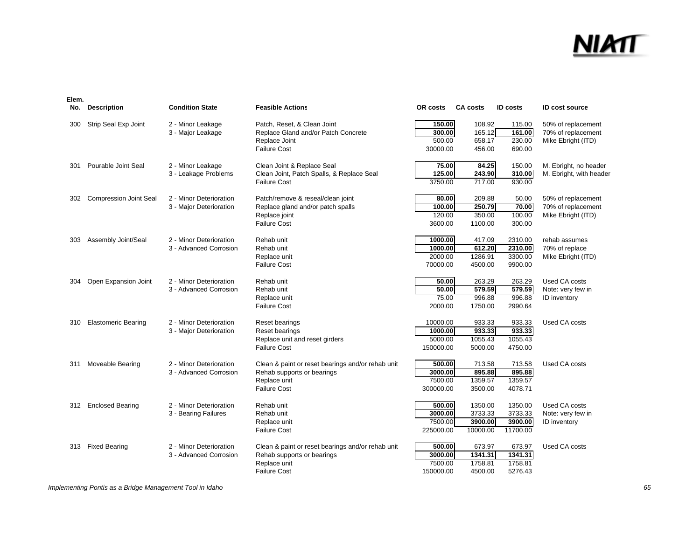| No. | <b>Description</b>            | <b>Condition State</b>  | <b>Feasible Actions</b>                           | OR costs  | <b>CA costs</b> | <b>ID</b> costs | <b>ID cost source</b>   |
|-----|-------------------------------|-------------------------|---------------------------------------------------|-----------|-----------------|-----------------|-------------------------|
| 300 | Strip Seal Exp Joint          | 2 - Minor Leakage       | Patch, Reset, & Clean Joint                       | 150.00    | 108.92          | 115.00          | 50% of replacement      |
|     |                               | 3 - Major Leakage       | Replace Gland and/or Patch Concrete               | 300.00    | 165.12          | 161.00          | 70% of replacement      |
|     |                               |                         | Replace Joint                                     | 500.00    | 658.17          | 230.00          | Mike Ebright (ITD)      |
|     |                               |                         | <b>Failure Cost</b>                               | 30000.00  | 456.00          | 690.00          |                         |
| 301 | Pourable Joint Seal           | 2 - Minor Leakage       | Clean Joint & Replace Seal                        | 75.00     | 84.25           | 150.00          | M. Ebright, no header   |
|     |                               | 3 - Leakage Problems    | Clean Joint, Patch Spalls, & Replace Seal         | 125.00    | 243.90          | 310.00          | M. Ebright, with header |
|     |                               |                         | <b>Failure Cost</b>                               | 3750.00   | 717.00          | 930.00          |                         |
| 302 | <b>Compression Joint Seal</b> | 2 - Minor Deterioration | Patch/remove & reseal/clean joint                 | 80.00     | 209.88          | 50.00           | 50% of replacement      |
|     |                               | 3 - Major Deterioration | Replace gland and/or patch spalls                 | 100.00    | 250.79          | 70.00           | 70% of replacement      |
|     |                               |                         | Replace joint                                     | 120.00    | 350.00          | 100.00          | Mike Ebright (ITD)      |
|     |                               |                         | <b>Failure Cost</b>                               | 3600.00   | 1100.00         | 300.00          |                         |
| 303 | Assembly Joint/Seal           | 2 - Minor Deterioration | Rehab unit                                        | 1000.00   | 417.09          | 2310.00         | rehab assumes           |
|     |                               | 3 - Advanced Corrosion  | Rehab unit                                        | 1000.00   | 612.20          | 2310.00         | 70% of replace          |
|     |                               |                         | Replace unit                                      | 2000.00   | 1286.91         | 3300.00         | Mike Ebright (ITD)      |
|     |                               |                         | <b>Failure Cost</b>                               | 70000.00  | 4500.00         | 9900.00         |                         |
| 304 | Open Expansion Joint          | 2 - Minor Deterioration | Rehab unit                                        | 50.00     | 263.29          | 263.29          | Used CA costs           |
|     |                               | 3 - Advanced Corrosion  | Rehab unit                                        | 50.00     | 579.59          | 579.59          | Note: very few in       |
|     |                               |                         | Replace unit                                      | 75.00     | 996.88          | 996.88          | <b>ID</b> inventory     |
|     |                               |                         | <b>Failure Cost</b>                               | 2000.00   | 1750.00         | 2990.64         |                         |
| 310 | <b>Elastomeric Bearing</b>    | 2 - Minor Deterioration | Reset bearings                                    | 10000.00  | 933.33          | 933.33          | Used CA costs           |
|     |                               | 3 - Major Deterioration | Reset bearings                                    | 1000.00   | 933.33          | 933.33          |                         |
|     |                               |                         | Replace unit and reset girders                    | 5000.00   | 1055.43         | 1055.43         |                         |
|     |                               |                         | <b>Failure Cost</b>                               | 150000.00 | 5000.00         | 4750.00         |                         |
| 311 | Moveable Bearing              | 2 - Minor Deterioration | Clean & paint or reset bearings and/or rehab unit | 500.00    | 713.58          | 713.58          | Used CA costs           |
|     |                               | 3 - Advanced Corrosion  | Rehab supports or bearings                        | 3000.00   | 895.88          | 895.88          |                         |
|     |                               |                         | Replace unit                                      | 7500.00   | 1359.57         | 1359.57         |                         |
|     |                               |                         | <b>Failure Cost</b>                               | 300000.00 | 3500.00         | 4078.71         |                         |
| 312 | <b>Enclosed Bearing</b>       | 2 - Minor Deterioration | Rehab unit                                        | 500.00    | 1350.00         | 1350.00         | Used CA costs           |
|     |                               | 3 - Bearing Failures    | Rehab unit                                        | 3000.00   | 3733.33         | 3733.33         | Note: very few in       |
|     |                               |                         | Replace unit                                      | 7500.00   | 3900.00         | 3900.00         | <b>ID</b> inventory     |
|     |                               |                         | <b>Failure Cost</b>                               | 225000.00 | 10000.00        | 11700.00        |                         |
| 313 | <b>Fixed Bearing</b>          | 2 - Minor Deterioration | Clean & paint or reset bearings and/or rehab unit | 500.00    | 673.97          | 673.97          | Used CA costs           |
|     |                               | 3 - Advanced Corrosion  | Rehab supports or bearings                        | 3000.00   | 1341.31         | 1341.31         |                         |
|     |                               |                         | Replace unit                                      | 7500.00   | 1758.81         | 1758.81         |                         |
|     |                               |                         | <b>Failure Cost</b>                               | 150000.00 | 4500.00         | 5276.43         |                         |

*Implementing Pontis as a Bridge Management Tool in Idaho 65*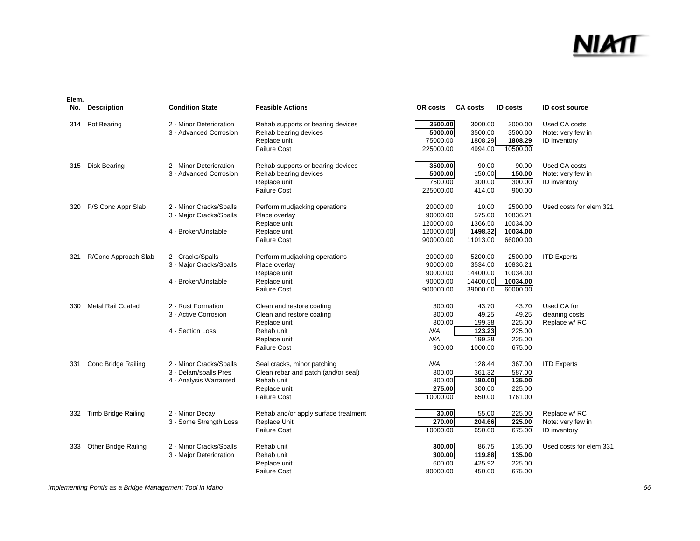### <u>NIMT</u>

| No. | <b>Description</b>          | <b>Condition State</b>  | <b>Feasible Actions</b>              | OR costs  | <b>CA costs</b> | <b>ID</b> costs | <b>ID cost source</b>   |
|-----|-----------------------------|-------------------------|--------------------------------------|-----------|-----------------|-----------------|-------------------------|
| 314 | Pot Bearing                 | 2 - Minor Deterioration | Rehab supports or bearing devices    | 3500.00   | 3000.00         | 3000.00         | Used CA costs           |
|     |                             | 3 - Advanced Corrosion  | Rehab bearing devices                | 5000.00   | 3500.00         | 3500.00         | Note: very few in       |
|     |                             |                         | Replace unit                         | 75000.00  | 1808.29         | 1808.29         | ID inventory            |
|     |                             |                         | <b>Failure Cost</b>                  | 225000.00 | 4994.00         | 10500.00        |                         |
| 315 | <b>Disk Bearing</b>         | 2 - Minor Deterioration | Rehab supports or bearing devices    | 3500.00   | 90.00           | 90.00           | Used CA costs           |
|     |                             | 3 - Advanced Corrosion  | Rehab bearing devices                | 5000.00   | 150.00          | 150.00          | Note: very few in       |
|     |                             |                         | Replace unit                         | 7500.00   | 300.00          | 300.00          | ID inventory            |
|     |                             |                         | <b>Failure Cost</b>                  | 225000.00 | 414.00          | 900.00          |                         |
| 320 | P/S Conc Appr Slab          | 2 - Minor Cracks/Spalls | Perform mudjacking operations        | 20000.00  | 10.00           | 2500.00         | Used costs for elem 321 |
|     |                             | 3 - Major Cracks/Spalls | Place overlay                        | 90000.00  | 575.00          | 10836.21        |                         |
|     |                             |                         | Replace unit                         | 120000.00 | 1366.50         | 10034.00        |                         |
|     |                             | 4 - Broken/Unstable     | Replace unit                         | 120000.00 | 1498.32         | 10034.00        |                         |
|     |                             |                         | <b>Failure Cost</b>                  | 900000.00 | 11013.00        | 66000.00        |                         |
| 321 | R/Conc Approach Slab        | 2 - Cracks/Spalls       | Perform mudjacking operations        | 20000.00  | 5200.00         | 2500.00         | <b>ITD Experts</b>      |
|     |                             | 3 - Major Cracks/Spalls | Place overlay                        | 90000.00  | 3534.00         | 10836.21        |                         |
|     |                             |                         | Replace unit                         | 90000.00  | 14400.00        | 10034.00        |                         |
|     |                             | 4 - Broken/Unstable     | Replace unit                         | 90000.00  | 14400.00        | 10034.00        |                         |
|     |                             |                         | <b>Failure Cost</b>                  | 900000.00 | 39000.00        | 60000.00        |                         |
| 330 | <b>Metal Rail Coated</b>    | 2 - Rust Formation      | Clean and restore coating            | 300.00    | 43.70           | 43.70           | Used CA for             |
|     |                             | 3 - Active Corrosion    | Clean and restore coating            | 300.00    | 49.25           | 49.25           | cleaning costs          |
|     |                             |                         | Replace unit                         | 300.00    | 199.38          | 225.00          | Replace w/ RC           |
|     |                             | 4 - Section Loss        | Rehab unit                           | N/A       | 123.23          | 225.00          |                         |
|     |                             |                         | Replace unit                         | N/A       | 199.38          | 225.00          |                         |
|     |                             |                         | <b>Failure Cost</b>                  | 900.00    | 1000.00         | 675.00          |                         |
| 331 | <b>Conc Bridge Railing</b>  | 2 - Minor Cracks/Spalls | Seal cracks, minor patching          | N/A       | 128.44          | 367.00          | <b>ITD Experts</b>      |
|     |                             | 3 - Delam/spalls Pres   | Clean rebar and patch (and/or seal)  | 300.00    | 361.32          | 587.00          |                         |
|     |                             | 4 - Analysis Warranted  | Rehab unit                           | 300.00    | 180.00          | 135.00          |                         |
|     |                             |                         | Replace unit                         | 275.00    | 300.00          | 225.00          |                         |
|     |                             |                         | <b>Failure Cost</b>                  | 10000.00  | 650.00          | 1761.00         |                         |
| 332 | <b>Timb Bridge Railing</b>  | 2 - Minor Decay         | Rehab and/or apply surface treatment | 30.00     | 55.00           | 225.00          | Replace w/RC            |
|     |                             | 3 - Some Strength Loss  | Replace Unit                         | 270.00    | 204.66          | 225.00          | Note: very few in       |
|     |                             |                         | <b>Failure Cost</b>                  | 10000.00  | 650.00          | 675.00          | ID inventory            |
| 333 | <b>Other Bridge Railing</b> | 2 - Minor Cracks/Spalls | Rehab unit                           | 300.00    | 86.75           | 135.00          | Used costs for elem 331 |
|     |                             | 3 - Major Deterioration | Rehab unit                           | 300.00    | 119.88          | 135.00          |                         |
|     |                             |                         | Replace unit                         | 600.00    | 425.92          | 225.00          |                         |
|     |                             |                         | <b>Failure Cost</b>                  | 80000.00  | 450.00          | 675.00          |                         |

*Implementing Pontis as a Bridge Management Tool in Idaho 66*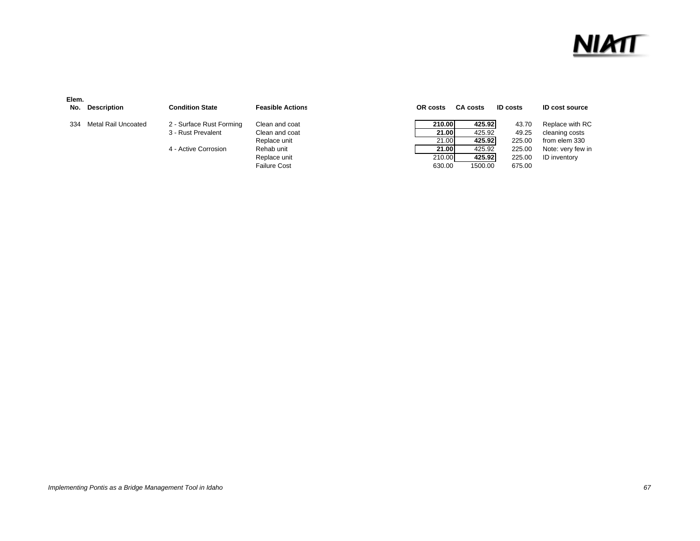#### <u>NIMT</u>

| Elem.<br>No. | Description         | <b>Condition State</b>   | <b>Feasible Actions</b> | OR costs |        | <b>CA costs</b> | <b>ID costs</b> | <b>ID cost source</b> |
|--------------|---------------------|--------------------------|-------------------------|----------|--------|-----------------|-----------------|-----------------------|
| 334          | Metal Rail Uncoated | 2 - Surface Rust Forming | Clean and coat          |          | 210.00 | 425.92          | 43.70           | Replace with RC       |
|              |                     | 3 - Rust Prevalent       | Clean and coat          |          | 21.00  | 425.92          | 49.25           | cleaning costs        |
|              |                     |                          | Replace unit            |          | 21.00  | 425.92          | 225.00          | from elem 330         |
|              |                     | 4 - Active Corrosion     | Rehab unit              |          | 21.00  | 425.92          | 225.00          | Note: very few in     |
|              |                     |                          | Replace unit            |          | 210.00 | 425.92          | 225.00          | <b>ID</b> inventory   |
|              |                     |                          | <b>Failure Cost</b>     |          | 630.00 | 1500.00         | 675.00          |                       |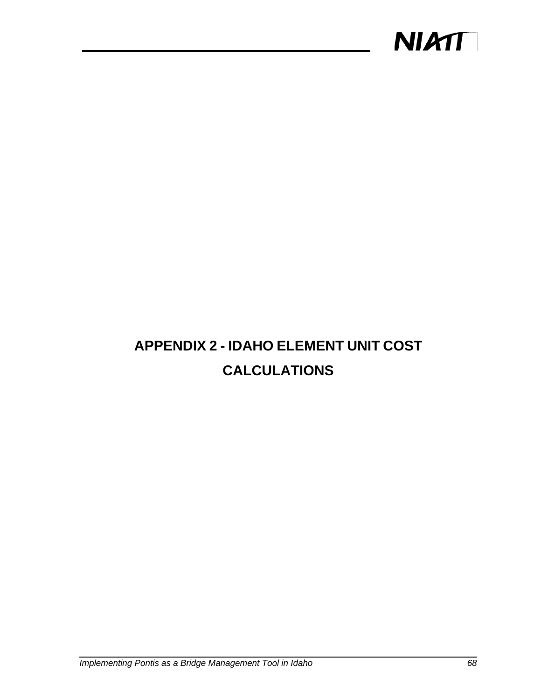

#### **APPENDIX 2 - IDAHO ELEMENT UNIT COST CALCULATIONS**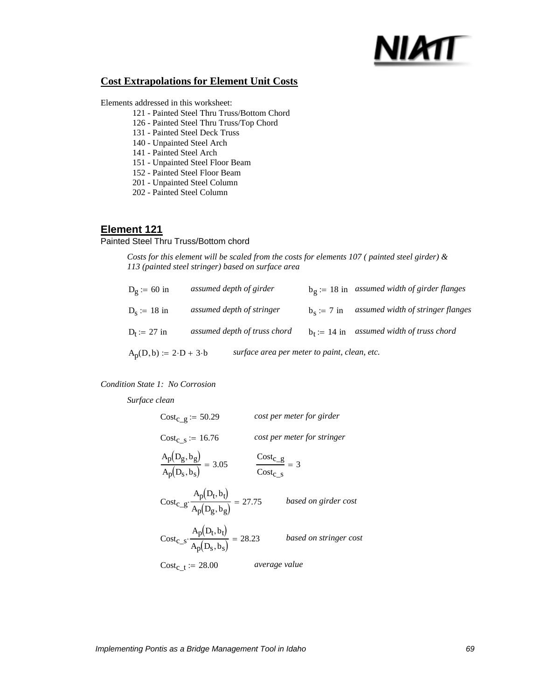# NIMT

### **Cost Extrapolations for Element Unit Costs**

Elements addressed in this worksheet:

- 121 Painted Steel Thru Truss/Bottom Chord
- 126 Painted Steel Thru Truss/Top Chord
- 131 Painted Steel Deck Truss
- 140 Unpainted Steel Arch
- 141 Painted Steel Arch
- 151 Unpainted Steel Floor Beam
- 152 Painted Steel Floor Beam
- 201 Unpainted Steel Column
- 202 Painted Steel Column

## **Element 121**

### Painted Steel Thru Truss/Bottom chord

*Costs for this element will be scaled from the costs for elements 107 ( painted steel girder) & 113 (painted steel stringer) based on surface area*

| $A_p(D,b) := 2 \cdot D + 3 \cdot b$ | surface area per meter to paint, clean, etc. |               |                                                       |
|-------------------------------------|----------------------------------------------|---------------|-------------------------------------------------------|
| $D_t := 27$ in                      | assumed depth of truss chord                 | $b_t = 14$ in | assumed width of truss chord                          |
| $D_s := 18$ in                      | assumed depth of stringer                    | $b_s := 7$ in | assumed width of stringer flanges                     |
| $D_{\mathcal{Q}}$ := 60 in          | assumed depth of girder                      |               | $b_{\sigma}$ := 18 in assumed width of girder flanges |

### *Condition State 1: No Corrosion*

*Surface clean*

$$
Cost_{C\_g} := 50.29
$$
 *cost per meter for girder*  
\n
$$
Cost_{C\_s} := 16.76
$$
 *cost per meter for stringer*  
\n
$$
\frac{A_p(D_g, b_g)}{A_p(D_s, b_s)} = 3.05
$$
 
$$
\frac{Cost_{C\_g}}{Cost_{C\_s}} = 3
$$
  
\n
$$
Cost_{C\_g} \cdot \frac{A_p(D_t, b_t)}{A_p(D_g, b_g)} = 27.75
$$
 *based on girder cost*  
\n
$$
Cost_{C\_s} \cdot \frac{A_p(D_t, b_t)}{A_p(D_s, b_s)} = 28.23
$$
 *based on stringer cost*  
\n
$$
Cost_{C\_t} := 28.00
$$
 *average value*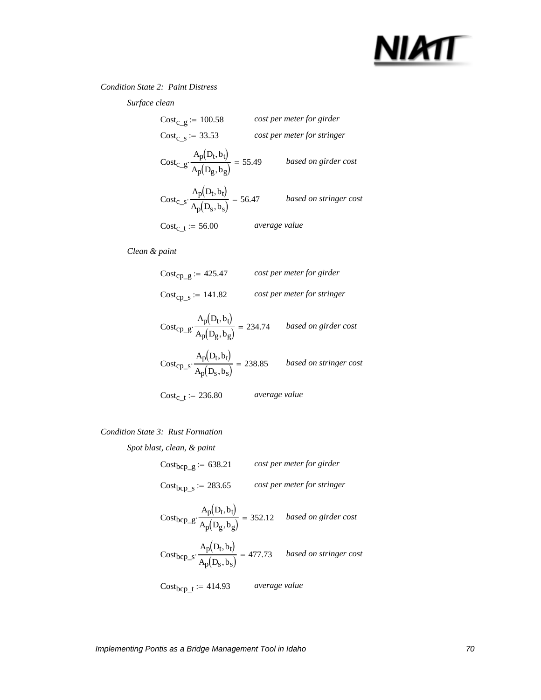

### *Condition State 2: Paint Distress*

*Surface clean*

| $Cost_{C}$ g := 100.58                                                 |               | cost per meter for girder   |
|------------------------------------------------------------------------|---------------|-----------------------------|
| $Cost_c$ s := 33.53                                                    |               | cost per meter for stringer |
| $\text{Cost}_{c\_g} \cdot \frac{A_p(D_t, b_t)}{A_p(D_g, b_g)} = 55.49$ |               | based on girder cost        |
| $Cost_{C\_S} \cdot \frac{A_p(D_t, b_t)}{A_p(D_S, b_S)} = 56.47$        |               | based on stringer cost      |
| $Cost_c$ <sub>t</sub> := 56.00                                         | average value |                             |

*Clean & paint*

Cost<sub>cp\_g</sub> := 425.47 *cost per meter for girder*  
\nCost<sub>cp\_g</sub> := 141.82 *cost per meter for stringer*  
\nCost<sub>cp\_g</sub> 
$$
\frac{A_p(D_t, b_t)}{A_p(D_g, b_g)}
$$
 = 234.74 *based on girder cost*  
\nCost<sub>cp\_s</sub>  $\frac{A_p(D_t, b_t)}{A_p(D_s, b_s)}$  = 238.85 *based on stringer cost*  
\nCost<sub>c\_t</sub> := 236.80 *average value*

### *Condition State 3: Rust Formation*

*Spot blast, clean, & paint*

| $Cost_{bcp\_g} := 638.21$ | cost per meter for girder   |
|---------------------------|-----------------------------|
| $Cost_{bcp\_s} := 283.65$ | cost per meter for stringer |

$$
Cost_{bcp\_g} \cdot \frac{A_p(D_t, b_t)}{A_p(D_g, b_g)} = 352.12 \quad based on girder cost
$$
  

$$
Cost_{bcp\_s} \cdot \frac{A_p(D_t, b_t)}{A_p(D_s, b_s)} = 477.73 \quad based on stringer cost
$$

Costbcp\_t := 414.93 *average value*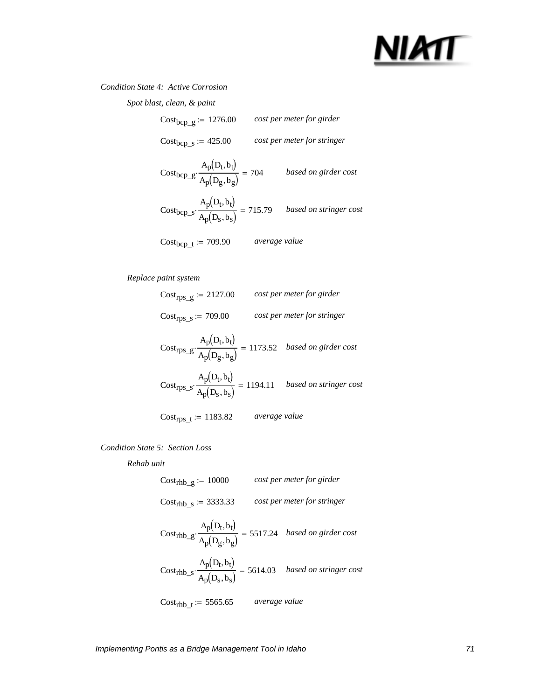## NIMT

### *Condition State 4: Active Corrosion*

| Spot blast, clean, & paint                                      |                      |                                                                                                          |
|-----------------------------------------------------------------|----------------------|----------------------------------------------------------------------------------------------------------|
| $Cost_{bcp\_g} := 1276.00$                                      |                      | cost per meter for girder                                                                                |
| $Cost_{bcp\_s} := 425.00$                                       |                      | cost per meter for stringer                                                                              |
| $Cost_{bcp\_g} \cdot \frac{A_p(D_t, b_t)}{A_p(D_g, b_g)} = 704$ |                      | based on girder cost                                                                                     |
|                                                                 |                      | Cost <sub>bcp_s</sub> $\cdot \frac{A_p(D_t, b_t)}{A_p(D_s, b_s)} = 715.79$ <i>based on stringer cost</i> |
| $Cost_{bcp\_t} := 709.90$                                       | <i>average value</i> |                                                                                                          |

### *Replace paint system*

| $\text{Cost}_{\text{rps\_g}} := 2127.00$                                                                        |               | cost per meter for girder   |
|-----------------------------------------------------------------------------------------------------------------|---------------|-----------------------------|
| $Cost_{rps\_s} := 709.00$                                                                                       |               | cost per meter for stringer |
| $\text{Cost}_{\text{TPS\_g}}\cdot \frac{A_p(D_t,b_t)}{A_p(D_g,b_g)} = 1173.52 \quad based \ on \ girder \ cost$ |               |                             |
| Cost <sub>rps_s</sub> $\cdot \frac{A_p(D_t, b_t)}{A_p(D_s, b_s)} = 1194.11$ <i>based on stringer cost</i>       |               |                             |
| Cost <sub>rps t</sub> := 1183.82                                                                                | average value |                             |

### *Condition State 5: Section Loss*

*Rehab unit*

| $Costrhb_g := 10000$                                                                                            |               | cost per meter for girder   |
|-----------------------------------------------------------------------------------------------------------------|---------------|-----------------------------|
| $Costrhb_s := 3333.33$                                                                                          |               | cost per meter for stringer |
| $\text{Cost}_{\text{rhb\_g}}\cdot\frac{A_p(D_t,b_t)}{A_p(D_g,b_g)} = 5517.24 \quad \text{based on girder cost}$ |               |                             |
| Cost <sub>rhb_s</sub> $\cdot \frac{A_p(D_t, b_t)}{A_p(D_s, b_s)} = 5614.03$ <i>based on stringer cost</i>       |               |                             |
| $Cost_{\rm rhb\_t} := 5565.65$                                                                                  | average value |                             |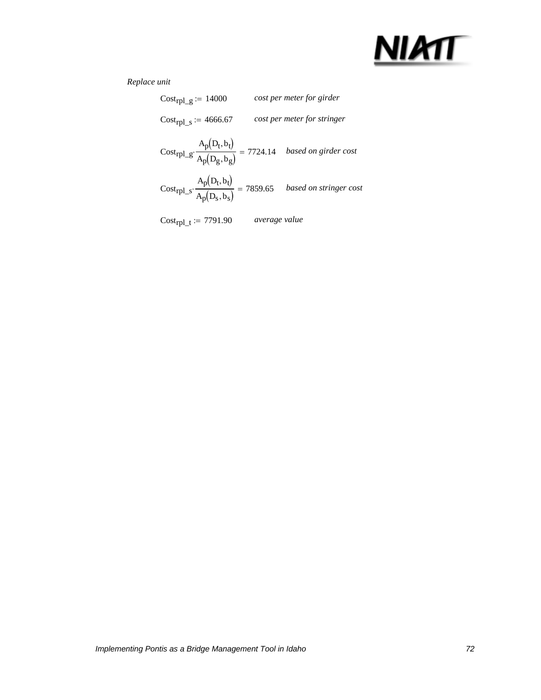

| Cost <sub>rpl</sub> $g = 14000$                                                                                |               | cost per meter for girder   |
|----------------------------------------------------------------------------------------------------------------|---------------|-----------------------------|
| $Cost_{rpl\_s} := 4666.67$                                                                                     |               | cost per meter for stringer |
| $\text{Cost}_{rpl\_g} \cdot \frac{A_p(D_t, b_t)}{A_p(D_g, b_g)} = 7724.14 \quad \textit{based on girder cost}$ |               |                             |
| Cost <sub>rpl_s</sub> $\cdot \frac{A_p(D_t, b_t)}{A_p(D_s, b_s)} = 7859.65$ <i>based on stringer cost</i>      |               |                             |
| $Cost_{\text{rpl\_t}} := 7791.90$                                                                              | average value |                             |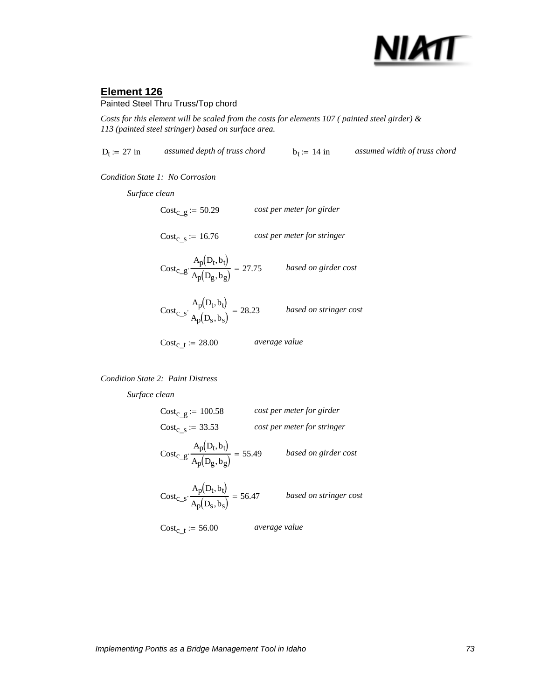

Painted Steel Thru Truss/Top chord

*Costs for this element will be scaled from the costs for elements 107 ( painted steel girder) & 113 (painted steel stringer) based on surface area.*

 $D_f := 27$  in *assumed depth of truss chord*  $b_f := 14$  in *assumed width of truss chord* 

*Condition State 1: No Corrosion*

*Surface clean*

 $Cost_{c_t} := 28.00$  average value  $\text{Cost}_{c\_s} \cdot \frac{p(-c)-p}{p(-c)-1} = 28.23$  based on stringer cost  $A_p(D_t, b_t)$  $\cdot \frac{P(V_0)}{A_p(D_s, b_s)} = 28.23$  $\text{Cost}_{c\_g} \cdot \frac{p(-c)-p}{p(-c)-1} = 27.75$  based on girder cost  $A_p(D_t, b_t)$  $\cdot \frac{P(169)}{A_p(D_g, b_g)} = 27.75$  $Cost_{C_S} := 16.76$  *cost per meter for stringer*  $Cost_{c-g} := 50.29$  *cost per meter for girder* 

*Condition State 2: Paint Distress*

*Surface clean*

Cost<sub>c\_g</sub> := 100.58 *cost per meter for girder*  
\nCost<sub>c\_g</sub> := 33.53 *cost per meter for stringer*  
\nCost<sub>c\_g</sub>: 
$$
\frac{A_p(D_t, b_t)}{A_p(D_g, b_g)} = 55.49
$$
 *based on girder cost*  
\nCost<sub>c\_s</sub>: 
$$
\frac{A_p(D_t, b_t)}{A_p(D_s, b_s)} = 56.47
$$
 *based on stringer cost*  
\nCost<sub>c\_t</sub> := 56.00 *average value*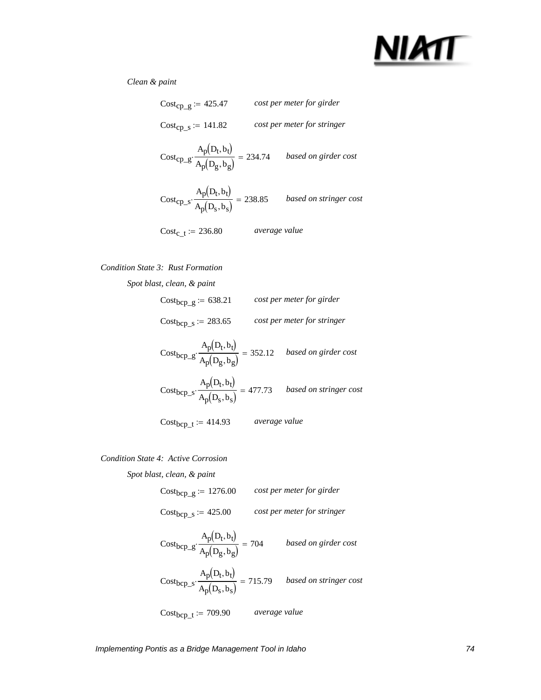

### *Clean & paint*

| $Cost_{CD}$ g := 425.47                                                         |               | cost per meter for girder   |
|---------------------------------------------------------------------------------|---------------|-----------------------------|
| $Cost_{CD-S} := 141.82$                                                         |               | cost per meter for stringer |
| $Cost_{\rm CP\_g} \cdot \frac{A_p(D_t, b_t)}{A_p(D_g, b_g)} = 234.74$           |               | based on girder cost        |
| $\text{Cost}_{\text{CP\_S}} \cdot \frac{A_p(D_t, b_t)}{A_p(D_s, b_s)} = 238.85$ |               | based on stringer cost      |
| $Cost_{c}$ = 236.80                                                             | average value |                             |

### *Condition State 3: Rust Formation*

| Spot blast, clean, & paint |                                                                                                             |
|----------------------------|-------------------------------------------------------------------------------------------------------------|
| $Cost_{bcp\_g} := 638.21$  | cost per meter for girder                                                                                   |
| $Cost_{bcp\_s} := 283.65$  | cost per meter for stringer                                                                                 |
|                            | Cost <sub>bcp</sub> <sub>-g</sub> $\cdot \frac{A_p(D_t, b_t)}{A_p(D_g, b_g)} = 352.12$ based on girder cost |
|                            | Cost <sub>bcp_s</sub> $\cdot \frac{A_p(D_t, b_t)}{A_p(D_s, b_s)} = 477.73$ based on stringer cost           |
| $Cost_{bcp\_t} := 414.93$  | <i>average value</i>                                                                                        |

### *Condition State 4: Active Corrosion*

*Spot blast, clean, & paint*

Costbcp\_g := 1276.00 *cost per meter for girder* Costbcp\_s := 425.00 *cost per meter for stringer*

$$
Cost_{bcp\_g} \cdot \frac{A_p(D_t, b_t)}{A_p(D_g, b_g)} = 704
$$
 *based on girder cost*  

$$
Cost_{bcp\_s} \cdot \frac{A_p(D_t, b_t)}{A_p(D_s, b_s)} = 715.79
$$
 *based on stringer cost*

Costbcp\_t := 709.90 *average value*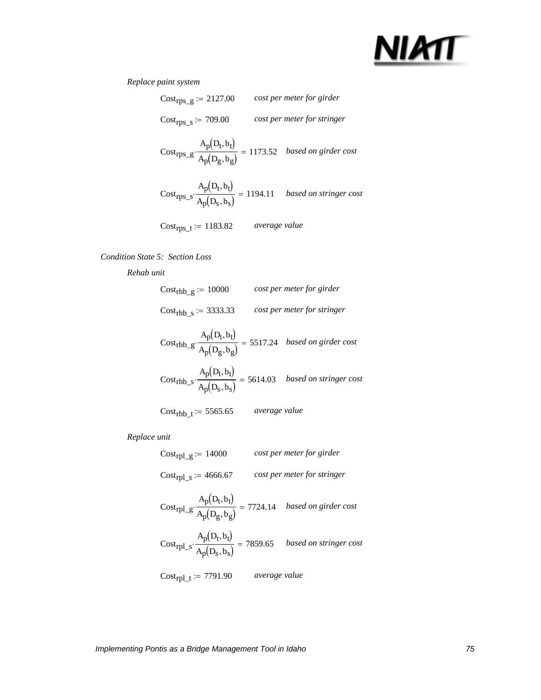

### *Replace paint system*

| $Cost_{\text{rps\_g}} := 2127.00$                                                                         |               | cost per meter for girder   |
|-----------------------------------------------------------------------------------------------------------|---------------|-----------------------------|
| $Costrps_s := 709.00$                                                                                     |               | cost per meter for stringer |
| $\text{Cost}_{rps\_g} \cdot \frac{A_p(D_t,b_t)}{A_p(D_g,b_g)} = 1173.52 \quad based \ on \ girder \ cost$ |               |                             |
| Cost <sub>rps_s</sub> $\cdot \frac{A_p(D_t, b_t)}{A_p(D_s, b_s)} = 1194.11$ <i>based on stringer cost</i> |               |                             |
| $Cost_{rps\_t} := 1183.82$                                                                                | average value |                             |

### *Condition State 5: Section Loss*

*Rehab unit*

| $\text{Cost}_{\text{rhb\_g}} \coloneqq 10000$ | cost per meter for girder   |
|-----------------------------------------------|-----------------------------|
| Cost <sub>rhb</sub> $s = 3333.33$             | cost per meter for stringer |

$$
Cost_{\rm rhb\_g} \cdot \frac{A_p(D_t, b_t)}{A_p(D_g, b_g)} = 5517.24 \quad based \, on \, girder \, cost
$$

$$
Cost_{\rm rhb\_s} \cdot \frac{A_p(D_t, b_t)}{A_p(D_s, b_s)} = 5614.03
$$
 *based on stringent cost*

$$
Cost_{\rm rhb\_t} := 5565.65 \qquad average \ value
$$

*Replace unit*

| $\text{Cost}_{\text{rpl\_g}} \coloneqq 14000$ | cost per meter for girder   |
|-----------------------------------------------|-----------------------------|
| $Cost_{rpl\_s} := 4666.67$                    | cost per meter for stringer |

$$
Cost_{rpl\_g} \cdot \frac{A_p(D_t, b_t)}{A_p(D_g, b_g)} = 7724.14 \quad based on girder cost
$$

$$
Cost_{rpl\_s} \cdot \frac{A_p(D_t, b_t)}{A_p(D_s, b_s)} = 7859.65
$$
 *based on stringent cost*

Costrpl\_t := 7791.90 *average value*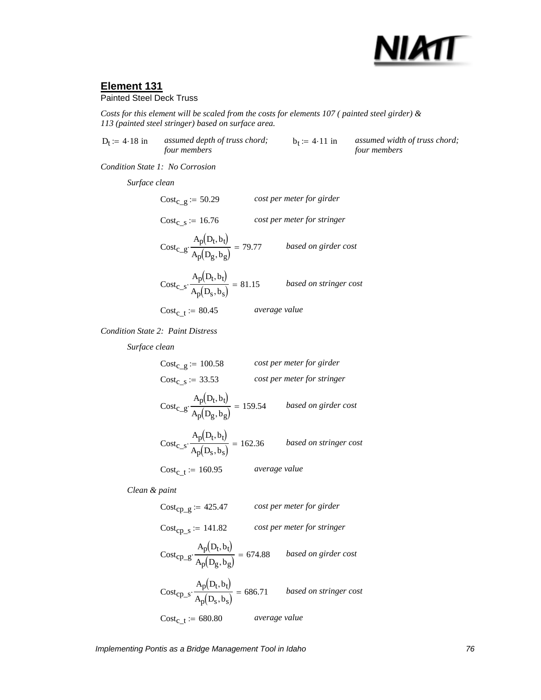

### Painted Steel Deck Truss

*Costs for this element will be scaled from the costs for elements 107 ( painted steel girder) & 113 (painted steel stringer) based on surface area.*

 $D_t := 4.18$  in *assumed depth of truss chord*; *four members*  $b_t := 4.11$  in *assumed width of truss chord; four members*

*Condition State 1: No Corrosion*

*Surface clean*

Costc\_g := 50.29 *cost per meter for girder* Cost<sub>c\_s</sub> := 16.76 *cost per meter for stringer*  $Cost_{C\_g}$  $A_p(D_t, b_t)$  $\frac{\overline{p}(\overline{v} \cdot \overline{v})}{A_p(D_g, b_g)} = 79.77$  *based on girder cost*  $Cost_{C\_S}$  $A_p(D_t, b_t)$  $\frac{P(V \cup V)}{A_p(D_s, b_s)}$  = 81.15 *based on stringer cost*  $Cost_{\rm c~t} := 80.45$  *average value* 

*Condition State 2: Paint Distress*

*Surface clean*

| $Cost_{C}$ g := 100.58                                                  |               | cost per meter for girder   |
|-------------------------------------------------------------------------|---------------|-----------------------------|
| $Cost_c$ s = 33.53                                                      |               | cost per meter for stringer |
| $\text{Cost}_{c\_g} \cdot \frac{A_p(D_t, b_t)}{A_p(D_g, b_g)} = 159.54$ |               | based on girder cost        |
| $\text{Cost}_{c\_s} \cdot \frac{A_p(D_t, b_t)}{A_p(D_s, b_s)} = 162.36$ |               | based on stringer cost      |
| $Cost_{c}$ = 160.95                                                     | average value |                             |

*Clean & paint*

Cost<sub>cp\_g</sub> := 425.47 *cost per meter for girder*  
\nCost<sub>cp\_s</sub> := 141.82 *cost per meter for stringer*  
\nCost<sub>cp\_g</sub> 
$$
\frac{A_p(D_t, b_t)}{A_p(D_g, b_g)} = 674.88
$$
 *based on girder cost*  
\nCost<sub>cp\_s</sub>  $\frac{A_p(D_t, b_t)}{A_p(D_s, b_s)} = 686.71$  *based on stringer cost*  
\nCost<sub>c\_t</sub> := 680.80 *average value*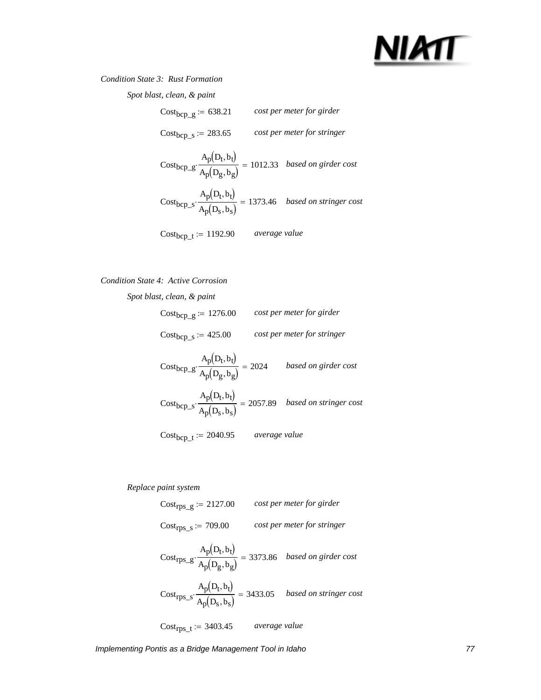

*Condition State 3: Rust Formation*

*Spot blast, clean, & paint*

| $Cost_{bcp\_g} := 638.21$                                                                                 |               | cost per meter for girder   |
|-----------------------------------------------------------------------------------------------------------|---------------|-----------------------------|
| $Cost_{bcp\_s} := 283.65$                                                                                 |               | cost per meter for stringer |
| Cost <sub>bcp_g</sub> $\cdot \frac{A_p(D_t, b_t)}{A_p(D_g, b_g)} = 1012.33$ <i>based on girder cost</i>   |               |                             |
| Cost <sub>bcp_s</sub> $\cdot \frac{A_p(D_t, b_t)}{A_p(D_s, b_s)} = 1373.46$ <i>based on stringer cost</i> |               |                             |
| $Cost_{bcp\_t} := 1192.90$                                                                                | average value |                             |

### *Condition State 4: Active Corrosion*

*Spot blast, clean, & paint*

Costbcp\_g := 1276.00 *cost per meter for girder* Costbcp\_s := 425.00 *cost per meter for stringer*

$$
Cost_{bcp\_g} \cdot \frac{A_p(D_t, b_t)}{A_p(D_g, b_g)} = 2024 \qquad based on girder cost
$$

$$
Cost_{bcp\_s} \cdot \frac{A_p(D_t, b_t)}{A_p(D_s, b_s)} = 2057.89 \quad based \ on \ stringent \ cost
$$

Costbcp\_t := 2040.95 *average value*

*Replace paint system*

Cost<sub>rps\_g</sub> := 2127.00 *cost per meter for girder*  
\nCost<sub>rps\_s</sub> := 709.00 *cost per meter for stringer*  
\nCost<sub>rps\_g</sub> 
$$
\frac{A_p(D_t, b_t)}{A_p(D_g, b_g)}
$$
 = 3373.86 *based on girder cost*  
\nCost<sub>rps\_s</sub>  $\frac{A_p(D_t, b_t)}{A_p(D_s, b_s)}$  = 3433.05 *based on stringer cost*  
\nCost<sub>rps\_t</sub> := 3403.45 *average value*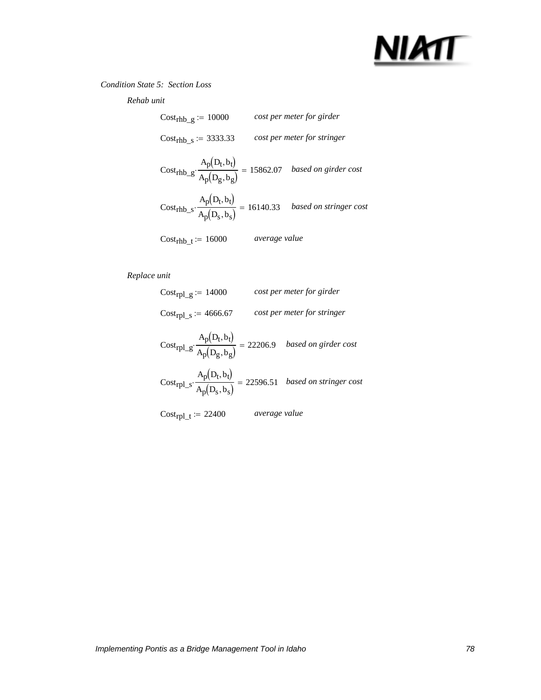

### *Condition State 5: Section Loss*

*Rehab unit*

| $Costrhb g := 10000$             |               | cost per meter for girder                                                                                  |
|----------------------------------|---------------|------------------------------------------------------------------------------------------------------------|
| Cost <sub>rhb</sub> s := 3333.33 |               | cost per meter for stringer                                                                                |
|                                  |               | $Cost_{rhb\_g} \cdot \frac{A_p(D_t, b_t)}{A_p(D_g, b_g)} = 15862.07 \quad based \ on \ girder \ cost$      |
|                                  |               | Cost <sub>rhb_s</sub> $\cdot \frac{A_p(D_t, b_t)}{A_p(D_s, b_s)} = 16140.33$ <i>based on stringer cost</i> |
| $Cost_{\rm rhb}$ t = 16000       | average value |                                                                                                            |

| Cost <sub>rpl</sub> $g = 14000$                                                                     |               | cost per meter for girder   |
|-----------------------------------------------------------------------------------------------------|---------------|-----------------------------|
| $Cost_{rpl\_s} := 4666.67$                                                                          |               | cost per meter for stringer |
| Cost <sub>rpl_g</sub> : $\frac{A_p(D_t, b_t)}{A_p(D_g, b_g)} = 22206.9$ based on girder cost        |               |                             |
| Cost <sub>rpl_s</sub> $\cdot \frac{A_p(D_t, b_t)}{A_p(D_s, b_s)} = 22596.51$ based on stringer cost |               |                             |
| $Cost_{\text{rpl\_t}} := 22400$                                                                     | average value |                             |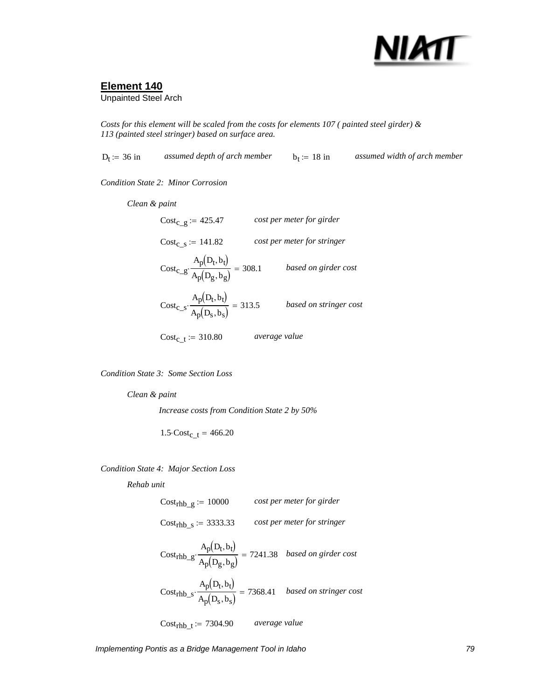

Unpainted Steel Arch

*Costs for this element will be scaled from the costs for elements 107 ( painted steel girder) & 113 (painted steel stringer) based on surface area.*

Dt := 36 in *assumed depth of arch member* bt := 18 in *assumed width of arch member*

*Condition State 2: Minor Corrosion*

*average value Clean & paint* Costc\_g := 425.47 *cost per meter for girder* Cost<sub>c\_s</sub> := 141.82 *cost per meter for stringer*  $Cost_{C\_g}$  $A_p(D_t, b_t)$  $\frac{\overline{p}(\overline{v} \cdot \overline{v})}{A_p(D_g, b_g)} = 308.1$  *based on girder cost*  $Cost_{C\_S}$  $A_p(D_t, b_t)$  $\frac{P(V \cup V)}{A_p(D_s, b_s)}$  = 313.5 *based on stringer cost*  $Cost_{c}$   $t := 310.80$ 

*Condition State 3: Some Section Loss*

*Clean & paint Increase costs from Condition State 2 by 50%*

 $1.5 \cdot \text{Cost}_{\text{c}-t} = 466.20$ 

*Condition State 4: Major Section Loss*

*Rehab unit*

Costrhb\_g := 10000 *cost per meter for girder* Costrhb\_s := 3333.33 *cost per meter for stringer* Costrhb\_g  $A_p(D_t, b_t)$  $\cdot \frac{p(v+v)}{A_p(D_g, b_g)} = 7241.38$  *based on girder cost*  $Cost<sub>rhb_s</sub>$  $A_p(D_t, b_t)$  $\cdot \frac{\overline{p}(\overline{D} \cdot \overline{D})}{A_p(D_s,b_s)} = 7368.41$  *based on stringer cost* Cost<sub>rhb</sub>  $t := 7304.90$  *average value*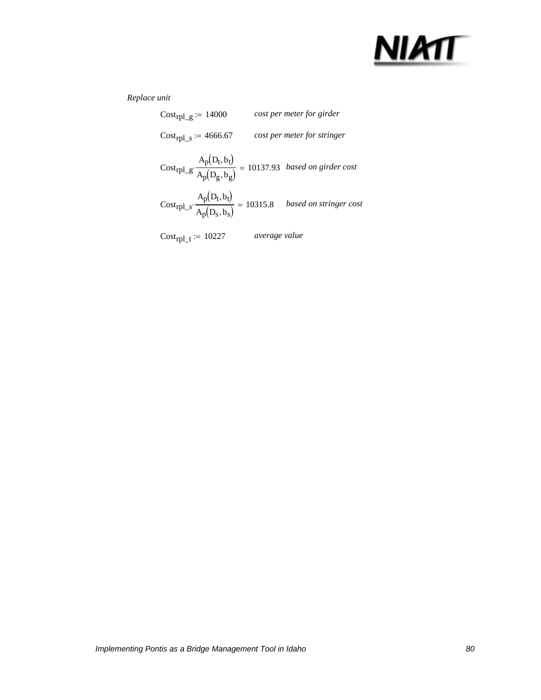

| $\text{Cost}_{\text{rpl\_g}} := 14000$                                                                      |               | cost per meter for girder   |
|-------------------------------------------------------------------------------------------------------------|---------------|-----------------------------|
| $Cost_{rpl\_s} := 4666.67$                                                                                  |               | cost per meter for stringer |
| $\text{Cost}_{rpl\_g} \cdot \frac{A_p(D_t,b_t)}{A_p(D_g,b_g)} = 10137.93 \ \ \textit{based on girder cost}$ |               |                             |
| Cost <sub>rpl_s</sub> $\cdot \frac{A_p(D_t, b_t)}{A_p(D_s, b_s)} = 10315.8$ based on stringer cost          |               |                             |
| $Cost_{\text{rpl\_t}} := 10227$                                                                             | average value |                             |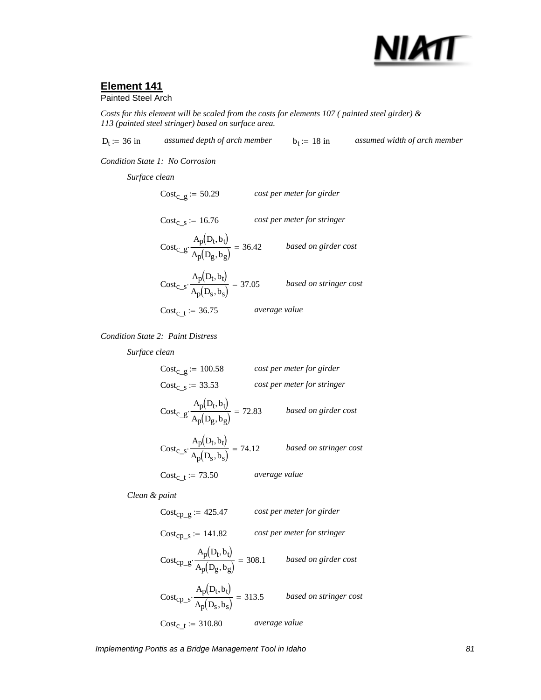

Painted Steel Arch

*Costs for this element will be scaled from the costs for elements 107 ( painted steel girder) & 113 (painted steel stringer) based on surface area.*

 $D_t = 36$  in *assumed depth of arch member*  $b_t = 18$  in *assumed width of arch member* 

*Condition State 1: No Corrosion*

*Surface clean*

Cost<sub>c\_g</sub> := 50.29 *cost per meter for girder* Cost<sub>c s</sub> := 16.76 *cost per meter for stringer*  $Cost_{C\_g}$  $A_p(D_t, b_t)$  $\frac{\overline{p}(\overline{b} - \overline{b})}{A_p(D_g, b_g)} = 36.42$  *based on girder cost*  $Cost_{C\_S}$  $A_p(D_t, b_t)$  $\frac{P(V \cup V)}{A_p(D_s, b_s)} = 37.05$  *based on stringer cost*  $Cost_{c_t} := 36.75$  *average value* 

*Condition State 2: Paint Distress*

*Surface clean*

Cost<sub>c\_g</sub> := 100.58 *cost per meter for girder* Cost<sub>c\_s</sub> := 33.53 *cost per meter for stringer*  $Cost_{C\_g}$  $A_p(D_t, b_t)$  $\frac{\overline{p}(\overline{v} \cdot \overline{v})}{A_p(D_g, b_g)} = 72.83$  *based on girder cost*  $Cost_{C\_S}$  $A_p(D_t, b_t)$  $\frac{P(V \cup V)}{A_p(D_s, b_s)} = 74.12$  *based on stringer cost*  $Cost_{c_t} := 73.50$  *average value* 

*Clean & paint*

Cost<sub>cp\_g</sub> := 425.47 *cost per meter for girder*  
\nCost<sub>cp\_g</sub> := 141.82 *cost per meter for stringer*  
\nCost<sub>cp\_g</sub> 
$$
\frac{A_p(D_t, b_t)}{A_p(D_g, b_g)}
$$
 = 308.1 *based on girder cost*  
\nCost<sub>cp\_s</sub>  $\frac{A_p(D_t, b_t)}{A_p(D_s, b_s)}$  = 313.5 *based on stringer cost*  
\nCost<sub>c\_t</sub> := 310.80 *average value*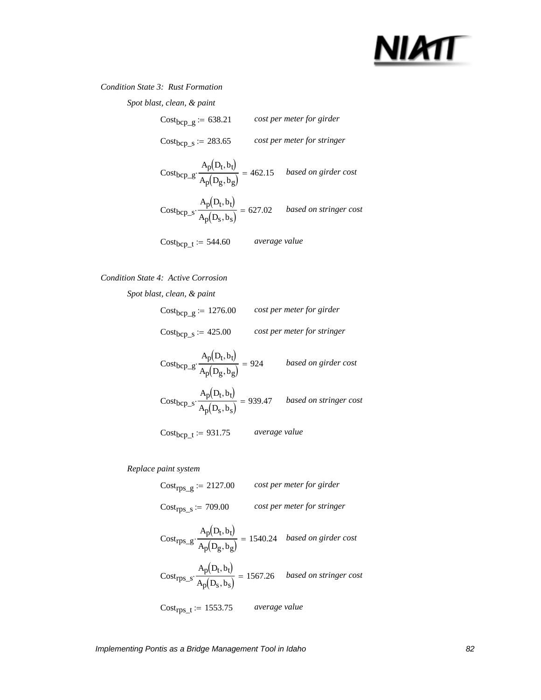## NIMT

### *Condition State 3: Rust Formation*

*Spot blast, clean, & paint*

| $Cost_{bcp\_g} := 638.21$                                                                                   |               | cost per meter for girder   |
|-------------------------------------------------------------------------------------------------------------|---------------|-----------------------------|
| $Cost_{bcp\_s} = 283.65$                                                                                    |               | cost per meter for stringer |
| Cost <sub>bcp</sub> <sub>-g</sub> $\cdot \frac{A_p(D_t, b_t)}{A_p(D_g, b_g)} = 462.15$ based on girder cost |               |                             |
| Cost <sub>bcp_s</sub> $\cdot \frac{A_p(D_t, b_t)}{A_p(D_s, b_s)} = 627.02$ based on stringer cost           |               |                             |
| $Cost_{bcp\_t} := 544.60$                                                                                   | average value |                             |

### *Condition State 4: Active Corrosion*

*Spot blast, clean, & paint*

| $Cost_{bcp\_g} := 1276.00$ | cost per meter for girder   |
|----------------------------|-----------------------------|
| $Cost_{bcp\_s} := 425.00$  | cost per meter for stringer |

Costbcp\_g Ap Dt bt ( ) , Ap Dg bg ( ) , <sup>⋅</sup> <sup>=</sup> <sup>924</sup> *based on girder cost*

$$
Cost_{bcp\_s} \cdot \frac{A_p(D_t, b_t)}{A_p(D_s, b_s)} = 939.47 \quad based \ on \ stringent \ cost
$$

Costbcp\_t := 931.75 *average value*

*Replace paint system*

| $\text{Cost}_{\text{rps\_g}} := 2127.00$                                                                     |               | cost per meter for girder   |
|--------------------------------------------------------------------------------------------------------------|---------------|-----------------------------|
| $Costrps_s := 709.00$                                                                                        |               | cost per meter for stringer |
| $\text{Cost}_{rps\_g} \cdot \frac{A_p(D_t,b_t)}{A_p(D_g,b_g)} = 1540.24 \quad \textit{based on girder cost}$ |               |                             |
| Cost <sub>rps_s</sub> $\cdot \frac{A_p(D_t, b_t)}{A_p(D_s, b_s)} = 1567.26$ <i>based on stringer cost</i>    |               |                             |
| $Cost_{rps\_t} := 1553.75$                                                                                   | average value |                             |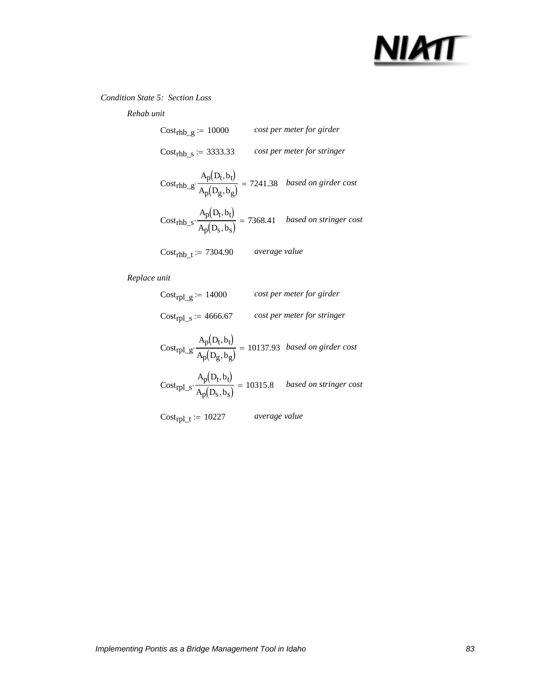# NIMT

### *Condition State 5: Section Loss*

### *Rehab unit*

| $Costrhb g := 10000$                                                                                           |               | cost per meter for girder   |
|----------------------------------------------------------------------------------------------------------------|---------------|-----------------------------|
| Cost <sub>rhb</sub> $s = 3333.33$                                                                              |               | cost per meter for stringer |
| $\text{Cost}_{\text{rhb\_g}}\cdot\frac{A_p(D_t,b_t)}{A_p(D_g,b_g)} = 7241.38 \quad based \ on \ girder \ cost$ |               |                             |
| Cost <sub>rhb_s</sub> $\cdot \frac{A_p(D_t, b_t)}{A_p(D_s, b_s)} = 7368.41$ <i>based on stringer cost</i>      |               |                             |
| Cost <sub>rhb t</sub> := 7304.90                                                                               | average value |                             |

| Cost <sub>rpl</sub> $g \approx 14000$                                                                    |               | cost per meter for girder   |
|----------------------------------------------------------------------------------------------------------|---------------|-----------------------------|
| $Cost_{rpl\_s} := 4666.67$                                                                               |               | cost per meter for stringer |
| $\text{Cost}_{rpl\_g} \cdot \frac{A_p(D_t, b_t)}{A_p(D_g, b_g)} = 10137.93 \text{ based on girder cost}$ |               |                             |
| Cost <sub>rpl_s</sub> $\cdot \frac{A_p(D_t, b_t)}{A_p(D_s, b_s)} = 10315.8$ based on stringer cost       |               |                             |
| $Cost_{\text{rpl\_t}} := 10227$                                                                          | average value |                             |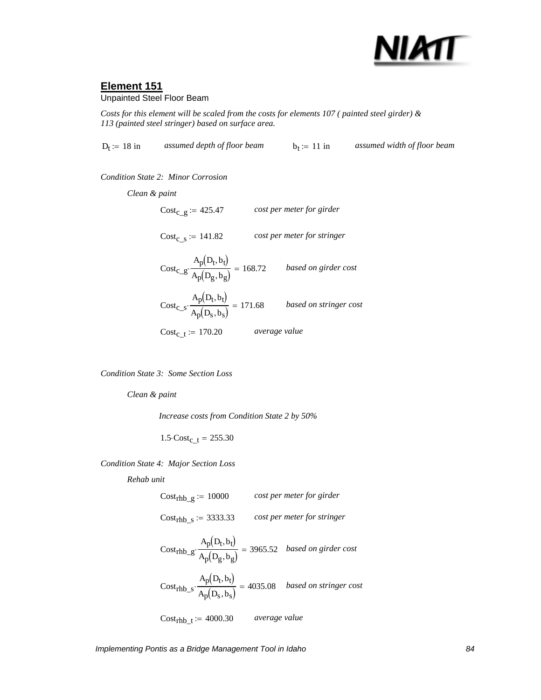

### Unpainted Steel Floor Beam

*Costs for this element will be scaled from the costs for elements 107 ( painted steel girder) & 113 (painted steel stringer) based on surface area.*

 $D_t := 18$  in *assumed depth of floor beam*  $b_t := 11$  in *assumed width of floor beam Condition State 2: Minor Corrosion Clean & paint* Cost<sub>c\_g</sub> := 425.47 *cost per meter for girder* 

 $Cost_c$ <sub>s</sub> := 141.82 *cost per meter for stringer* 

 $Cost_{C\_g}$  $A_p(D_t, b_t)$  $\cdot \frac{\overline{p}(\overline{v} \cdot \overline{v})}{A_p(D_g, b_g)} = 168.72$  *based on girder cost*  $Cost_{C\_S}$  $A_p(D_t, b_t)$  $\frac{\overline{P}(\overline{P} \cdot \overline{V})}{A_p(D_s, b_s)} = 171.68$  *based on stringer cost* 

Cost<sub>c\_t</sub> := 170.20 *average value* 

*Condition State 3: Some Section Loss*

*Clean & paint*

*Increase costs from Condition State 2 by 50%*

 $1.5 \cdot \text{Cost}_{\text{c}-t} = 255.30$ 

*Condition State 4: Major Section Loss*

*Rehab unit*

Costrhb\_g := 10000 *cost per meter for girder* Costrhb\_s := 3333.33 *cost per meter for stringer* Costrhb\_g  $A_p(D_t, b_t)$  $\cdot \frac{p(v, v)}{A_p(D_g, b_g)} = 3965.52$  *based on girder cost*  $Cost<sub>rhb_s</sub>$  $A_p(D_t, b_t)$  $\cdot \frac{p(v)}{A_p(D_s,b_s)}$  = 4035.08 *based on stringer cost* Costrhb\_t := 4000.30 *average value*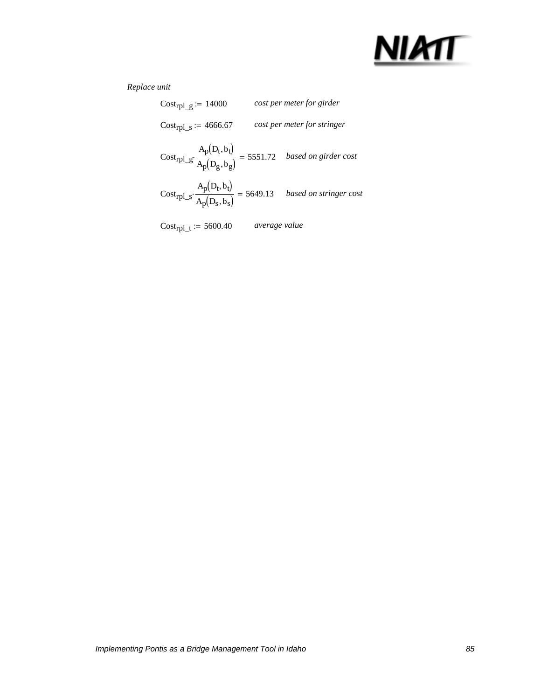

| Cost <sub>rpl</sub> $g \approx 14000$                                                                        |               | cost per meter for girder   |
|--------------------------------------------------------------------------------------------------------------|---------------|-----------------------------|
| $Cost_{rpl\_s} := 4666.67$                                                                                   |               | cost per meter for stringer |
| $\text{Cost}_{rpl\_g} \cdot \frac{A_p(D_t,b_t)}{A_p(D_g,b_g)} = 5551.72 \quad \textit{based on girder cost}$ |               |                             |
| Cost <sub>rpl_s</sub> $\cdot \frac{A_p(D_t, b_t)}{A_p(D_s, b_s)} = 5649.13$ based on stringer cost           |               |                             |
| $Cost_{\text{rpl\_t}} := 5600.40$                                                                            | average value |                             |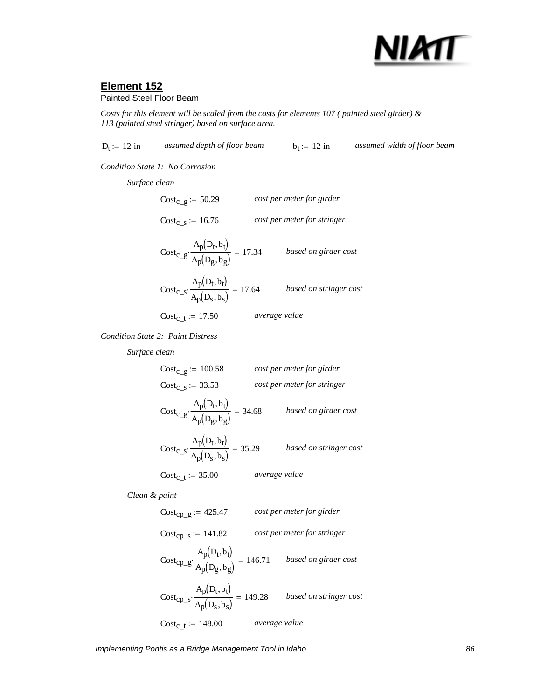

### Painted Steel Floor Beam

*Costs for this element will be scaled from the costs for elements 107 ( painted steel girder) & 113 (painted steel stringer) based on surface area.*

 $D_t := 12$  in *assumed depth of floor beam*  $b_t := 12$  in *assumed width of floor beam* 

*Condition State 1: No Corrosion*

*Surface clean*

Costc\_g := 50.29 *cost per meter for girder* Cost<sub>c s</sub> := 16.76 *cost per meter for stringer*  $A_p(D_t, b_t)$ 

 $Cost_{C\_g}$  $\frac{\overline{p(v+v)}}{\overline{A_p}(D_g, b_g)} = 17.34$  *based on girder cost*  $Cost_{C\_S}$  $A_p(D_t, b_t)$  $\frac{\overline{p}(\overline{v}, \overline{v})}{A_p(D_s, b_s)} = 17.64$  *based on stringer cost* 

 $Cost_{c_t} := 17.50$  *average value* 

*Condition State 2: Paint Distress*

*Surface clean*

Costc\_g := 100.58 *cost per meter for girder* Cost<sub>c\_s</sub> := 33.53 *cost per meter for stringer*  $Cost_{C\_g}$  $A_p(D_t, b_t)$  $\frac{\overline{p}(\overline{v} \cdot \overline{v})}{A_p(D_g, b_g)} = 34.68$  *based on girder cost*  $Cost_{C\_S}$  $A_p(D_t, b_t)$  $\frac{P(V \cup V)}{A_p(D_s, b_s)} = 35.29$  *based on stringer cost*  $Cost_{c_t} := 35.00$  *average value* 

*Clean & paint*

Cost<sub>cp\_g</sub> := 425.47 *cost per meter for girder*  
\nCost<sub>cp\_s</sub> := 141.82 *cost per meter for stringer*  
\nCost<sub>cp\_g</sub>: 
$$
\frac{A_p(D_t, b_t)}{A_p(D_g, b_g)} = 146.71
$$
 *based on girder cost*  
\nCost<sub>cp\_s</sub>: 
$$
\frac{A_p(D_t, b_t)}{A_p(D_s, b_s)} = 149.28
$$
 *based on stringer cost*  
\nCost<sub>c\_t</sub> := 148.00 *average value*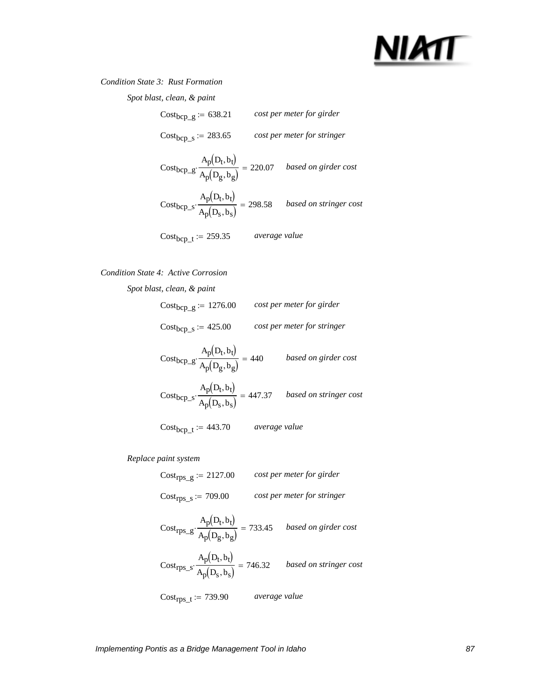## NIATT

### *Condition State 3: Rust Formation*

*Spot blast, clean, & paint*

| $Cost_{bcp\_g} := 638.21$                                                                                   |               | cost per meter for girder   |
|-------------------------------------------------------------------------------------------------------------|---------------|-----------------------------|
| $Cost_{bcp\_s} := 283.65$                                                                                   |               | cost per meter for stringer |
| $\text{Cost}_{bcp\_g} \cdot \frac{A_p(D_t, b_t)}{A_p(D_g, b_g)} = 220.07 \quad \text{based on girder cost}$ |               |                             |
| Cost <sub>bcp_s</sub> $\cdot \frac{A_p(D_t, b_t)}{A_p(D_s, b_s)} = 298.58$ based on stringer cost           |               |                             |
| $Cost_{bcp\_t} := 259.35$                                                                                   | average value |                             |

### *Condition State 4: Active Corrosion*

Cost<sub>bcp\_g</sub>  $A_p(D_t, b_t)$  $\frac{P(V \cup V)}{A_p(D_g, b_g)} = 440$  *based on girder cost*  $Cost_{\text{bcp\_s}}$  $A_p(D_t, b_t)$  $\cdot \frac{\overline{p}(\overline{D} - \overline{Q})}{A_p(D_s, b_s)} = 447.37$  *based on stringer cost Spot blast, clean, & paint* Costbcp\_g := 1276.00 *cost per meter for girder* Costbcp\_s := 425.00 *cost per meter for stringer*

Costbcp\_t := 443.70 *average value*

*Replace paint system*

Costrps\_g := 2127.00 *cost per meter for girder* Costrps\_s := 709.00 *cost per meter for stringer*

$$
Costrps_g: \frac{A_p(D_t, b_t)}{A_p(D_g, b_g)} = 733.45
$$
 *based on girder cost*  

$$
Costrps_s: \frac{A_p(D_t, b_t)}{A_p(D_s, b_s)} = 746.32
$$
 *based on stringer cost*

Costrps\_t := 739.90 *average value*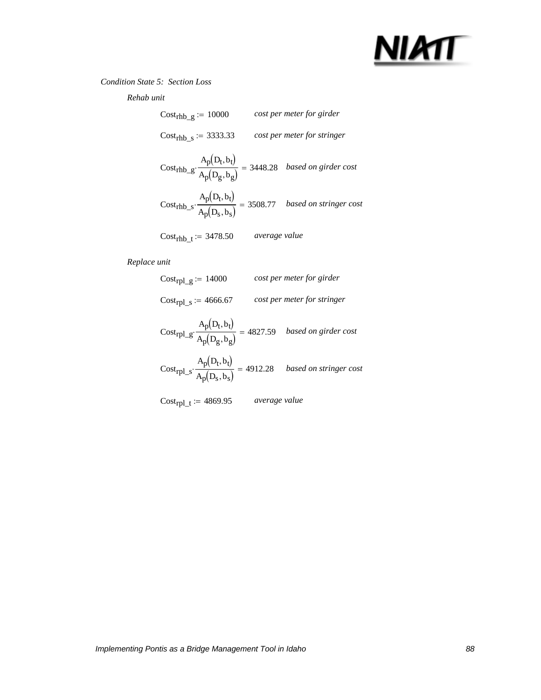

### *Condition State 5: Section Loss*

*Rehab unit*

| $Costrhb_g := 10000$                                                                                 |               | cost per meter for girder   |
|------------------------------------------------------------------------------------------------------|---------------|-----------------------------|
| Cost <sub>rhb</sub> $s = 3333.33$                                                                    |               | cost per meter for stringer |
| $Cost_{rhb\_g} \cdot \frac{A_p(D_t, b_t)}{A_p(D_g, b_g)} = 3448.28 \quad based \ on \ girder \ cost$ |               |                             |
| Cost <sub>rhb_s</sub> $\cdot \frac{A_p(D_t, b_t)}{A_p(D_s, b_s)} = 3508.77$ based on stringer cost   |               |                             |
| Cost <sub>rhb t</sub> := 3478.50                                                                     | average value |                             |

| Cost <sub>rpl</sub> $g \approx 14000$                                                                        |               | cost per meter for girder   |
|--------------------------------------------------------------------------------------------------------------|---------------|-----------------------------|
| $Cost_{rpl\_s} := 4666.67$                                                                                   |               | cost per meter for stringer |
| $\text{Cost}_{rpl\_g} \cdot \frac{A_p(D_t,b_t)}{A_p(D_g,b_g)} = 4827.59 \quad \textit{based on girder cost}$ |               |                             |
| Cost <sub>rpl_s</sub> $\cdot \frac{A_p(D_t, b_t)}{A_p(D_s, b_s)}$ = 4912.28 <i>based on stringer cost</i>    |               |                             |
| $Cost_{\text{rpl\_t}} := 4869.95$                                                                            | average value |                             |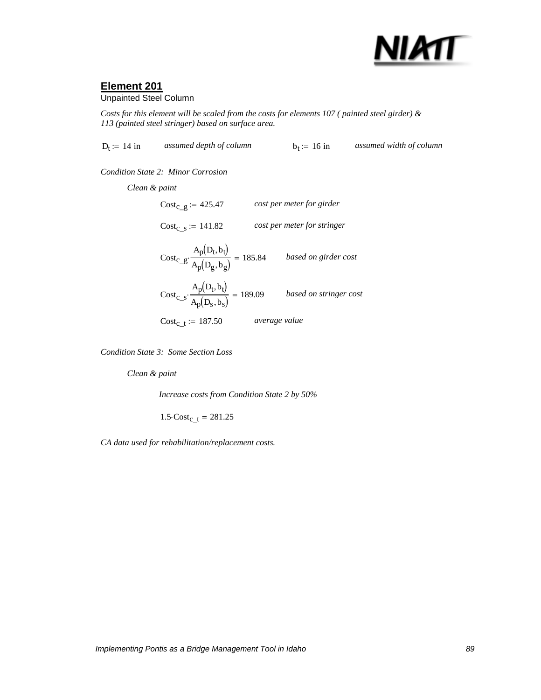

### Unpainted Steel Column

*Costs for this element will be scaled from the costs for elements 107 ( painted steel girder) & 113 (painted steel stringer) based on surface area.*

 $D_f := 14$  in *assumed depth of column*  $b_f := 16$  in *assumed width of column* 

*Condition State 2: Minor Corrosion*

 $Cost_{c_t} := 187.50$  average value  $\text{Cost}_{c\_s} \cdot \frac{p(-c)-c}{p(-c)-1} = 189.09$  based on stringer cost  $A_p(D_t, b_t)$  $\cdot \frac{P(169)}{A_p(D_s, b_s)} = 189.09$  $\text{Cost}_{c\_g} \cdot \frac{p(-c)-p}{p(-c)-1} = 185.84$  based on girder cost  $A_p(D_t, b_t)$  $\cdot \frac{P(169)}{A_p(D_g, b_g)} = 185.84$  $Cost_c$ <sub>s</sub> := 141.82 *cost per meter for stringer*  $Cost_{c-g} := 425.47$  *cost per meter for girder Clean & paint*

*Condition State 3: Some Section Loss*

*Clean & paint*

*Increase costs from Condition State 2 by 50%*

 $1.5 \cdot Cost_{c_t} = 281.25$ 

*CA data used for rehabilitation/replacement costs.*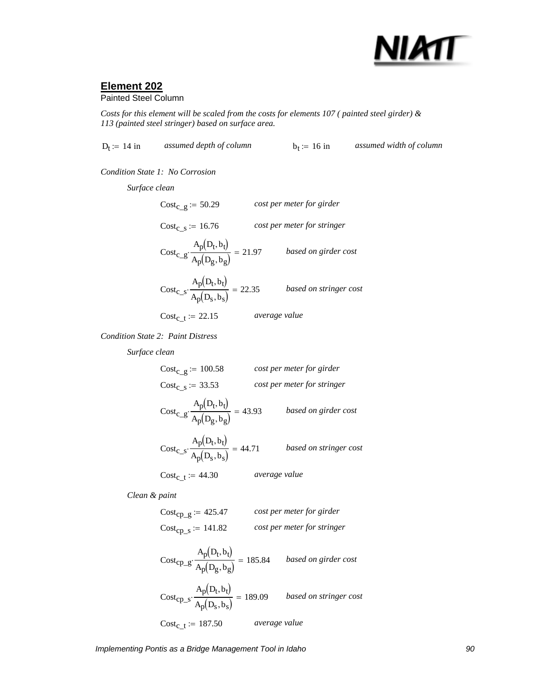

### Painted Steel Column

*Costs for this element will be scaled from the costs for elements 107 ( painted steel girder) & 113 (painted steel stringer) based on surface area.*

 $D_t = 14$  in *assumed depth of column*  $b_t = 16$  in *assumed width of column* 

*Condition State 1: No Corrosion*

*Surface clean*

$$
Cost_{c\_g} := 50.29
$$
 *cost per meter for girder*  
\n
$$
Cost_{c\_s} := 16.76
$$
 *cost per meter for stringer*  
\n
$$
Cost_{c\_s} \cdot \frac{A_p(D_t, b_t)}{A_p(D_g, b_g)} = 21.97
$$
 *based on girder cost*  
\n
$$
Cost_{c\_s} \cdot \frac{A_p(D_t, b_t)}{A_p(D_s, b_s)} = 22.35
$$
 *based on stringer cost*  
\n
$$
Cost_{c\_t} := 22.15
$$
 *average value*

*Condition State 2: Paint Distress*

*Surface clean*

| $Cost_{C}$ g := 100.58                                                 |               | cost per meter for girder   |
|------------------------------------------------------------------------|---------------|-----------------------------|
| $Cost_c$ s = 33.53                                                     |               | cost per meter for stringer |
| $\text{Cost}_{c\_g} \cdot \frac{A_p(D_t, b_t)}{A_p(D_g, b_g)} = 43.93$ |               | based on girder cost        |
| $Cost_{C\_S} \cdot \frac{A_p(D_t, b_t)}{A_p(D_S, b_S)} = 44.71$        |               | based on stringer cost      |
| $Cost_{c}$ = 44.30                                                     | average value |                             |

*Clean & paint*

$$
Cost_{cp\_g} := 425.47
$$
 *cost per meter for girder*  

$$
Cost_{cp\_s} := 141.82
$$
 *cost per meter for stringer*

$$
Cost_{\rm CP\_g} \cdot \frac{A_p(D_t, b_t)}{A_p(D_g, b_g)} = 185.84 \qquad based on girder cost
$$

$$
Cost_{cp\_s} \cdot \frac{A_p(D_t, b_t)}{A_p(D_s, b_s)} = 189.09 \qquad based on stringent cost
$$
  

$$
Cost_{c\_t} := 187.50 \qquad average value
$$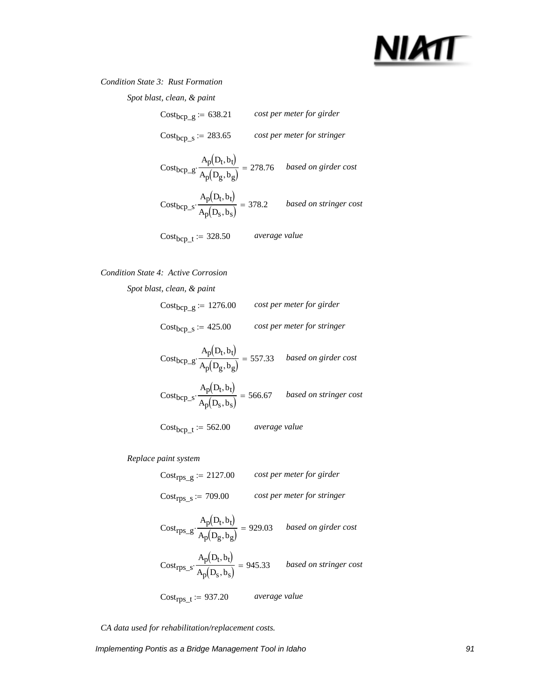## NIATT

### *Condition State 3: Rust Formation*

*Spot blast, clean, & paint*

| $Cost_{bcp\_g} := 638.21$                                                                   |               | cost per meter for girder   |
|---------------------------------------------------------------------------------------------|---------------|-----------------------------|
| $Cost_{bcp\_s} := 283.65$                                                                   |               | cost per meter for stringer |
| Cost <sub>bcp</sub> _g. $\frac{A_p(D_t, b_t)}{A_p(D_g, b_g)} = 278.76$ based on girder cost |               |                             |
| Cost <sub>bcp_s</sub> $\cdot \frac{A_p(D_t, b_t)}{A_p(D_s, b_s)} = 378.2$                   |               | based on stringer cost      |
| $Cost_{bcp\_t} := 328.50$                                                                   | average value |                             |

### *Condition State 4: Active Corrosion*

Cost<sub>bcp\_g</sub>  $A_p(D_t, b_t)$  $\frac{P(V \cup V)}{A_p(D_g, b_g)} = 557.33$  *based on girder cost*  $Cost_{\text{bcp\_s}}$  $A_p(D_t, b_t)$  $\cdot \frac{\overline{p}(\overline{v} - \overline{v})}{A_p(D_s, b_s)} = 566.67$  *based on stringer cost* Costbcp\_t := 562.00 *average value Spot blast, clean, & paint* Costbcp\_g := 1276.00 *cost per meter for girder* Costbcp\_s := 425.00 *cost per meter for stringer*

*Replace paint system*

Costrps\_g := 2127.00 *cost per meter for girder* Costrps\_s := 709.00 *cost per meter for stringer*

$$
Cost_{rps\_g} \cdot \frac{A_p(D_t, b_t)}{A_p(D_g, b_g)} = 929.03
$$
 *based on girder cost*  

$$
Cost_{rps\_s} \cdot \frac{A_p(D_t, b_t)}{A_p(D_s, b_s)} = 945.33
$$
 *based on stringer cost*  

$$
Cost_{rps\_t} := 937.20
$$
 *average value*

*CA data used for rehabilitation/replacement costs.*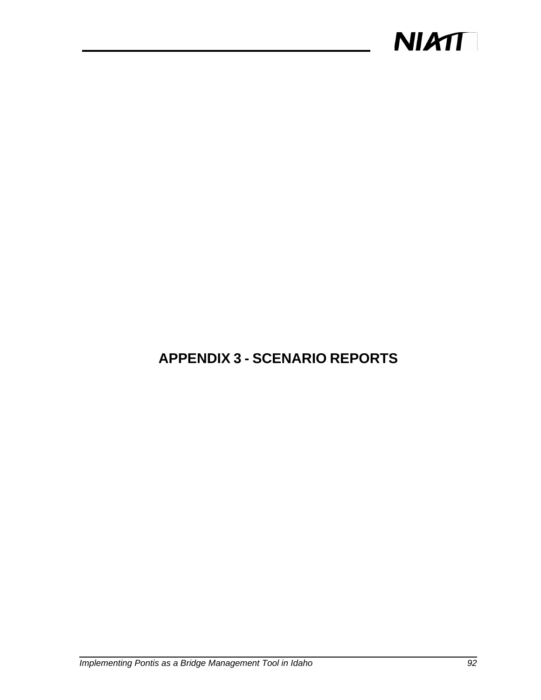

## **APPENDIX 3 - SCENARIO REPORTS**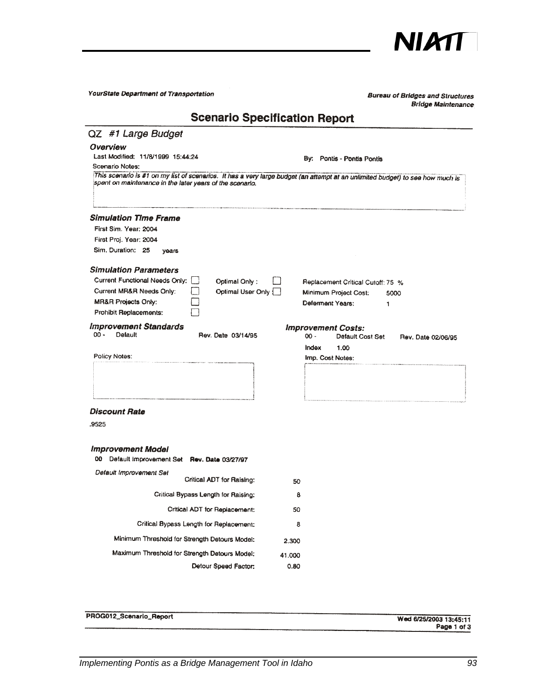

| YourState Department of Transportation                                                                                                                                                       |                | <b>Bureau of Bridges and Structures</b><br><b>Bridge Maintenance</b>                           |
|----------------------------------------------------------------------------------------------------------------------------------------------------------------------------------------------|----------------|------------------------------------------------------------------------------------------------|
| <b>Scenario Specification Report</b>                                                                                                                                                         |                |                                                                                                |
| QZ #1 Large Budget                                                                                                                                                                           |                |                                                                                                |
| Overview<br>Last Modified: 11/8/1999 15:44:24<br>Scenario Notes:                                                                                                                             |                | By: Pontis - Pontis Pontis                                                                     |
| This scenario is #1 on my list of scenarios. It has a very large budget (an attempt at an unlimited budget) to see how much is<br>spent on maintenance in the later years of the scenario.   |                |                                                                                                |
| <b>Simulation Time Frame</b><br>First Sim. Year: 2004<br>First Proj. Year: 2004<br>Sim. Duration: 25<br>years                                                                                |                |                                                                                                |
| <b>Simulation Parameters</b><br>Current Functional Needs Only:<br>Optimal Only:<br>Current MR&R Needs Only:<br>Optimal User Only<br><b>MR&amp;R Projects Only:</b><br>Prohibit Replacements: |                | Replacement Critical Cutoff: 75 %<br>Minimum Project Cost:<br>5000<br>Deferment Years:<br>1    |
| <b>Improvement Standards</b><br>$00 -$<br>Default<br>Rev. Date 03/14/95                                                                                                                      |                | <b>Improvement Costs:</b><br>$00 -$<br>Default Cost Set<br>Rev. Date 02/06/95<br>Index<br>1.00 |
| Policy Notes:                                                                                                                                                                                |                | Imp. Cost Notes:                                                                               |
|                                                                                                                                                                                              |                |                                                                                                |
| Discount Rate                                                                                                                                                                                |                |                                                                                                |
| .9525                                                                                                                                                                                        |                |                                                                                                |
| <i><b>Improvement Model</b></i><br>00 Default improvement Set Rev. Date 03/27/97                                                                                                             |                |                                                                                                |
| Default Improvement Set<br>Critical ADT for Raising:                                                                                                                                         | 50             |                                                                                                |
| Critical Bypass Length for Raising:                                                                                                                                                          | 8              |                                                                                                |
| Critical ADT for Replacement:                                                                                                                                                                | 50             |                                                                                                |
| Critical Bypass Length for Replacement:                                                                                                                                                      | 8              |                                                                                                |
| Minimum Threshold for Strength Detours Model:                                                                                                                                                | 2.300          |                                                                                                |
| Maximum Threshold for Strength Detours Model;<br>Detour Speed Factor:                                                                                                                        | 41.000<br>0.80 |                                                                                                |

| PROG012_Scenario_Report | Wed 6/25/2003 13:45:11 |
|-------------------------|------------------------|
|                         | Page 1 of 3            |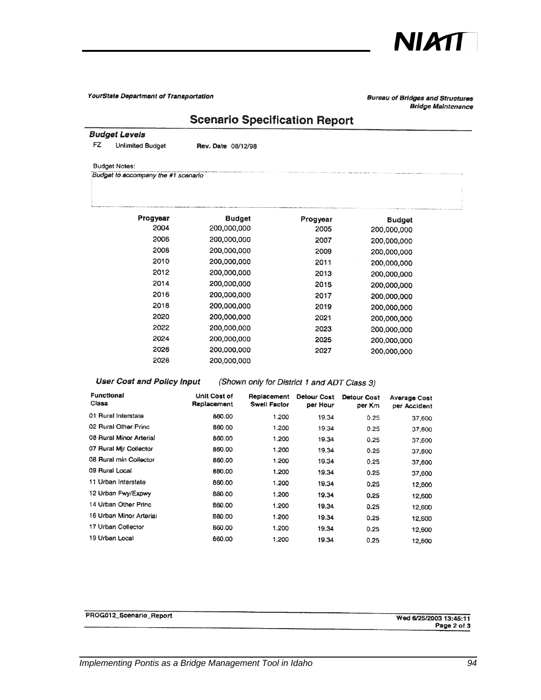

**Bureau of Bridges and Structures Bridge Maintenance** 

## **Scenario Specification Report**

#### **Budget Levels**

FZ. **Unlimited Budget**  Rev. Date 08/12/98

#### **Budget Notes:**

Budget to accompany the #1 scenario

| Progyear | <b>Budget</b> | Progyear | <b>Budget</b> |
|----------|---------------|----------|---------------|
| 2004     | 200,000,000   | 2005     | 200,000,000   |
| 2006     | 200,000,000   | 2007     | 200,000,000   |
| 2008     | 200,000,000   | 2009     | 200,000,000   |
| 2010     | 200,000,000   | 2011     | 200,000,000   |
| 2012     | 200,000,000   | 2013     | 200,000,000   |
| 2014     | 200,000,000   | 2015     | 200,000,000   |
| 2016     | 200,000,000   | 2017     | 200,000,000   |
| 2018     | 200,000,000   | 2019     | 200,000,000   |
| 2020     | 200,000,000   | 2021     | 200,000,000   |
| 2022     | 200,000,000   | 2023     | 200,000,000   |
| 2024     | 200,000,000   | 2025     | 200,000,000   |
| 2026     | 200,000,000   | 2027     | 200,000,000   |
| 2028     | 200,000,000   |          |               |

### **User Cost and Policy Input**

(Shown only for District 1 and ADT Class 3)

| <b>Functional</b><br>Class | Unit Cost of<br>Replacement | Replacement<br><b>Swell Factor</b> | <b>Detour Cost</b><br>per Hour | Detour Cost<br>per Km | <b>Average Cost</b><br>per Accident |
|----------------------------|-----------------------------|------------------------------------|--------------------------------|-----------------------|-------------------------------------|
| 01 Rural Interstate        | 860.00                      | 1.200                              | 19.34                          | 0.25                  | 37.600                              |
| 02 Rural Other Princ       | 860.00                      | 1.200                              | 19.34                          | 0.25                  | 37,600                              |
| 08 Rural Minor Arterial    | 860.00                      | 1.200                              | 19.34                          | 0.25                  | 37,600                              |
| 07 Rural Mir Collector     | 860.00                      | 1.200                              | 19.34                          | 0.25                  | 37,600                              |
| 08 Rural min Collector     | 860.00                      | 1.200                              | 19.34                          | 0.25                  | 37,600                              |
| 09 Rural Local             | 860.00                      | 1.200                              | 19.34                          | 0.25                  | 37,600                              |
| 11 Urban Interstate        | 860.00                      | 1.200                              | 19.34                          | 0.25                  | 12,600                              |
| 12 Urban Fwy/Expwy         | 860.00                      | 1.200                              | 19.34                          | 0.25                  | 12,600                              |
| 14 Urban Other Princ       | 860.00                      | 1.200                              | 19.34                          | 0.25                  | 12,600                              |
| 16 Urban Minor Arterial    | 860.00                      | 1.200                              | 19.34                          | 0.25                  | 12,600                              |
| 17 Urban Collector         | 860.00                      | 1.200                              | 19.34                          | 0.25                  | 12,600                              |
| 19 Urban Local             | 860.00                      | 1.200                              | 19.34                          | 0.25                  | 12,600                              |

| PROG012_Scenario_Report | Wed 6/25/2003 13:45:11            |
|-------------------------|-----------------------------------|
| -----                   | Page 2 of 3<br>.<br>_______<br>__ |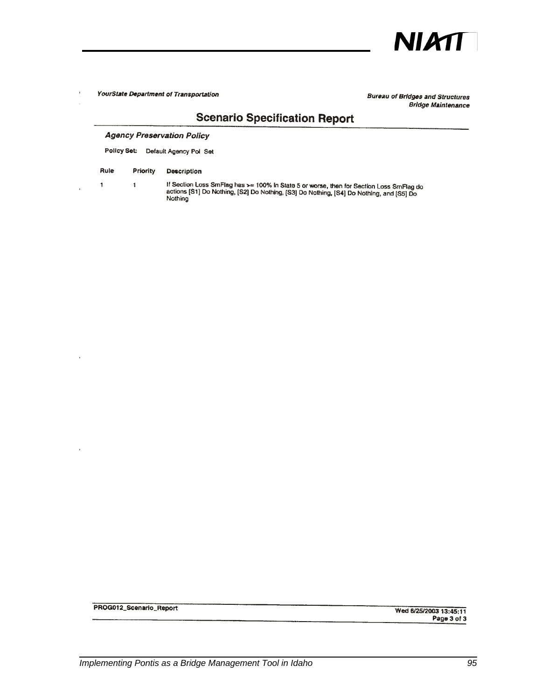

**Bureau of Bridges and Structures Bridge Maintenance** 

### **Scenario Specification Report**

#### **Agency Preservation Policy**

Policy Set: Default Agency Pol Set

#### Rule Priority **Description**

 $\bar{1}$ 

 $\ddot{\phantom{1}}$ 

 $\overline{1}$ 

If Section Loss SmFlag has >= 100% in State 5 or worse, then for Section Loss SmFlag do<br>actions [S1] Do Nothing, [S2] Do Nothing, [S3] Do Nothing, [S4] Do Nothing, and [S5] Do Nothing

PROG012\_Scenario\_Report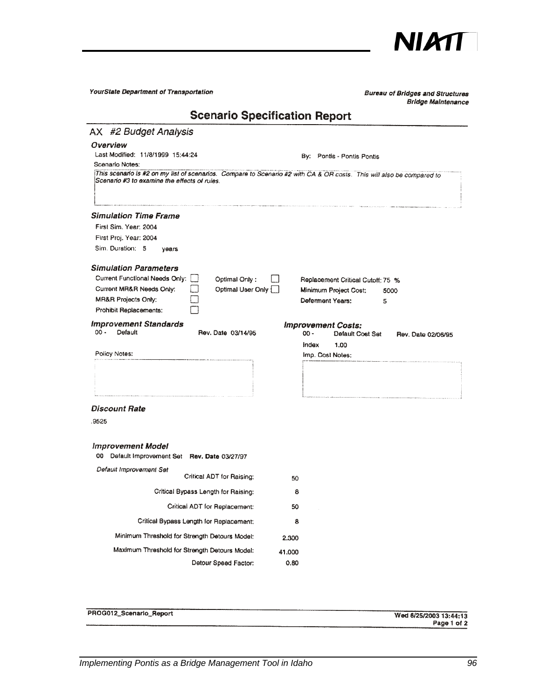

| YourState Department of Transportation                                                                                                                                                                                                    | <b>Bureau of Bridges and Structures</b><br><b>Bridge Maintenance</b>                        |
|-------------------------------------------------------------------------------------------------------------------------------------------------------------------------------------------------------------------------------------------|---------------------------------------------------------------------------------------------|
| <b>Scenario Specification Report</b>                                                                                                                                                                                                      |                                                                                             |
| AX #2 Budget Analysis                                                                                                                                                                                                                     |                                                                                             |
| Overview<br>Last Modified: 11/8/1999 15:44:24<br>Scenario Notes:<br>This scenario is #2 on my list of scenarios. Compare to Scenario #2 with CA & OR costs. This will also be compared to<br>Scenario #3 to examine the effects of rules. | By: Pontis - Pontis Pontis                                                                  |
|                                                                                                                                                                                                                                           |                                                                                             |
| Simulation Time Frame<br>First Sim, Year: 2004<br>First Proj. Year: 2004<br>Sim. Duration: 5<br>years                                                                                                                                     |                                                                                             |
| <b>Simulation Parameters</b><br>Current Functional Needs Only:<br>Optimal Only:<br>Current MR&R Needs Only:<br>Optimal User Only<br><b>MR&amp;R Projects Only:</b><br>Prohibit Replacements:                                              | Replacement Critical Cutoff: 75 %<br>Minimum Project Cost:<br>5000<br>Deferment Years:<br>5 |
| <b>Improvement Standards</b><br>$00 -$<br>Default<br>Rev. Date 03/14/95                                                                                                                                                                   | <b>Improvement Costs:</b><br>$00 -$<br>Default Cost Set<br>Rev. Date 02/06/95               |
| Policy Notes:                                                                                                                                                                                                                             | Index<br>1.00<br>Imp. Cost Notes:                                                           |
|                                                                                                                                                                                                                                           |                                                                                             |
| Discount Rate<br>.9525                                                                                                                                                                                                                    |                                                                                             |
| <b>Improvement Model</b><br>00 Default Improvement Set Rev. Date 03/27/97                                                                                                                                                                 |                                                                                             |
| Default Improvement Set<br>Critical ADT for Raising:                                                                                                                                                                                      | 50                                                                                          |
| Critical Bypass Length for Raising:                                                                                                                                                                                                       | 8                                                                                           |
| Critical ADT for Replacement:                                                                                                                                                                                                             | 50                                                                                          |
| Critical Bypass Length for Replacement:                                                                                                                                                                                                   | 8                                                                                           |
| Minimum Threshold for Strength Detours Model:                                                                                                                                                                                             | 2.300                                                                                       |
| Maximum Threshold for Strength Detours Model:<br>Detour Speed Factor:                                                                                                                                                                     | 41.000<br>0.80                                                                              |

| PROG012_Scenario_Report | Wed 8/25/2003 13:44:13 |
|-------------------------|------------------------|
|                         | Page 1 of 2<br>_____   |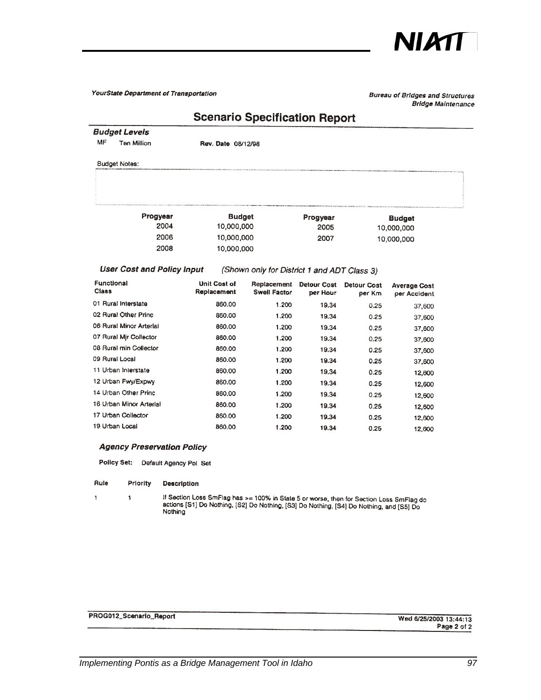

**Bureau of Bridges and Structures Bridge Maintenance** 

### **Scenario Specification Report**

**Budget Levels**  $\mathsf{MF}\xspace$ Ten Million

Rev. Date 08/12/98

**Budget Notes:** 

| Progyear | <b>Budget</b> | Progyear | <b>Budget</b> |
|----------|---------------|----------|---------------|
| 2004     | 10,000,000    | 2005     | 10.000.000    |
| 2006     | 10,000,000    | 2007     | 10,000,000    |
| 2008     | 10,000,000    |          |               |
|          |               |          |               |

### **User Cost and Policy Input**

(Shown only for District 1 and ADT Class 3)

| <b>Functional</b><br><b>Class</b> | <b>Unit Cost of</b><br>Replacement | Replacement<br><b>Swell Factor</b> | Detour Cost<br>per Hour | Detour Cost<br>per Km | <b>Average Cost</b><br>per Accident |
|-----------------------------------|------------------------------------|------------------------------------|-------------------------|-----------------------|-------------------------------------|
| 01 Rural Interstate               | 860.00                             | 1.200                              | 19.34                   | 0.25                  | 37,600                              |
| 02 Rural Other Princ              | 860.00                             | 1.200                              | 19.34                   | 0.25                  | 37,600                              |
| 06 Rural Minor Arterial           | 860.00                             | 1.200                              | 19.34                   | 0.25                  | 37,600                              |
| 07 Rural Mir Collector            | 860.00                             | 1.200                              | 19.34                   | 0.25                  | 37,600                              |
| 08 Rural min Collector            | 860.00                             | 1.200                              | 19.34                   | 0.25                  | 37,600                              |
| 09 Rural Local                    | 860.00                             | 1.200                              | 19.34                   | 0.25                  | 37,600                              |
| 11 Urban Interstate               | 860.00                             | 1.200                              | 19.34                   | 0.25                  | 12,600                              |
| 12 Urban Fwy/Expwy                | 860.00                             | 1.200                              | 19.34                   | 0.25                  | 12,600                              |
| 14 Urban Other Princ              | 860.00                             | 1.200                              | 19.34                   | 0.25                  | 12,600                              |
| 16 Urban Minor Arterial           | 860.00                             | 1.200                              | 19.34                   | 0.25                  | 12,600                              |
| 17 Urban Collector                | 860.00                             | 1.200                              | 19.34                   | 0.25                  | 12,600                              |
| 19 Urban Local                    | 860.00                             | 1.200                              | 19.34                   | 0.25                  | 12.600                              |

### **Agency Preservation Policy**

Policy Set: Default Agency Pol Set

Rule Priority **Description** 

 $\ddagger$ 

 $\pmb{\mathsf{1}}$ 

if Section Loss SmFlag has >= 100% in State 5 or worse, then for Section Loss SmFlag do<br>actions [S1] Do Nothing, [S2] Do Nothing, [S3] Do Nothing, [S4] Do Nothing, and [S5] Do<br>Nothing

| PROG012_Scenario_Report |  |
|-------------------------|--|
|-------------------------|--|

Wed 6/25/2003 13:44:13 Page 2 of 2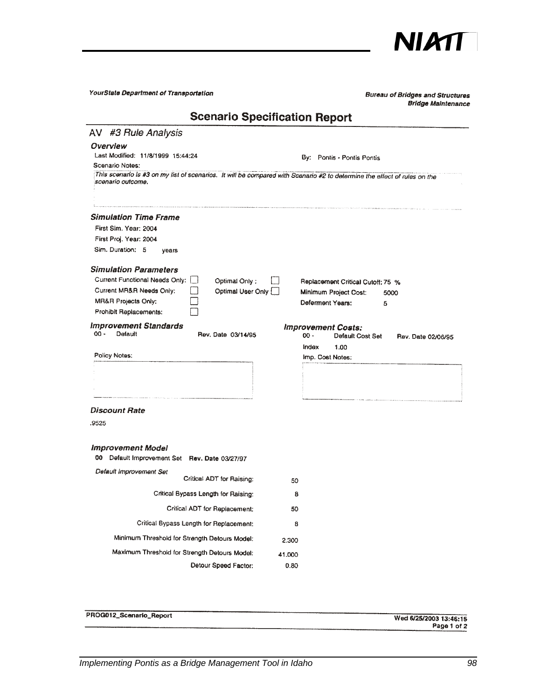

| YourState Department of Transportation                                                                                                                                            |                | <b>Bureau of Bridges and Structures</b><br><b>Bridge Maintenance</b>                                               |  |  |  |
|-----------------------------------------------------------------------------------------------------------------------------------------------------------------------------------|----------------|--------------------------------------------------------------------------------------------------------------------|--|--|--|
| <b>Scenario Specification Report</b>                                                                                                                                              |                |                                                                                                                    |  |  |  |
| AV #3 Rule Analysis                                                                                                                                                               |                |                                                                                                                    |  |  |  |
| Overview<br>Last Modified: 11/8/1999 15:44:24<br>Scenario Notes:                                                                                                                  |                | By: Pontis - Pontis Pontis                                                                                         |  |  |  |
| This scenario is #3 on my list of scenarios. It will be compared with Scenario #2 to determine the effect of rules on the<br>scenario outcome.                                    |                |                                                                                                                    |  |  |  |
| <b>Simulation Time Frame</b><br>First Slm. Year: 2004<br>First Proj. Year: 2004<br>Sim. Duration: 5<br>years                                                                      |                |                                                                                                                    |  |  |  |
| <b>Simulation Parameters</b><br>Current Functional Needs Only:<br>Optimal Only:<br>Current MR&R Needs Only:<br>Optimal User Only<br>MR&R Projects Only:<br>Prohibit Replacements: |                | Replacement Critical Cutoff: 75 %<br>Minimum Project Cost:<br>5000<br>Deferment Years:<br>5                        |  |  |  |
| <b>Improvement Standards</b><br>$00 -$<br>Default<br>Rev. Date 03/14/95<br>Policy Notes:                                                                                          |                | <b>Improvement Costs:</b><br>$00 -$<br>Default Cost Set<br>Rev. Date 02/06/95<br>Index<br>1.00<br>Imp. Cost Nates: |  |  |  |
|                                                                                                                                                                                   |                |                                                                                                                    |  |  |  |
| <b>Discount Rate</b>                                                                                                                                                              |                |                                                                                                                    |  |  |  |
| .9525                                                                                                                                                                             |                |                                                                                                                    |  |  |  |
| <b>Improvement Model</b><br>00 Default Improvement Set Rev. Date 03/27/97                                                                                                         |                |                                                                                                                    |  |  |  |
| Default Improvement Set<br>Critical ADT for Raising:                                                                                                                              | 50             |                                                                                                                    |  |  |  |
| Critical Bypass Length for Raising:                                                                                                                                               | 8              |                                                                                                                    |  |  |  |
| Critical ADT for Replacement:                                                                                                                                                     | 50             |                                                                                                                    |  |  |  |
| Critical Bypass Length for Replacement:                                                                                                                                           | 8              |                                                                                                                    |  |  |  |
| Minimum Threshold for Strength Detours Model:                                                                                                                                     | 2.300          |                                                                                                                    |  |  |  |
| Maximum Threshold for Strength Detours Model:<br>Detour Speed Factor:                                                                                                             | 41.000<br>0.80 |                                                                                                                    |  |  |  |

|                         | ------------------     |
|-------------------------|------------------------|
|                         | __________             |
| PROG012_Scenario_Report | Wed 6/25/2003 13:46:15 |
| _____                   | Page 1 of 2            |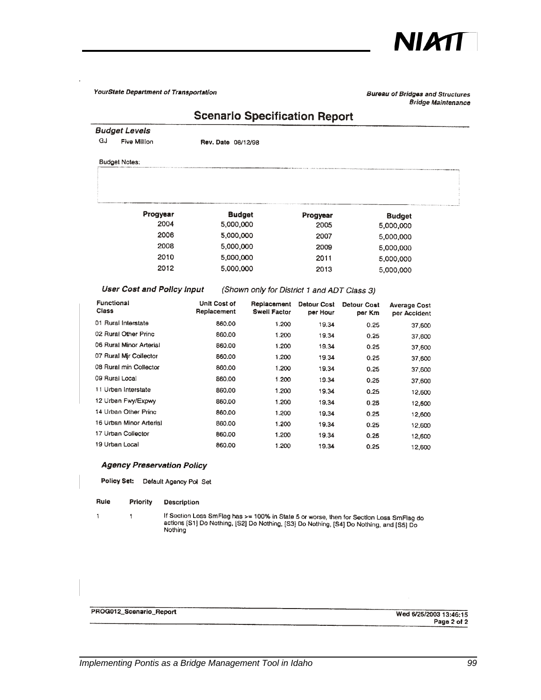

#### **Bureau of Bridges and Structures Bridge Maintenance**

### **Scenario Specification Report**

**Budget Levels**  $\mathbf{G}$ Five Million

Rev. Date 08/12/98

**Budget Notes:** 

| Progyear | <b>Budget</b> | Progyear | <b>Budget</b> |
|----------|---------------|----------|---------------|
| 2004     | 5,000,000     | 2005     | 5,000,000     |
| 2006     | 5,000,000     | 2007     | 5,000,000     |
| 2008     | 5,000,000     | 2009     | 5,000,000     |
| 2010     | 5,000,000     | 2011     | 5,000,000     |
| 2012     | 5,000,000     | 2013     | 5,000,000     |
|          |               |          |               |

#### **User Cost and Policy Input**

(Shown only for District 1 and ADT Class 3)

| Functional<br>Class     | Unit Cost of<br>Replacement | Replacement<br><b>Swell Factor</b> | Detour Cost<br>per Hour | <b>Detour Cost</b><br>per Km | <b>Average Cost</b><br>per Accident |
|-------------------------|-----------------------------|------------------------------------|-------------------------|------------------------------|-------------------------------------|
| 01 Rural Interstate     | 860.00                      | 1.200                              | 19.34                   | 0.25                         | 37,600                              |
| 02 Rural Other Princ    | 860.00                      | 1.200                              | 19.34                   | 0.25                         | 37,600                              |
| 06 Rural Minor Arterial | 860.00                      | 1.200                              | 19.34                   | 0.25                         | 37,600                              |
| 07 Rural Mir Collector  | 860.00                      | 1.200                              | 19.34                   | 0.25                         | 37,600                              |
| 08 Rural min Collector  | 860.00                      | 1.200                              | 19.34                   | 0.25                         | 37,600                              |
| 09 Rurai Local          | 860.00                      | 1.200                              | 19.34                   | 0.25                         | 37,600                              |
| 11 Urban Interstate     | 860.00                      | 1.200                              | 19.34                   | 0.25                         | 12,600                              |
| 12 Urban Fwy/Expwy      | 860.00                      | 1.200                              | 19.34                   | 0.25                         | 12,600                              |
| 14 Urban Other Princ    | 860.00                      | 1.200                              | 19.34                   | 0.25                         | 12,600                              |
| 16 Urban Minor Arterial | 860.00                      | 1.200                              | 19.34                   | 0.25                         | 12,600                              |
| 17 Urban Collector      | 860.00                      | 1.200                              | 19.34                   | 0.25                         | 12,600                              |
| 19 Urban Local          | 860.00                      | 1.200                              | 19.34                   | 0.25                         | 12,600                              |

### **Agency Preservation Policy**

Policy Set: Default Agency Pol Set

Rule Priority **Description** 

 $\uparrow$ 

 $\mathfrak{t}$ 

If Section Loss SmFlag has >= 100% in State 5 or worse, then for Section Loss SmFlag do<br>actions [S1] Do Nothing, [S2] Do Nothing, [S3] Do Nothing, [S4] Do Nothing, and [S5] Do Nothing

PROG012\_Scenario\_Report

Wed 6/25/2003 13:46:15<br>Page 2 of 2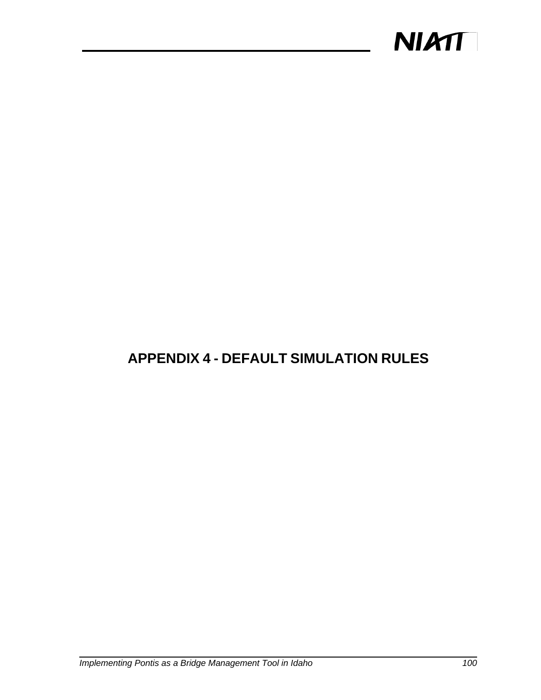

## **APPENDIX 4 - DEFAULT SIMULATION RULES**